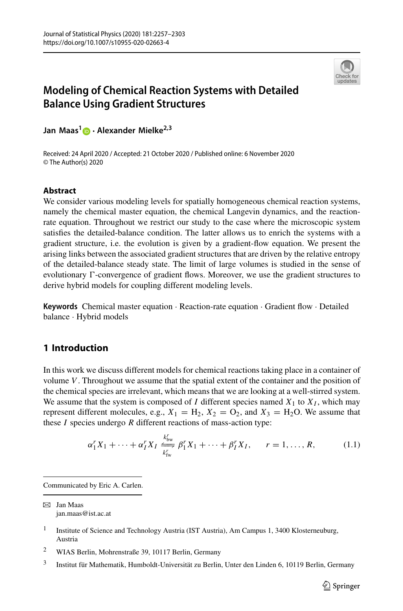

# **Modeling of Chemical Reaction Systems with Detailed Balance Using Gradient Structures**

**Jan Maas[1](http://orcid.org/0000-0002-0845-1338) · Alexander Mielke2,3**

Received: 24 April 2020 / Accepted: 21 October 2020 / Published online: 6 November 2020 © The Author(s) 2020

## **Abstract**

We consider various modeling levels for spatially homogeneous chemical reaction systems, namely the chemical master equation, the chemical Langevin dynamics, and the reactionrate equation. Throughout we restrict our study to the case where the microscopic system satisfies the detailed-balance condition. The latter allows us to enrich the systems with a gradient structure, i.e. the evolution is given by a gradient-flow equation. We present the arising links between the associated gradient structures that are driven by the relative entropy of the detailed-balance steady state. The limit of large volumes is studied in the sense of evolutionary  $\Gamma$ -convergence of gradient flows. Moreover, we use the gradient structures to derive hybrid models for coupling different modeling levels.

**Keywords** Chemical master equation · Reaction-rate equation · Gradient flow · Detailed balance · Hybrid models

## **1 Introduction**

In this work we discuss different models for chemical reactions taking place in a container of volume *V*. Throughout we assume that the spatial extent of the container and the position of the chemical species are irrelevant, which means that we are looking at a well-stirred system. We assume that the system is composed of  $I$  different species named  $X_1$  to  $X_I$ , which may represent different molecules, e.g.,  $X_1 = H_2$ ,  $X_2 = O_2$ , and  $X_3 = H_2O$ . We assume that these *I* species undergo *R* different reactions of mass-action type:

$$
\alpha_1^r X_1 + \dots + \alpha_I^r X_I \xrightarrow[k]{}^{k'_{\text{bw}}}_{k'_{\text{fw}}} \beta_1^r X_1 + \dots + \beta_I^r X_I, \qquad r = 1, \dots, R,\tag{1.1}
$$

Communicated by Eric A. Carlen.

 $\boxtimes$  Jan Maas jan.maas@ist.ac.at

<sup>&</sup>lt;sup>1</sup> Institute of Science and Technology Austria (IST Austria), Am Campus 1, 3400 Klosterneuburg, Austria

<sup>2</sup> WIAS Berlin, Mohrenstraße 39, 10117 Berlin, Germany

<sup>3</sup> Institut für Mathematik, Humboldt-Universität zu Berlin, Unter den Linden 6, 10119 Berlin, Germany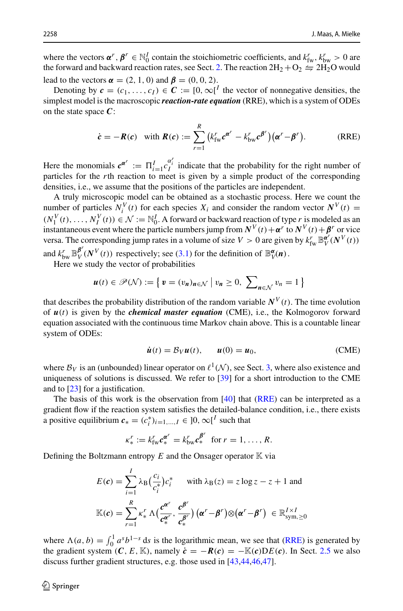where the vectors  $\alpha^r$ ,  $\beta^r \in \mathbb{N}_0^I$  contain the stoichiometric coefficients, and  $k_{\text{fw}}^r$ ,  $k_{\text{bw}}^r > 0$  are the forward and backward reaction rates, see Sect. [2.](#page-5-0) The reaction  $2H_2 + O_2 \leftrightharpoons 2H_2O$  would lead to the vectors  $\alpha = (2, 1, 0)$  and  $\beta = (0, 0, 2)$ .

Denoting by  $c = (c_1, \ldots, c_I) \in \mathbb{C} := [0, \infty]^I$  the vector of nonnegative densities, the simplest model is the macroscopic *reaction-rate equation* (RRE), which is a system of ODEs on the state space *C*:

<span id="page-1-0"></span>
$$
\dot{\mathbf{c}} = -\mathbf{R}(\mathbf{c}) \quad \text{with } \mathbf{R}(\mathbf{c}) := \sum_{r=1}^{R} \big( k_{\text{fw}}^r \mathbf{c}^{\mathbf{a}^r} - k_{\text{bw}}^r \mathbf{c}^{\mathbf{\beta}^r} \big) \big( \mathbf{\alpha}^r - \mathbf{\beta}^r \big). \tag{RRE}
$$

Here the monomials  $c^{\alpha^r} := \prod_{i=1}^l c_i^{\alpha_i^r}$  indicate that the probability for the right number of the contribution for the right number of particles for the *r*th reaction to meet is given by a simple product of the corresponding densities, i.e., we assume that the positions of the particles are independent.

A truly microscopic model can be obtained as a stochastic process. Here we count the number of particles  $N_i^V(t)$  for each species  $X_i$  and consider the random vector  $N^V(t) =$  $(N_1^V(t), \ldots, N_I^V(t)) \in \mathcal{N} := \mathbb{N}_0^I$ . A forward or backward reaction of type *r* is modeled as an instantaneous event where the particle numbers jump from  $N^V(t) + \alpha^r$  to  $N^V(t) + \beta^r$  or vice versa. The corresponding jump rates in a volume of size  $V > 0$  are given by  $k_{\text{fw}}^r \mathbb{B}_V^{\alpha'}(N^V(t))$ and  $k_{bw}^r \mathbb{B}_{V}^{\beta r}(N^V(t))$  respectively; see [\(3.1\)](#page-11-0) for the definition of  $\mathbb{B}_{V}^{\alpha}(n)$ .

Here we study the vector of probabilities

$$
\boldsymbol{u}(t) \in \mathscr{P}(\mathcal{N}) := \left\{ \boldsymbol{v} = (v_n)_{n \in \mathcal{N}} \mid v_n \ge 0, \ \sum_{n \in \mathcal{N}} v_n = 1 \right\}
$$

that describes the probability distribution of the random variable  $N^V(t)$ . The time evolution of *u*(*t*) is given by the *chemical master equation* (CME), i.e., the Kolmogorov forward equation associated with the continuous time Markov chain above. This is a countable linear system of ODEs:

<span id="page-1-1"></span>
$$
\dot{\boldsymbol{u}}(t) = \mathcal{B}_V \boldsymbol{u}(t), \qquad \boldsymbol{u}(0) = \boldsymbol{u}_0,\tag{CME}
$$

where  $B_V$  is an (unbounded) linear operator on  $\ell^1(\mathcal{N})$ , see Sect. [3,](#page-10-0) where also existence and uniqueness of solutions is discussed. We refer to [\[39\]](#page-46-0) for a short introduction to the CME and to [\[23\]](#page-45-0) for a justification.

The basis of this work is the observation from [\[40\]](#page-46-1) that [\(RRE\)](#page-1-0) can be interpreted as a gradient flow if the reaction system satisfies the detailed-balance condition, i.e., there exists a positive equilibrium  $c_* = (c_i^*)_{i=1,\dots,I} \in ]0, \infty[^I$  such that

$$
\kappa_*^r := k_{\text{fw}}^r \mathbf{c}_*^{\mathbf{a}^r} = k_{\text{bw}}^r \mathbf{c}_*^{\mathbf{\beta}^r} \text{ for } r = 1, \ldots, R.
$$

Defining the Boltzmann entropy  $E$  and the Onsager operator  $K$  via

$$
E(c) = \sum_{i=1}^{I} \lambda_{\text{B}} \left( \frac{c_i}{c_i^*} \right) c_i^* \quad \text{with } \lambda_{\text{B}}(z) = z \log z - z + 1 \text{ and}
$$

$$
\mathbb{K}(c) = \sum_{r=1}^{R} \kappa_*^r \Lambda \left( \frac{c^{\alpha^r}}{c_*^{\alpha^r}}, \frac{c^{\beta^r}}{c_*^{\beta^r}} \right) \left( \alpha^r - \beta^r \right) \otimes \left( \alpha^r - \beta^r \right) \in \mathbb{R}_{\text{sym}, \geq 0}^{I \times I}
$$

where  $\Lambda(a, b) = \int_0^1 a^s b^{1-s} ds$  is the logarithmic mean, we see that [\(RRE\)](#page-1-0) is generated by the gradient system  $(C, E, \mathbb{K})$ , namely  $\dot{c} = -R(c) = -\mathbb{K}(c)DE(c)$ . In Sect. [2.5](#page-9-0) we also discuss further gradient structures, e.g. those used in [\[43](#page-46-2)[,44](#page-46-3)[,46](#page-46-4)[,47\]](#page-46-5).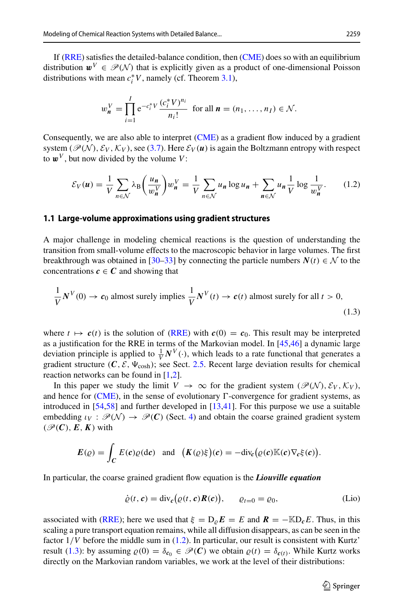If [\(RRE\)](#page-1-0) satisfies the detailed-balance condition, then [\(CME\)](#page-1-1) does so with an equilibrium distribution  $w^V \in \mathcal{P}(\mathcal{N})$  that is explicitly given as a product of one-dimensional Poisson distributions with mean  $c_i^*V$ , namely (cf. Theorem [3.1\)](#page-11-1),

$$
w_n^V = \prod_{i=1}^I e^{-c_i^* V} \frac{(c_i^* V)^{n_i}}{n_i!} \text{ for all } n = (n_1, ..., n_I) \in \mathcal{N}.
$$

Consequently, we are also able to interpret [\(CME\)](#page-1-1) as a gradient flow induced by a gradient system ( $\mathcal{P}(\mathcal{N})$ ,  $\mathcal{E}_V$ ,  $\mathcal{K}_V$ ), see [\(3.7\)](#page-16-0). Here  $\mathcal{E}_V(u)$  is again the Boltzmann entropy with respect to  $\boldsymbol{w}^V$ , but now divided by the volume *V*:

<span id="page-2-0"></span>
$$
\mathcal{E}_V(u) = \frac{1}{V} \sum_{n \in \mathcal{N}} \lambda_B \left( \frac{u_n}{w_n^V} \right) w_n^V = \frac{1}{V} \sum_{n \in \mathcal{N}} u_n \log u_n + \sum_{n \in \mathcal{N}} u_n \frac{1}{V} \log \frac{1}{w_n^V}.
$$
 (1.2)

#### **1.1 Large-volume approximations using gradient structures**

A major challenge in modeling chemical reactions is the question of understanding the transition from small-volume effects to the macroscopic behavior in large volumes. The first breakthrough was obtained in [\[30](#page-45-1)[–33\]](#page-45-2) by connecting the particle numbers  $N(t) \in \mathcal{N}$  to the concentrations  $c \in C$  and showing that

<span id="page-2-1"></span>
$$
\frac{1}{V}N^{V}(0) \to c_0
$$
 almost surely implies 
$$
\frac{1}{V}N^{V}(t) \to c(t)
$$
 almost surely for all  $t > 0$ , (1.3)

where  $t \mapsto c(t)$  is the solution of [\(RRE\)](#page-1-0) with  $c(0) = c_0$ . This result may be interpreted as a justification for the RRE in terms of the Markovian model. In [\[45](#page-46-6)[,46](#page-46-4)] a dynamic large deviation principle is applied to  $\frac{1}{V}N^V(\cdot)$ , which leads to a rate functional that generates a gradient structure  $(C, \mathcal{E}, \Psi_{\text{cosh}})$ ; see Sect. [2.5.](#page-9-0) Recent large deviation results for chemical reaction networks can be found in [\[1](#page-44-0)[,2\]](#page-44-1).

In this paper we study the limit  $V \to \infty$  for the gradient system ( $\mathcal{P}(\mathcal{N}), \mathcal{E}_V, \mathcal{K}_V$ ), and hence for [\(CME\)](#page-1-1), in the sense of evolutionary  $\Gamma$ -convergence for gradient systems, as introduced in [\[54](#page-46-7)[,58](#page-46-8)] and further developed in [\[13](#page-45-3)[,41\]](#page-46-9). For this purpose we use a suitable embedding  $\iota_V : \mathcal{P}(\mathcal{N}) \to \mathcal{P}(\mathcal{C})$  (Sect. [4\)](#page-16-1) and obtain the coarse grained gradient system  $(\mathscr{P}(C), E, K)$  with

$$
E(\varrho) = \int_C E(c)\varrho(d\mathbf{c}) \text{ and } (K(\varrho)\xi)(\mathbf{c}) = -\mathrm{div}_{\mathbf{c}}(\varrho(\mathbf{c})\mathbb{K}(\mathbf{c})\nabla_{\mathbf{c}}\xi(\mathbf{c})).
$$

In particular, the coarse grained gradient flow equation is the *Liouville equation*

$$
\dot{\varrho}(t,\mathbf{c}) = \text{div}_{\mathbf{c}}(\varrho(t,\mathbf{c})\mathbf{R}(\mathbf{c})), \qquad \varrho_{t=0} = \varrho_0,
$$
 (Lio)

associated with [\(RRE\)](#page-1-0); here we used that  $\xi = D_{\rho}E = E$  and  $R = -\text{KD}_{c}E$ . Thus, in this scaling a pure transport equation remains, while all diffusion disappears, as can be seen in the factor  $1/V$  before the middle sum in  $(1.2)$ . In particular, our result is consistent with Kurtz' result [\(1.3\)](#page-2-1): by assuming  $\rho(0) = \delta_{c_0} \in \mathcal{P}(C)$  we obtain  $\rho(t) = \delta_{c(t)}$ . While Kurtz works directly on the Markovian random variables, we work at the level of their distributions: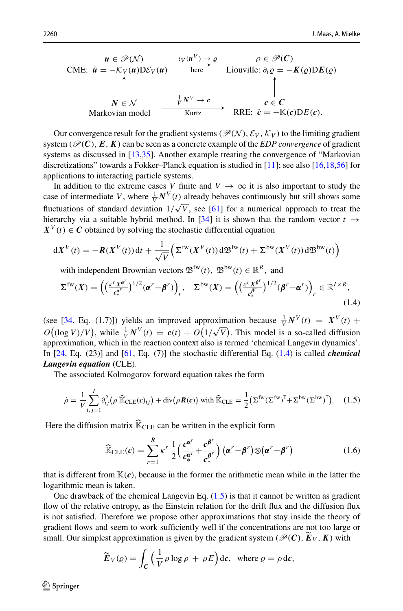$$
\begin{array}{ccc}\n\mathbf{u} \in \mathcal{P}(\mathcal{N}) & \iota_V(\mathbf{u}^V) \to \varrho & \varrho \in \mathcal{P}(\mathbf{C}) \\
\mathbf{CME:} \quad \mathbf{\dot{u}} = -\mathcal{K}_V(\mathbf{u}) \mathbf{D} \mathcal{E}_V(\mathbf{u}) & \text{here} & \text{Liouville: } \partial_t \varrho = -\mathbf{K}(\varrho) \mathbf{D} \mathbf{E}(\varrho) \\
\uparrow & & \uparrow & & \uparrow \\
N \in \mathcal{N} & \xrightarrow{\mathbf{v}^V \to \mathbf{c}} & \mathbf{c} \in \mathbf{C} \\
\text{Markovian model} & \xrightarrow{\mathbf{Kurtz}} & \mathbf{RRE:} \quad \mathbf{\dot{c}} = -\mathbb{K}(\mathbf{c}) \mathbf{D} \mathbf{E}(\mathbf{c}).\n\end{array}
$$

Our convergence result for the gradient systems ( $\mathcal{P}(\mathcal{N})$ ,  $\mathcal{E}_V$ ,  $\mathcal{K}_V$ ) to the limiting gradient system ( $\mathcal{P}(\mathbf{C})$ ,  $\mathbf{E}$ ,  $\mathbf{K}$ ) can be seen as a concrete example of the *EDP convergence* of gradient systems as discussed in [\[13](#page-45-3)[,35](#page-45-4)]. Another example treating the convergence of "Markovian" discretizations" towards a Fokker–Planck equation is studied in [\[11\]](#page-45-5); see also [\[16](#page-45-6)[,18](#page-45-7)[,56\]](#page-46-10) for applications to interacting particle systems.

In addition to the extreme cases *V* finite and  $V \rightarrow \infty$  it is also important to study the case of intermediate *V*, where  $\frac{1}{V}N^V(t)$  already behaves continuously but still shows some fluctuations of standard deviation  $1/\sqrt{V}$ , see [\[61](#page-46-11)] for a numerical approach to treat the hierarchy via a suitable hybrid method. In [\[34\]](#page-45-8) it is shown that the random vector  $t \mapsto$  $X^V(t) \in \mathbb{C}$  obtained by solving the stochastic differential equation

$$
dX^{V}(t) = -R(X^{V}(t))dt + \frac{1}{\sqrt{V}}\left(\Sigma^{\text{fw}}(X^{V}(t))d\mathfrak{B}^{\text{fw}}(t) + \Sigma^{\text{bw}}(X^{V}(t))d\mathfrak{B}^{\text{bw}}(t)\right)
$$

<span id="page-3-0"></span>with independent Brownian vectors  $\mathfrak{B}^{\text{fw}}(t)$ ,  $\mathfrak{B}^{\text{bw}}(t) \in \mathbb{R}^R$ , and

$$
\Sigma^{\text{fw}}(X) = \left( \left( \frac{\kappa^r X^{\alpha^r}}{c_*^{\alpha^r}} \right)^{1/2} (\alpha^r - \beta^r) \right)_r, \quad \Sigma^{\text{bw}}(X) = \left( \left( \frac{\kappa^r X^{\beta^r}}{c_*^{\beta^r}} \right)^{1/2} (\beta^r - \alpha^r) \right)_r \in \mathbb{R}^{I \times R},\tag{1.4}
$$

(see [\[34](#page-45-8), Eq. (1.7)]) yields an improved approximation because  $\frac{1}{V}N^V(t) = X^V(t) +$  $O((\log V)/V)$ , while  $\frac{1}{V}N^V(t) = c(t) + O(1/\sqrt{V})$ . This model is a so-called diffusion approximation, which in the reaction context also is termed 'chemical Langevin dynamics'. In [\[24,](#page-45-9) Eq. (23)] and [\[61](#page-46-11), Eq. (7)] the stochastic differential Eq. [\(1.4\)](#page-3-0) is called *chemical Langevin equation* (CLE).

The associated Kolmogorov forward equation takes the form

<span id="page-3-1"></span>
$$
\dot{\rho} = \frac{1}{V} \sum_{i,j=1}^{I} \partial_{ij}^2 (\rho \, \widehat{\mathbb{K}}_{\text{CLE}}(\mathbf{c})_{ij}) + \text{div}(\rho \, \mathbf{R}(\mathbf{c})) \text{ with } \widehat{\mathbb{K}}_{\text{CLE}} = \frac{1}{2} (\Sigma^{\text{fw}} (\Sigma^{\text{fw}})^{\text{T}} + \Sigma^{\text{bw}} (\Sigma^{\text{bw}})^{\text{T}}). \tag{1.5}
$$

Here the diffusion matrix  $\widehat{\mathbb{K}}_{CIE}$  can be written in the explicit form

<span id="page-3-2"></span>
$$
\widehat{\mathbb{K}}_{\text{CLE}}(\boldsymbol{c}) = \sum_{r=1}^{R} \kappa^r \frac{1}{2} \Big( \frac{\boldsymbol{c}^{\boldsymbol{\alpha}^r}}{\boldsymbol{c}^{\boldsymbol{\alpha}^r}_*} + \frac{\boldsymbol{c}^{\boldsymbol{\beta}^r}}{\boldsymbol{c}^{\boldsymbol{\beta}^r}_*} \Big) \left( \boldsymbol{\alpha}^r - \boldsymbol{\beta}^r \right) \otimes \left( \boldsymbol{\alpha}^r - \boldsymbol{\beta}^r \right) \tag{1.6}
$$

that is different from  $\mathbb{K}(c)$ , because in the former the arithmetic mean while in the latter the logarithmic mean is taken.

One drawback of the chemical Langevin Eq.  $(1.5)$  is that it cannot be written as gradient flow of the relative entropy, as the Einstein relation for the drift flux and the diffusion flux is not satisfied. Therefore we propose other approximations that stay inside the theory of gradient flows and seem to work sufficiently well if the concentrations are not too large or small. Our simplest approximation is given by the gradient system ( $\mathcal{P}(\mathcal{C})$ ,  $\mathbf{E}_V$ ,  $\mathbf{K}$ ) with

$$
\widetilde{E}_V(\varrho) = \int_C \left(\frac{1}{V} \rho \log \rho + \rho E\right) \mathrm{d}c, \text{ where } \varrho = \rho \,\mathrm{d}c,
$$

 $\circledcirc$  Springer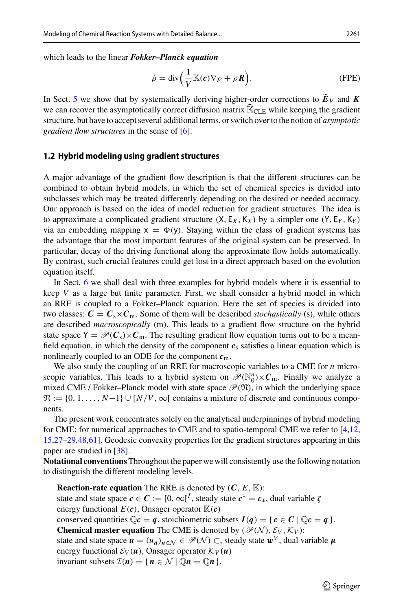which leads to the linear *Fokker–Planck equation*

$$
\dot{\rho} = \text{div}\left(\frac{1}{V}\mathbb{K}(\boldsymbol{c})\nabla\rho + \rho \boldsymbol{R}\right).
$$
 (FPE)

In Sect. [5](#page-29-0) we show that by systematically deriving higher-order corrections to  $E_V$  and  $K$ we can recover the asymptotically correct diffusion matrix  $\widehat{\mathbb{K}}_{\text{CLE}}$  while keeping the gradient structure, but have to accept several additional terms, or switch over to the notion of *asymptotic gradient flow structures* in the sense of [\[6](#page-45-10)].

## **1.2 Hybrid modeling using gradient structures**

A major advantage of the gradient flow description is that the different structures can be combined to obtain hybrid models, in which the set of chemical species is divided into subclasses which may be treated differently depending on the desired or needed accuracy. Our approach is based on the idea of model reduction for gradient structures. The idea is to approximate a complicated gradient structure  $(X, E_X, K_X)$  by a simpler one  $(Y, E_Y, K_Y)$ via an embedding mapping  $x = \Phi(y)$ . Staying within the class of gradient systems has the advantage that the most important features of the original system can be preserved. In particular, decay of the driving functional along the approximate flow holds automatically. By contrast, such crucial features could get lost in a direct approach based on the evolution equation itself.

In Sect. [6](#page-37-0) we shall deal with three examples for hybrid models where it is essential to keep *V* as a large but finite parameter. First, we shall consider a hybrid model in which an RRE is coupled to a Fokker–Planck equation. Here the set of species is divided into two classes:  $C = C_s \times C_m$ . Some of them will be described *stochastically* (s), while others are described *macroscopically* (m). This leads to a gradient flow structure on the hybrid state space  $Y = \mathcal{P}(C_s) \times C_m$ . The resulting gradient flow equation turns out to be a meanfield equation, in which the density of the component  $c_s$  satisfies a linear equation which is nonlinearly coupled to an ODE for the component *c*m.

We also study the coupling of an RRE for macroscopic variables to a CME for *n* microscopic variables. This leads to a hybrid system on  $\mathscr{P}(\mathbb{N}_0^n)\times\mathcal{C}_m$ . Finally we analyze a mixed CME / Fokker–Planck model with state space  $\mathcal{P}(\mathfrak{N})$ , in which the underlying space  $\mathfrak{N} := \{0, 1, \ldots, N-1\} \cup [N/V, \infty[$  contains a mixture of discrete and continuous components.

The present work concentrates solely on the analytical underpinnings of hybrid modeling for CME; for numerical approaches to CME and to spatio-temporal CME we refer to [\[4](#page-44-2)[,12,](#page-45-11) [15](#page-45-12)[,27](#page-45-13)[–29](#page-45-14)[,48](#page-46-12)[,61](#page-46-11)]. Geodesic convexity properties for the gradient structures appearing in this paper are studied in [\[38\]](#page-46-13).

**Notational conventions** Throughout the paper we will consistently use the following notation to distinguish the different modeling levels.

**Reaction-rate equation** The RRE is denoted by  $(C, E, \mathbb{K})$ : state and state space  $c \in \mathbb{C} := [0, \infty]^I$ , steady state  $c^* = c_*$ , dual variable  $\zeta$ energy functional  $E(c)$ , Onsager operator  $\mathbb{K}(c)$ conserved quantities  $\mathbb{Q}c = q$ , stoichiometric subsets  $I(q) = \{c \in C \mid \mathbb{Q}c = q\}.$ **Chemical master equation** The CME is denoted by ( $\mathcal{P}(\mathcal{N})$ ,  $\mathcal{E}_V$ ,  $\mathcal{K}_V$ ): state and state space  $u = (u_n)_{n \in \mathcal{N}} \in \mathcal{P}(\mathcal{N}) \subset$ , steady state  $w^V$ , dual variable  $\mu$ energy functional  $\mathcal{E}_V(u)$ , Onsager operator  $\mathcal{K}_V(u)$ invariant subsets  $\mathcal{I}(\overline{n}) = \{ n \in \mathcal{N} \mid \mathbb{Q}n = \mathbb{Q}\overline{n} \}.$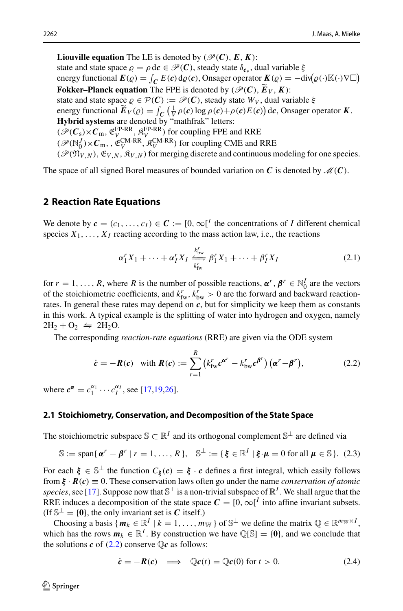**Liouville equation** The LE is denoted by ( $\mathcal{P}(C)$ ,  $E$ ,  $K$ ): state and state space  $\rho = \rho \, d\mathbf{c} \in \mathcal{P}(\mathbf{C})$ , steady state  $\delta_{\mathbf{c}_{*}}$ , dual variable  $\xi$ energy functional  $E(\varrho) = \int_C E(c) d\varrho(c)$ , Onsager operator  $\mathbf{K}(\varrho) = -\text{div}(\varrho(\cdot)\mathbb{K}(\cdot)\nabla\square)$ **Fokker–Planck equation** The FPE is denoted by ( $\mathcal{P}(\mathbf{C})$ ,  $\mathbf{E}_V$ ,  $\mathbf{K}$ ): state and state space  $\rho \in \mathcal{P}(\mathcal{C}) := \mathcal{P}(\mathcal{C})$ , steady state  $W_V$ , dual variable  $\xi$ energy functional  $\widetilde{E}_V(\varrho) = \int_C \left( \frac{1}{V} \rho(c) \log \rho(c) + \rho(c) E(c) \right) \mathrm{d}c$ , Onsager operator *K*. **Hybrid systems** are denoted by "mathfrak" letters:  $(\mathscr{P}(\mathcal{C}_s) \times \mathcal{C}_{m}, \mathfrak{E}_{V}^{\text{FP-RR}}, \mathfrak{K}_{V}^{\text{FP-RR}})$  for coupling FPE and RRE  $(\mathscr{P}(\mathbb{N}_0^J)\times\mathcal{C}_{\mathbb{m}}^{\mathbb{N}}, \mathfrak{E}_V^{\text{CM-RR}}, \mathfrak{K}_V^{\text{CM-RR}})$  for coupling CME and RRE  $(\mathcal{P}(\mathfrak{N}_{V,N}), \mathfrak{E}_{V,N}, \mathfrak{K}_{V,N})$  for merging discrete and continuous modeling for one species.

The space of all signed Borel measures of bounded variation on  $C$  is denoted by  $\mathcal{M}(C)$ .

## <span id="page-5-0"></span>**2 Reaction Rate Equations**

We denote by  $c = (c_1, \ldots, c_I) \in \mathbb{C} := [0, \infty]^I$  the concentrations of *I* different chemical species  $X_1, \ldots, X_I$  reacting according to the mass action law, i.e., the reactions

<span id="page-5-2"></span>
$$
\alpha_1^r X_1 + \dots + \alpha_I^r X_I \xrightarrow[k]{} \beta_1^r X_1 + \dots + \beta_I^r X_I
$$
 (2.1)

for  $r = 1, ..., R$ , where R is the number of possible reactions,  $\boldsymbol{\alpha}^r$ ,  $\boldsymbol{\beta}^r \in \mathbb{N}_0^I$  are the vectors of the stoichiometric coefficients, and  $k_{\text{fw}}^r$ ,  $k_{\text{bw}}^r > 0$  are the forward and backward reactionrates. In general these rates may depend on  $c$ , but for simplicity we keep them as constants in this work. A typical example is the splitting of water into hydrogen and oxygen, namely  $2H_2 + O_2 \leftrightharpoons 2H_2O.$ 

The corresponding *reaction-rate equations* (RRE) are given via the ODE system

<span id="page-5-1"></span>
$$
\dot{\boldsymbol{c}} = -\boldsymbol{R}(\boldsymbol{c}) \quad \text{with } \boldsymbol{R}(\boldsymbol{c}) := \sum_{r=1}^{R} \left( k_{\text{fw}}^{r} \boldsymbol{c}^{\boldsymbol{\alpha}^{r}} - k_{\text{bw}}^{r} \boldsymbol{c}^{\boldsymbol{\beta}^{r}} \right) \left( \boldsymbol{\alpha}^{r} - \boldsymbol{\beta}^{r} \right), \tag{2.2}
$$

where  $c^{\alpha} = c_1^{\alpha_1} \cdots c_I^{\alpha_I}$ , see [\[17](#page-45-15)[,19](#page-45-16)[,26](#page-45-17)].

#### **2.1 Stoichiometry, Conservation, and Decomposition of the State Space**

The stoichiometric subspace  $\mathbb{S} \subset \mathbb{R}^I$  and its orthogonal complement  $\mathbb{S}^\perp$  are defined via

$$
\mathbb{S} := \text{span}\{\,\boldsymbol{\alpha}^r - \boldsymbol{\beta}^r \mid r = 1,\ldots,R\,\},\quad \mathbb{S}^\perp := \{\,\boldsymbol{\xi} \in \mathbb{R}^I \mid \boldsymbol{\xi} \cdot \boldsymbol{\mu} = 0 \text{ for all } \boldsymbol{\mu} \in \mathbb{S}\,\}.
$$
 (2.3)

For each  $\xi \in \mathbb{S}^{\perp}$  the function  $C_{\xi}(c) = \xi \cdot c$  defines a first integral, which easily follows from  $\xi \cdot R(c) \equiv 0$ . These conservation laws often go under the name *conservation of atomic species*, see [\[17](#page-45-15)]. Suppose now that  $\mathbb{S}^{\perp}$  is a non-trivial subspace of  $\mathbb{R}^{I}$ . We shall argue that the RRE induces a decomposition of the state space  $C = [0, \infty]^I$  into affine invariant subsets. (If  $\mathbb{S}^{\perp} = \{0\}$ , the only invariant set is *C* itself.)

Choosing a basis  $\{m_k \in \mathbb{R}^I \mid k = 1, \ldots, m_{\mathbb{W}}\}$  of  $\mathbb{S}^{\perp}$  we define the matrix  $\mathbb{Q} \in \mathbb{R}^{m_{\mathbb{W}} \times I}$ , which has the rows  $m_k \in \mathbb{R}^I$ . By construction we have  $\mathbb{Q}[\mathbb{S}] = \{0\}$ , and we conclude that the solutions  $c$  of [\(2.2\)](#page-5-1) conserve  $\mathbb{Q}c$  as follows:

$$
\dot{\mathbf{c}} = -\mathbf{R}(\mathbf{c}) \implies \mathbb{Q}\mathbf{c}(t) = \mathbb{Q}\mathbf{c}(0) \text{ for } t > 0.
$$
 (2.4)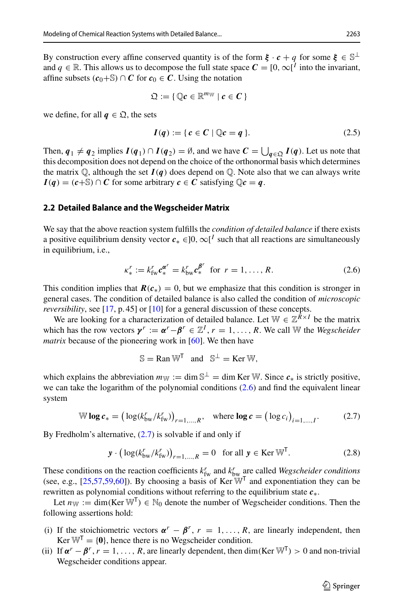By construction every affine conserved quantity is of the form  $\xi \cdot c + q$  for some  $\xi \in \mathbb{S}^{\perp}$ and  $q \in \mathbb{R}$ . This allows us to decompose the full state space  $C = [0, \infty]^T$  into the invariant, affine subsets  $(c_0+$) ∩ C$  for  $c_0 ∈ C$ . Using the notation

$$
\mathfrak{Q} := \{ \mathbb{Q} c \in \mathbb{R}^{m_{\mathbb{W}}} \mid c \in C \}
$$

we define, for all  $q \in \mathfrak{Q}$ , the sets

$$
I(q) := \{ c \in C \mid \mathbb{Q}c = q \}. \tag{2.5}
$$

Then,  $q_1 \neq q_2$  implies  $I(q_1) \cap I(q_2) = \emptyset$ , and we have  $C = \bigcup_{q \in \mathfrak{Q}} I(q)$ . Let us note that this decomposition does not depend on the choice of the orthonormal basis which determines the matrix  $\mathbb{Q}$ , although the set  $I(q)$  does depend on  $\mathbb{Q}$ . Note also that we can always write  $I(q) = (c + \mathbb{S}) \cap C$  for some arbitrary  $c \in C$  satisfying  $\mathbb{Q}c = q$ .

## **2.2 Detailed Balance and the Wegscheider Matrix**

We say that the above reaction system fulfills the *condition of detailed balance* if there exists a positive equilibrium density vector  $c_* \in ]0, \infty[^I$  such that all reactions are simultaneously in equilibrium, i.e.,

<span id="page-6-0"></span>
$$
\kappa_*^r := k_{\text{fw}}^r \mathbf{c}_*^{\alpha^r} = k_{\text{bw}}^r \mathbf{c}_*^{\beta^r} \text{ for } r = 1, \dots, R. \tag{2.6}
$$

This condition implies that  $\mathbf{R}(c_*) = 0$ , but we emphasize that this condition is stronger in general cases. The condition of detailed balance is also called the condition of *microscopic reversibility*, see [\[17](#page-45-15), p. 45] or [\[10](#page-45-18)] for a general discussion of these concepts.

We are looking for a characterization of detailed balance. Let  $\mathbb{W} \in \mathbb{Z}^{R \times I}$  be the matrix which has the row vectors  $\gamma^r := \alpha^r - \beta^r \in \mathbb{Z}^I$ ,  $r = 1, \ldots, R$ . We call W the *Wegscheider matrix* because of the pioneering work in [\[60](#page-46-14)]. We then have

$$
\mathbb{S} = \text{Ran}\,\mathbb{W}^{\mathsf{T}} \quad \text{and} \quad \mathbb{S}^{\perp} = \text{Ker}\,\mathbb{W},
$$

which explains the abbreviation  $m_{\mathbb{W}} := \dim \mathbb{S}^{\perp} = \dim \text{Ker} \mathbb{W}$ . Since  $c_*$  is strictly positive, we can take the logarithm of the polynomial conditions [\(2.6\)](#page-6-0) and find the equivalent linear system

<span id="page-6-1"></span>
$$
\mathbb{W} \log c_* = \left( \log \left( k_{\text{bw}}^r / k_{\text{fw}}^r \right) \right)_{r=1,\dots,R}, \quad \text{where } \log c = \left( \log c_i \right)_{i=1,\dots,I}.
$$
 (2.7)

By Fredholm's alternative,  $(2.7)$  is solvable if and only if

$$
\mathbf{y} \cdot \left( \log(k_{\text{bw}}^r / k_{\text{fw}}^r) \right)_{r=1,\dots,R} = 0 \quad \text{for all } \mathbf{y} \in \text{Ker } \mathbb{W}^{\mathsf{T}}.
$$
 (2.8)

These conditions on the reaction coefficients  $k_{\text{fw}}^r$  and  $k_{\text{bw}}^r$  are called *Wegscheider conditions* (see, e.g.,  $[25,57,59,60]$  $[25,57,59,60]$  $[25,57,59,60]$  $[25,57,59,60]$  $[25,57,59,60]$ ). By choosing a basis of Ker  $\mathbb{W}^T$  and exponentiation they can be rewritten as polynomial conditions without referring to the equilibrium state *c*∗.

Let  $n_{\mathbb{W}} := \dim(\text{Ker } \mathbb{W}^T) \in \mathbb{N}_0$  denote the number of Wegscheider conditions. Then the following assertions hold:

- (i) If the stoichiometric vectors  $\alpha^r \beta^r$ ,  $r = 1, \ldots, R$ , are linearly independent, then  $Ker \mathbb{W}^T = \{0\}$ , hence there is no Wegscheider condition.
- (ii) If  $\alpha^r \beta^r$ ,  $r = 1, \ldots, R$ , are linearly dependent, then dim(Ker  $\mathbb{W}^T$ ) > 0 and non-trivial Wegscheider conditions appear.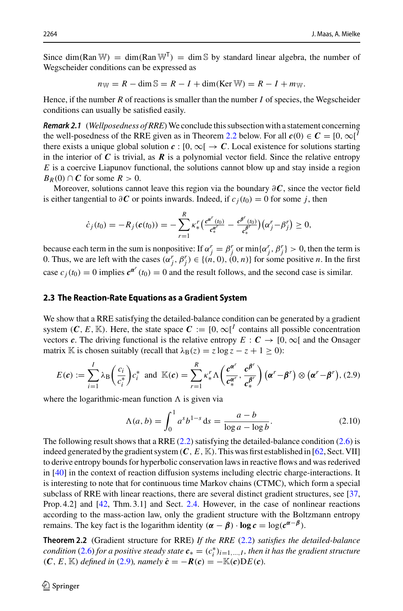Since dim(Ran W) = dim(Ran W<sup>T</sup>) = dim S by standard linear algebra, the number of Wegscheider conditions can be expressed as

$$
n_{\mathbb{W}} = R - \dim \mathbb{S} = R - I + \dim(\text{Ker } \mathbb{W}) = R - I + m_{\mathbb{W}}.
$$

Hence, if the number  $R$  of reactions is smaller than the number  $I$  of species, the Wegscheider conditions can usually be satisfied easily.

**Remark 2.1** (*Wellposedness of RRE*) We conclude this subsection with a statement concerning the well-posedness of the RRE given as in Theorem [2.2](#page-7-0) below. For all  $c(0) \in \mathbb{C} = [0, \infty]^I$ there exists a unique global solution  $c : [0, \infty) \to C$ . Local existence for solutions starting in the interior of  $C$  is trivial, as  $R$  is a polynomial vector field. Since the relative entropy *E* is a coercive Liapunov functional, the solutions cannot blow up and stay inside a region  $B_R(0) \cap C$  for some  $R > 0$ .

Moreover, solutions cannot leave this region via the boundary ∂*C*, since the vector field is either tangential to  $\partial C$  or points inwards. Indeed, if  $c_j(t_0) = 0$  for some *j*, then

$$
\dot{c}_j(t_0) = -R_j(c(t_0)) = -\sum_{r=1}^R \kappa_{*}^r \Big( \frac{c^{\alpha^r}(t_0)}{c_*^{\alpha^r}} - \frac{c^{\beta^r}(t_0)}{c_*^{\beta^r}} \Big) \Big( \alpha_j^r - \beta_j^r \Big) \geq 0,
$$

because each term in the sum is nonpositive: If  $\alpha_j^r = \beta_j^r$  or  $\min{\{\alpha_j^r, \beta_j^r\}} > 0$ , then the term is 0. Thus, we are left with the cases  $(\alpha_j^r, \beta_j^r) \in \{(n, 0), (0, n)\}$  for some positive *n*. In the first case  $c_j(t_0) = 0$  implies  $c^{\alpha^r}(t_0) = 0$  and the result follows, and the second case is similar.

## <span id="page-7-3"></span>**2.3 The Reaction-Rate Equations as a Gradient System**

We show that a RRE satisfying the detailed-balance condition can be generated by a gradient system (*C*, *E*,  $\mathbb{K}$ ). Here, the state space  $C := [0, \infty]^I$  contains all possible concentration vectors *c*. The driving functional is the relative entropy  $E : C \rightarrow [0, \infty[$  and the Onsager matrix K is chosen suitably (recall that  $\lambda_B(z) = z \log z - z + 1 \ge 0$ ):

<span id="page-7-1"></span>
$$
E(c) := \sum_{i=1}^{I} \lambda_{\text{B}} \left( \frac{c_i}{c_i^*} \right) c_i^* \text{ and } \mathbb{K}(c) = \sum_{r=1}^{R} \kappa_*^r \Lambda \left( \frac{c^{\alpha^r}}{c_*^{\alpha^r}}, \frac{c^{\beta^r}}{c_*^{\beta^r}} \right) (\alpha^r - \beta^r) \otimes (\alpha^r - \beta^r), (2.9)
$$

where the logarithmic-mean function  $\Lambda$  is given via

<span id="page-7-2"></span><span id="page-7-0"></span>
$$
\Lambda(a, b) = \int_0^1 a^s b^{1-s} ds = \frac{a - b}{\log a - \log b}.
$$
 (2.10)

The following result shows that a RRE  $(2.2)$  satisfying the detailed-balance condition  $(2.6)$  is indeed generated by the gradient system  $(C, E, \mathbb{K})$ . This was first established in [\[62](#page-46-17), Sect. VII] to derive entropy bounds for hyperbolic conservation laws in reactive flows and was rederived in [\[40\]](#page-46-1) in the context of reaction diffusion systems including electric charge-interactions. It is interesting to note that for continuous time Markov chains (CTMC), which form a special subclass of RRE with linear reactions, there are several distinct gradient structures, see [\[37,](#page-46-18) Prop. 4.2] and [\[42](#page-46-19), Thm. 3.1] and Sect. [2.4.](#page-8-0) However, in the case of nonlinear reactions according to the mass-action law, only the gradient structure with the Boltzmann entropy remains. The key fact is the logarithm identity  $(\alpha - \beta) \cdot \log c = \log(c^{\alpha - \beta})$ .

**Theorem 2.2** (Gradient structure for RRE) *If the RRE* [\(2.2\)](#page-5-1) *satisfies the detailed-balance condition* [\(2.6\)](#page-6-0) *for a positive steady state*  $c_* = (c_i^*)_{i=1,\dots,I}$ *, then it has the gradient structure*  $(C, E, \mathbb{K})$  *defined in* [\(2.9\)](#page-7-1)*, namely*  $\dot{c} = -R(c) = -\mathbb{K}(c)DE(c)$ *.*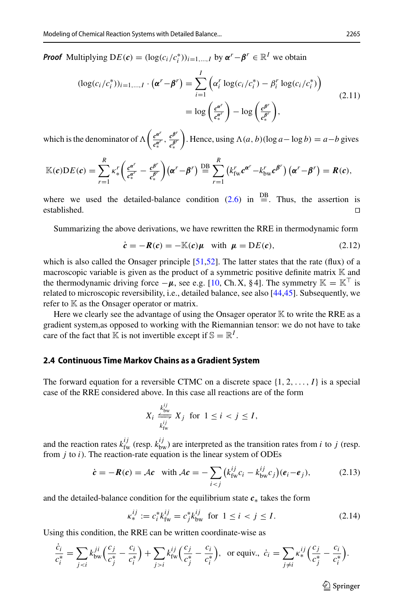*Proof* Multiplying  $DE(c) = (\log(c_i/c_i^*))_{i=1,\dots,I}$  by  $\alpha^r - \beta^r \in \mathbb{R}^I$  we obtain

<span id="page-8-3"></span>
$$
(\log(c_i/c_i^*))_{i=1,\dots,I} \cdot (\boldsymbol{\alpha}^r - \boldsymbol{\beta}^r) = \sum_{i=1}^I \left( \alpha_i^r \log(c_i/c_i^*) - \beta_i^r \log(c_i/c_i^*) \right)
$$
  

$$
= \log \left( \frac{c^{\boldsymbol{\alpha}^r}}{c_*^{\boldsymbol{\alpha}^r}} \right) - \log \left( \frac{c^{\boldsymbol{\beta}^r}}{c_*^{\boldsymbol{\beta}^r}} \right),
$$
(2.11)

which is the denominator of  $\Lambda\left(\frac{e^{\alpha'}}{e^{\alpha'}}\right)$  $\frac{c^{\alpha^r}}{c_*^{\alpha^r}}$ ,  $\frac{c^{\beta^r}}{c_*^{\beta^r}}$  $\int$ . Hence, using  $\Lambda(a, b)(\log a - \log b) = a - b$  gives

$$
\mathbb{K}(c)\mathrm{D}E(c)=\sum_{r=1}^R\kappa_{*}^r\bigg(\frac{c^{\alpha^r}}{c_*^{\alpha^r}}-\frac{c^{\beta^r}}{c_*^{\beta^r}}\bigg)\big(\alpha^r-\beta^r\big)\stackrel{\mathrm{DB}}{=} \sum_{r=1}^R\big(k_{\mathrm{fw}}^r c^{\alpha^r}-k_{\mathrm{bw}}^r c^{\beta^r}\big)\big(\alpha^r-\beta^r\big)=R(c),
$$

where we used the detailed-balance condition [\(2.6\)](#page-6-0) in  $\stackrel{\text{DB}}{=}$ . Thus, the assertion is established.

Summarizing the above derivations, we have rewritten the RRE in thermodynamic form

$$
\dot{\mathbf{c}} = -\mathbf{R}(\mathbf{c}) = -\mathbb{K}(\mathbf{c})\mathbf{\mu} \quad \text{with } \mathbf{\mu} = \mathbf{D}E(\mathbf{c}), \tag{2.12}
$$

which is also called the Onsager principle  $[51,52]$  $[51,52]$ . The latter states that the rate (flux) of a macroscopic variable is given as the product of a symmetric positive definite matrix  $\mathbb K$  and the thermodynamic driving force  $-\mu$ , see e.g. [\[10](#page-45-18), Ch. X, § 4]. The symmetry  $\mathbb{K} = \mathbb{K}^{\top}$  is related to microscopic reversibility, i.e., detailed balance, see also [\[44](#page-46-3)[,45\]](#page-46-6). Subsequently, we refer to  $K$  as the Onsager operator or matrix.

Here we clearly see the advantage of using the Onsager operator  $K$  to write the RRE as a gradient system,as opposed to working with the Riemannian tensor: we do not have to take care of the fact that K is not invertible except if  $\mathbb{S} = \mathbb{R}^I$ .

#### <span id="page-8-0"></span>**2.4 Continuous Time Markov Chains as a Gradient System**

The forward equation for a reversible CTMC on a discrete space  $\{1, 2, \ldots, I\}$  is a special case of the RRE considered above. In this case all reactions are of the form

<span id="page-8-1"></span>
$$
X_i \xleftrightarrow[k_{\text{bw}}^{ij} X_j \text{ for } 1 \le i < j \le I,
$$

and the reaction rates  $k_{\text{fw}}^{ij}$  (resp.  $k_{\text{bw}}^{ij}$ ) are interpreted as the transition rates from *i* to *j* (resp. from *j* to *i*). The reaction-rate equation is the linear system of ODEs

$$
\dot{\mathbf{c}} = -\mathbf{R}(\mathbf{c}) = \mathcal{A}\mathbf{c} \quad \text{with } \mathcal{A}\mathbf{c} = -\sum_{i < j} \big(k_{\text{fw}}^{ij} c_i - k_{\text{bw}}^{ij} c_j\big)(\mathbf{e}_i - \mathbf{e}_j), \tag{2.13}
$$

and the detailed-balance condition for the equilibrium state *c*<sup>∗</sup> takes the form

<span id="page-8-2"></span>
$$
\kappa_*^{ij} := c_i^* k_{\text{fw}}^{ij} = c_j^* k_{\text{bw}}^{ij} \text{ for } 1 \le i < j \le I. \tag{2.14}
$$

Using this condition, the RRE can be written coordinate-wise as

$$
\frac{\dot{c}_i}{c_i^*} = \sum_{j < i} k_{\text{bw}}^{ji} \left( \frac{c_j}{c_j^*} - \frac{c_i}{c_i^*} \right) + \sum_{j > i} k_{\text{fw}}^{ij} \left( \frac{c_j}{c_j^*} - \frac{c_i}{c_i^*} \right), \text{ or equiv., } \dot{c}_i = \sum_{j \neq i} \kappa_*^{ij} \left( \frac{c_j}{c_j^*} - \frac{c_i}{c_i^*} \right).
$$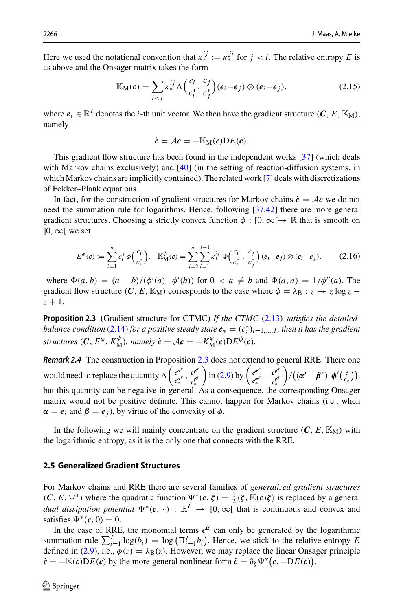Here we used the notational convention that  $\kappa_*^{ij} := \kappa_*^{ji}$  for  $j < i$ . The relative entropy *E* is as above and the Onsager matrix takes the form

$$
\mathbb{K}_{\mathbf{M}}(\mathbf{c}) = \sum_{i < j} \kappa_*^{ij} \Lambda \left( \frac{c_i}{c_i^*}, \frac{c_j}{c_j^*} \right) (\mathbf{e}_i - \mathbf{e}_j) \otimes (\mathbf{e}_i - \mathbf{e}_j), \tag{2.15}
$$

where  $e_i \in \mathbb{R}^I$  denotes the *i*-th unit vector. We then have the gradient structure  $(C, E, \mathbb{K}_M)$ , namely

$$
\dot{c} = \mathcal{A}c = -\mathbb{K}_{\mathbf{M}}(c)\mathbf{D}E(c).
$$

This gradient flow structure has been found in the independent works [\[37\]](#page-46-18) (which deals with Markov chains exclusively) and [\[40\]](#page-46-1) (in the setting of reaction-diffusion systems, in which Markov chains are implicitly contained). The related work [\[7\]](#page-45-20) deals with discretizations of Fokker–Plank equations.

In fact, for the construction of gradient structures for Markov chains  $\dot{c} = Ac$  we do not need the summation rule for logarithms. Hence, following [\[37](#page-46-18)[,42\]](#page-46-19) there are more general gradient structures. Choosing a strictly convex function  $\phi : [0, \infty) \to \mathbb{R}$  that is smooth on  $]0, \infty[$  we set

<span id="page-9-2"></span>
$$
E^{\phi}(c) := \sum_{i=1}^{n} c_i^* \phi \left( \frac{c_i}{c_i^*} \right), \quad \mathbb{K}_{\mathbf{M}}^{\phi}(c) = \sum_{j=2}^{n} \sum_{i=1}^{j-1} \kappa_*^{ij} \Phi \left( \frac{c_i}{c_i^*}, \frac{c_j}{c_j^*} \right) (e_i - e_j) \otimes (e_i - e_j), \tag{2.16}
$$

<span id="page-9-1"></span>where  $\Phi(a, b) = (a - b)/(\phi'(a) - \phi'(b))$  for  $0 < a \neq b$  and  $\Phi(a, a) = 1/\phi''(a)$ . The gradient flow structure  $(C, E, \mathbb{K}_{M})$  corresponds to the case where  $\phi = \lambda_{B} : z \mapsto z \log z$  $z + 1$ .

**Proposition 2.3** (Gradient structure for CTMC) *If the CTMC* [\(2.13\)](#page-8-1) *satisfies the detailedbalance condition* [\(2.14\)](#page-8-2) *for a positive steady state*  $c_* = (c_i^*)_{i=1,\dots,I}$ , *then it has the gradient structures* (*C*,  $E^{\phi}$ ,  $K_{\text{M}}^{\phi}$ ), namely  $\dot{c} = \mathcal{A}c = -K_{\text{M}}^{\phi}(c)DE^{\phi}(c)$ .

*Remark 2.4* The construction in Proposition [2.3](#page-9-1) does not extend to general RRE. There one would need to replace the quantity  $\Lambda\left(\frac{e^{\alpha'}}{2\alpha'}\right)$  $\frac{c^{\alpha^r}}{c_*^{\alpha^r}}$ ,  $\frac{c^{\beta^r}}{c_*^{\beta^r}}$  $\int$  in [\(2.9\)](#page-7-1) by  $\int \frac{c^{a'}}{a'}$  $\frac{c^{\alpha^r}}{c_*^{\alpha^r}} - \frac{c^{\beta^r}}{c_*^{\beta^r}}$  $\left( (\alpha^r - \beta^r) \cdot \phi'(\frac{c}{c_*}) \right),$ but this quantity can be negative in general. As a consequence, the corresponding Onsager matrix would not be positive definite. This cannot happen for Markov chains (i.e., when  $\alpha = e_i$  and  $\beta = e_j$ ), by virtue of the convexity of  $\phi$ .

In the following we will mainly concentrate on the gradient structure  $(C, E, \mathbb{K}_{\mathrm{M}})$  with the logarithmic entropy, as it is the only one that connects with the RRE.

## <span id="page-9-0"></span>**2.5 Generalized Gradient Structures**

For Markov chains and RRE there are several families of *generalized gradient structures*  $(C, E, \Psi^*)$  where the quadratic function  $\Psi^*(c, \zeta) = \frac{1}{2} \langle \zeta, \mathbb{K}(c)\zeta \rangle$  is replaced by a general *dual dissipation potential*  $\Psi^*(c, \cdot) : \mathbb{R}^I \to [0, \infty]$  that is continuous and convex and satisfies  $\Psi^*(c, 0) = 0$ .

In the case of RRE, the monomial terms  $c^{\alpha}$  can only be generated by the logarithmic summation rule  $\sum_{i=1}^{I} \log(b_i) = \log(\Pi_{i=1}^I b_i)$ . Hence, we stick to the relative entropy *E* defined in [\(2.9\)](#page-7-1), i.e.,  $\phi(z) = \lambda_{\rm B}(z)$ . However, we may replace the linear Onsager principle  $\dot{\mathbf{c}} = -\mathbb{K}(\mathbf{c})\mathbf{D}E(\mathbf{c})$  by the more general nonlinear form  $\dot{\mathbf{c}} = \partial_{\zeta} \Psi^*(\mathbf{c}, -\mathbf{D}E(\mathbf{c}))$ .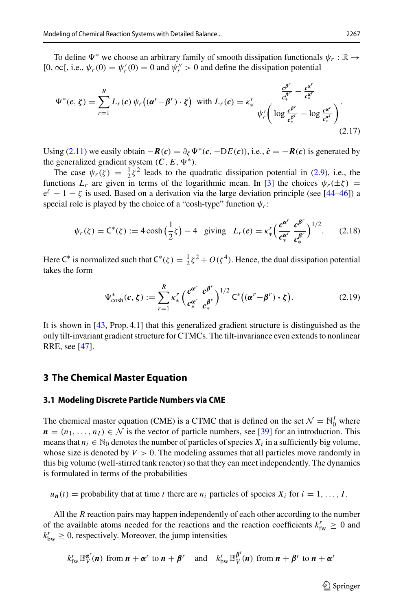To define  $\Psi^*$  we choose an arbitrary family of smooth dissipation functionals  $\psi_r : \mathbb{R} \to$ [0,  $\infty$ [, i.e.,  $\psi_r(0) = \psi'_r(0) = 0$  and  $\psi''_r > 0$  and define the dissipation potential

$$
\Psi^*(c,\zeta) = \sum_{r=1}^R L_r(c)\,\psi_r\big((\alpha^r - \beta^r) \cdot \zeta\big) \quad \text{with } L_r(c) = \kappa_*^r \frac{\frac{c^{\beta^r}}{c_*^{\beta^r}} - \frac{c^{\alpha^r}}{c_*^{\alpha^r}}}{\psi'_r\bigg(\log \frac{c^{\beta^r}}{c_*^{\beta^r}} - \log \frac{c^{\alpha^r}}{c_*^{\alpha^r}}\bigg)}.
$$
\n(2.17)

Using [\(2.11\)](#page-8-3) we easily obtain  $-R(c) = \partial_c \Psi^*(c, -DE(c))$ , i.e.,  $\dot{c} = -R(c)$  is generated by the generalized gradient system  $(C, E, \Psi^*)$ .

The case  $\psi_r(\zeta) = \frac{1}{2}\zeta^2$  leads to the quadratic dissipation potential in [\(2.9\)](#page-7-1), i.e., the functions  $L_r$  are given in terms of the logarithmic mean. In [\[3](#page-44-3)] the choices  $\psi_r(\pm \zeta)$  =  $e^{\zeta} - 1 - \zeta$  is used. Based on a derivation via the large deviation principle (see [\[44](#page-46-3)[–46\]](#page-46-4)) a special role is played by the choice of a "cosh-type" function  $\psi_r$ :

<span id="page-10-1"></span>
$$
\psi_r(\zeta) = C^*(\zeta) := 4 \cosh\left(\frac{1}{2}\zeta\right) - 4 \quad \text{giving} \quad L_r(c) = \kappa_*^r \left(\frac{c^{\alpha^r}}{c_*^{\alpha^r}} \frac{c^{\beta^r}}{c_*^{\beta^r}}\right)^{1/2}.
$$
 (2.18)

Here C<sup>∗</sup> is normalized such that  $C^*(\zeta) = \frac{1}{2}\zeta^2 + O(\zeta^4)$ . Hence, the dual dissipation potential takes the form

$$
\Psi_{\cosh}^*(c,\zeta) := \sum_{r=1}^R \kappa_*^r \left( \frac{c^{\alpha^r}}{c_*^{\alpha^r}} \frac{c^{\beta^r}}{c_*^{\beta^r}} \right)^{1/2} C^*\big((\alpha^r - \beta^r) \cdot \zeta\big).
$$
 (2.19)

It is shown in [\[43,](#page-46-2) Prop. 4.1] that this generalized gradient structure is distinguished as the only tilt-invariant gradient structure for CTMCs. The tilt-invariance even extends to nonlinear RRE, see [\[47](#page-46-5)].

## <span id="page-10-0"></span>**3 The Chemical Master Equation**

#### **3.1 Modeling Discrete Particle Numbers via CME**

The chemical master equation (CME) is a CTMC that is defined on the set  $\mathcal{N} = \mathbb{N}_0^I$  where  $n = (n_1, \ldots, n_I) \in \mathcal{N}$  is the vector of particle numbers, see [\[39\]](#page-46-0) for an introduction. This means that  $n_i \in \mathbb{N}_0$  denotes the number of particles of species  $X_i$  in a sufficiently big volume, whose size is denoted by  $V > 0$ . The modeling assumes that all particles move randomly in this big volume (well-stirred tank reactor) so that they can meet independently. The dynamics is formulated in terms of the probabilities

 $u_n(t)$  = probability that at time *t* there are  $n_i$  particles of species  $X_i$  for  $i = 1, \ldots, I$ .

All the *R* reaction pairs may happen independently of each other according to the number of the available atoms needed for the reactions and the reaction coefficients  $k_{\text{fw}}^r \geq 0$  and  $k_{\text{bw}}^r \geq 0$ , respectively. Moreover, the jump intensities

$$
k_{\text{fw}}^r \mathbb{B}_{V}^{\alpha^r}(n)
$$
 from  $n + \alpha^r$  to  $n + \beta^r$  and  $k_{\text{bw}}^r \mathbb{B}_{V}^{\beta^r}(n)$  from  $n + \beta^r$  to  $n + \alpha^r$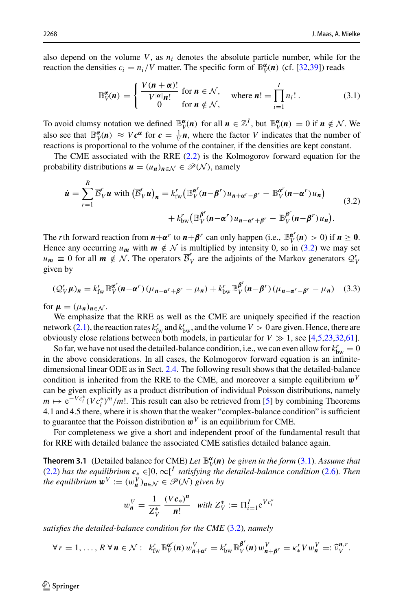also depend on the volume  $V$ , as  $n_i$  denotes the absolute particle number, while for the reaction the densities  $c_i = n_i/V$  matter. The specific form of  $\mathbb{B}_V^{\alpha}(n)$  (cf. [\[32](#page-45-21)[,39](#page-46-0)]) reads

<span id="page-11-0"></span>
$$
\mathbb{B}_{V}^{\alpha}(n) = \begin{cases} \frac{V(n+\alpha)!}{V^{|\alpha|}n!} & \text{for } n \in \mathcal{N}, \\ 0 & \text{for } n \notin \mathcal{N}, \end{cases} \text{ where } n! = \prod_{i=1}^{I} n_i! \,. \tag{3.1}
$$

To avoid clumsy notation we defined  $\mathbb{B}_{V}^{\alpha}(n)$  for all  $n \in \mathbb{Z}^{I}$ , but  $\mathbb{B}_{V}^{\alpha}(n) = 0$  if  $n \notin \mathcal{N}$ . We also see that  $\mathbb{B}_{V}^{\alpha}(n) \approx Vc^{\alpha}$  for  $c = \frac{1}{V}n$ , where the factor *V* indicates that the number of reactions is proportional to the volume of the container, if the densities are kept constant.

The CME associated with the RRE [\(2.2\)](#page-5-1) is the Kolmogorov forward equation for the probability distributions  $u = (u_n)_{n \in \mathcal{N}} \in \mathcal{P}(\mathcal{N})$ , namely

<span id="page-11-2"></span>
$$
\dot{\mathbf{u}} = \sum_{r=1}^{R} \overline{\mathcal{B}}_{V}^{r} \mathbf{u} \text{ with } \left(\overline{\mathcal{B}}_{V}^{r} \mathbf{u}\right)_{n} = k_{\text{fw}}^{r} \left(\mathbb{B}_{V}^{\alpha^{r}} (n - \beta^{r}) u_{n + \alpha^{r} - \beta^{r}} - \mathbb{B}_{V}^{\alpha^{r}} (n - \alpha^{r}) u_{n}\right) + k_{\text{bw}}^{r} \left(\mathbb{B}_{V}^{\beta^{r}} (n - \alpha^{r}) u_{n - \alpha^{r} + \beta^{r}} - \mathbb{B}_{V}^{\beta^{r}} (n - \beta^{r}) u_{n}\right). \tag{3.2}
$$

The *r*th forward reaction from  $n + \alpha^r$  to  $n + \beta^r$  can only happen (i.e.,  $\mathbb{B}_V^{\alpha^r}(n) > 0$ ) if  $n \ge 0$ . Hence any occurring  $u_m$  with  $m \notin \mathcal{N}$  is multiplied by intensity 0, so in [\(3.2\)](#page-11-2) we may set  $u_m \equiv 0$  for all  $m \notin N$ . The operators  $\overline{B}_V^r$  are the adjoints of the Markov generators  $Q_V^r$ given by

<span id="page-11-3"></span>
$$
\left(\mathcal{Q}_{V}^{r}\mu\right)_{n} = k_{\text{fw}}^{r} \mathbb{B}_{V}^{\alpha^{r}}(n-\alpha^{r})\left(\mu_{n-\alpha^{r}+\beta^{r}} - \mu_{n}\right) + k_{\text{bw}}^{r} \mathbb{B}_{V}^{\beta^{r}}(n-\beta^{r})\left(\mu_{n+\alpha^{r}-\beta^{r}} - \mu_{n}\right) \tag{3.3}
$$

for  $\mu = (\mu_n)_{n \in \mathcal{N}}$ .

We emphasize that the RRE as well as the CME are uniquely specified if the reaction network [\(2.1\)](#page-5-2), the reaction rates  $k_{\text{fw}}^r$  and  $k_{\text{bw}}^r$ , and the volume  $V > 0$  are given. Hence, there are obviously close relations between both models, in particular for  $V \gg 1$ , see [\[4](#page-44-2)[,5](#page-45-22)[,23](#page-45-0)[,32](#page-45-21)[,61\]](#page-46-11).

So far, we have not used the detailed-balance condition, i.e., we can even allow for  $k_{bw}^r = 0$ in the above considerations. In all cases, the Kolmogorov forward equation is an infinitedimensional linear ODE as in Sect. [2.4.](#page-8-0) The following result shows that the detailed-balance condition is inherited from the RRE to the CME, and moreover a simple equilibrium  $\mathbf{w}^V$ can be given explicitly as a product distribution of individual Poisson distributions, namely *m*  $\mapsto e^{-Vc_i^*}(Vc_i^*)^m/m!$ . This result can also be retrieved from [\[5\]](#page-45-22) by combining Theorems 4.1 and 4.5 there, where it is shown that the weaker "complex-balance condition" is sufficient to guarantee that the Poisson distribution  $\boldsymbol{w}^V$  is an equilibrium for CME.

For completeness we give a short and independent proof of the fundamental result that for RRE with detailed balance the associated CME satisfies detailed balance again.

**Theorem 3.1** (Detailed balance for CME) Let  $\mathbb{B}_V^{\alpha}(n)$  be given in the form [\(3.1\)](#page-11-0). Assume that [\(2.2\)](#page-5-1) *has the equilibrium*  $c_* ∈ ]0, ∞[<sup>I</sup> satisfying the detailed-balance condition (2.6). Then$  $c_* ∈ ]0, ∞[<sup>I</sup> satisfying the detailed-balance condition (2.6). Then$  $c_* ∈ ]0, ∞[<sup>I</sup> satisfying the detailed-balance condition (2.6). Then$ *the equilibrium*  $\mathbf{w}^V := (w^V_{\mathbf{n}})_{\mathbf{n} \in \mathcal{N}} \in \mathcal{P}(\mathcal{N})$  given by

<span id="page-11-1"></span>
$$
w_n^V = \frac{1}{Z_V^*} \frac{(Vc_*)^n}{n!} \text{ with } Z_V^* := \Pi_{i=1}^I e^{Vc_i^*}
$$

*satisfies the detailed-balance condition for the CME* [\(3.2\)](#page-11-2)*, namely*

$$
\forall r=1,\ldots,R\ \forall\, n\in\mathcal{N}:\ \ k_{\text{fw}}^r\ \mathbb{B}_V^{a^r}(n)\ w_{n+\alpha^r}^V=k_{\text{bw}}^r\ \mathbb{B}_V^{\beta^r}(n)\ w_{n+\beta^r}^V=\kappa_*^r\ V w_n^V=:\widehat{\nu}_V^{n,r}.
$$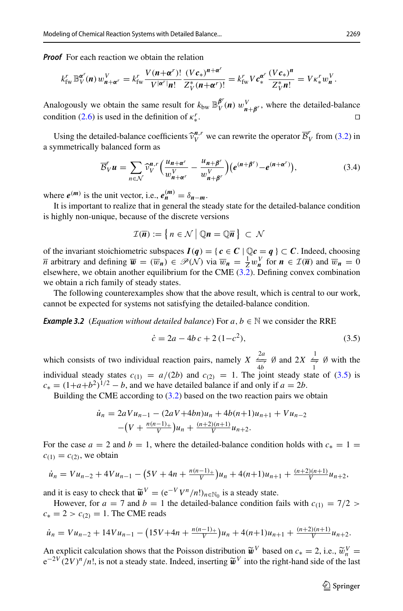*Proof* For each reaction we obtain the relation

$$
k_{\text{fw}}^r \mathbb{B}_{V}^{\alpha^r}(\boldsymbol{n}) w_{\boldsymbol{n}+\boldsymbol{\alpha}^r}^V = k_{\text{fw}}^r \frac{V(\boldsymbol{n}+\boldsymbol{\alpha}^r)!}{V^{|\boldsymbol{\alpha}^r|}\boldsymbol{n}!} \frac{(Vc_*)^{\boldsymbol{n}+\boldsymbol{\alpha}^r}}{Z_V^*(\boldsymbol{n}+\boldsymbol{\alpha}^r)!} = k_{\text{fw}}^r V c_*^{\boldsymbol{\alpha}^r} \frac{(Vc_*)^{\boldsymbol{n}}}{Z_V^* \boldsymbol{n}!} = V \kappa_*^r w_{\boldsymbol{n}}^V.
$$

Analogously we obtain the same result for  $k_{\text{bw}} \mathbb{B}_{V}^{\beta'}(\boldsymbol{n}) w_{\boldsymbol{n}+\beta'}^V$ , where the detailed-balance condition [\(2.6\)](#page-6-0) is used in the definition of  $\kappa^r$ . <sup>∗</sup>.

Using the detailed-balance coefficients  $\hat{v}_V^{n,r}$  we can rewrite the operator  $\overline{\mathcal{B}}_V^r$  from [\(3.2\)](#page-11-2) in vector is almost the system of  $\overline{\mathcal{B}}_V^r$  from (3.2) in a symmetrically balanced form as

<span id="page-12-1"></span>
$$
\overline{\mathcal{B}}_{V}^{r} \mathbf{u} = \sum_{n \in \mathcal{N}} \widehat{\nu}_{V}^{n,r} \left( \frac{u_{n+\alpha^{r}}}{w_{n+\alpha^{r}}^{V}} - \frac{u_{n+\beta^{r}}}{w_{n+\beta^{r}}^{V}} \right) \left( e^{(n+\beta^{r})} - e^{(n+\alpha^{r})} \right), \tag{3.4}
$$

where  $e^{(m)}$  is the unit vector, i.e.,  $e_n^{(m)} = \delta_{n-m}$ .

It is important to realize that in general the steady state for the detailed-balance condition is highly non-unique, because of the discrete versions

$$
\mathcal{I}(\overline{n}) := \left\{ n \in \mathcal{N} \mid \mathbb{Q}n = \mathbb{Q}\overline{n} \right\} \subset \mathcal{N}
$$

of the invariant stoichiometric subspaces  $I(q) = \{ c \in C \mid \mathbb{Q}c = q \} \subset C$ . Indeed, choosing *n* arbitrary and defining  $\overline{w} = (\overline{w}_n) \in \mathcal{P}(\mathcal{N})$  via  $\overline{w}_n = \frac{1}{Z} w_n^V$  for  $n \in \mathcal{I}(\overline{n})$  and  $\overline{w}_n = 0$ elsewhere, we obtain another equilibrium for the CME  $(3.2)$ . Defining convex combination we obtain a rich family of steady states.

The following counterexamples show that the above result, which is central to our work, cannot be expected for systems not satisfying the detailed-balance condition.

*Example 3.2* (*Equation without detailed balance*) For  $a, b \in \mathbb{N}$  we consider the RRE

<span id="page-12-0"></span>
$$
\dot{c} = 2a - 4b c + 2 (1 - c^2),\tag{3.5}
$$

which consists of two individual reaction pairs, namely  $X \stackrel{2a}{\underset{4b}{\Longleftrightarrow}} \emptyset$  and  $2X \stackrel{1}{\underset{1}{\Longleftrightarrow}} \emptyset$  with the individual steady states  $c_{(1)} = a/(2b)$  and  $c_{(2)} = 1$ . The joint steady state of [\(3.5\)](#page-12-0) is  $c_* = (1+a+b^2)^{1/2} - b$ , and we have detailed balance if and only if  $a = 2b$ .

Building the CME according to  $(3.2)$  based on the two reaction pairs we obtain

$$
\begin{aligned} \n\dot{u}_n &= 2aVu_{n-1} - (2aV + 4bn)u_n + 4b(n+1)u_{n+1} + Vu_{n-2} \\ \n&- \left(V + \frac{n(n-1)}{V}\right)u_n + \frac{(n+2)(n+1)}{V}u_{n+2}.\n\end{aligned}
$$

For the case  $a = 2$  and  $b = 1$ , where the detailed-balance condition holds with  $c_* = 1$  $c_{(1)} = c_{(2)}$ , we obtain

$$
\dot{u}_n = Vu_{n-2} + 4Vu_{n-1} - (5V + 4n + \frac{n(n-1)}{V})u_n + 4(n+1)u_{n+1} + \frac{(n+2)(n+1)}{V}u_{n+2},
$$

and it is easy to check that  $\widetilde{\boldsymbol{w}}^V = (e^{-V}V^n/n!)_{n \in \mathbb{N}_0}$  is a steady state.

However, for  $a = 7$  and  $b = 1$  the detailed-balance condition fails with  $c_{(1)} = 7/2$  $c_* = 2 > c_{(2)} = 1$ . The CME reads

$$
\dot{u}_n = Vu_{n-2} + 14Vu_{n-1} - \left(15V + 4n + \frac{n(n-1)}{V}\right)u_n + 4(n+1)u_{n+1} + \frac{(n+2)(n+1)}{V}u_{n+2}.
$$

An explicit calculation shows that the Poisson distribution  $\tilde{\mathbf{w}}^V$  based on  $c_* = 2$ , i.e.,  $\tilde{w}_n^V = e^{-2V} (2V)^n/n!$  is not a steady state. Indeed, inserting  $\tilde{\mathbf{w}}^V$  into the right-hand side of the last  $e^{-2V} (2V)^n/n!$ , is not a steady state. Indeed, inserting  $\tilde{\boldsymbol{w}}^V$  into the right-hand side of the last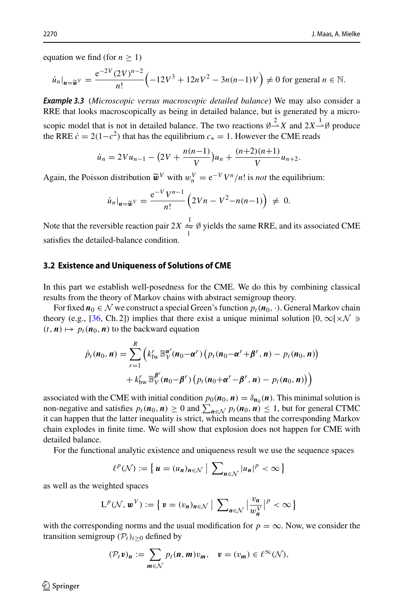equation we find (for  $n > 1$ )

$$
\dot{u}_n|_{u=\widetilde{w}^V} = \frac{e^{-2V}(2V)^{n-2}}{n!} \left(-12V^3 + 12nV^2 - 3n(n-1)V\right) \neq 0 \text{ for general } n \in \mathbb{N}.
$$

*Example 3.3* (*Microscopic versus macroscopic detailed balance*) We may also consider a RRE that looks macroscopically as being in detailed balance, but is generated by a microscopic model that is not in detailed balance. The two reactions  $\varnothing \stackrel{?}{\rightarrow} X$  and  $2X \stackrel{?}{\rightarrow} \varnothing$  produce the RRE  $\dot{c} = 2(1-c^2)$  that has the equilibrium  $c_* = 1$ . However the CME reads

$$
\dot{u}_n = 2Vu_{n-1} - \left(2V + \frac{n(n-1)}{V}\right)u_n + \frac{(n+2)(n+1)}{V}u_{n+2}.
$$

Again, the Poisson distribution  $\tilde{\boldsymbol{w}}^V$  with  $w_n^V = e^{-V} V^n/n!$  is *not* the equilibrium:

$$
\dot{u}_n|_{u=\widetilde{w}^V} = \frac{e^{-V}V^{n-1}}{n!} \left( 2Vn - V^2 - n(n-1) \right) \neq 0.
$$

Note that the reversible reaction pair  $2X \stackrel{1}{\Rightarrow} \emptyset$  yields the same RRE, and its associated CME satisfies the detailed-balance condition.

## **3.2 Existence and Uniqueness of Solutions of CME**

In this part we establish well-posedness for the CME. We do this by combining classical results from the theory of Markov chains with abstract semigroup theory.

For fixed  $n_0 \in \mathcal{N}$  we construct a special Green's function  $p_t(n_0, \cdot)$ . General Markov chain theory (e.g., [\[36,](#page-46-22) Ch. 2]) implies that there exist a unique minimal solution  $[0, \infty) \times \mathcal{N}$  $(t, n) \mapsto p_t(n_0, n)$  to the backward equation

$$
\dot{p}_t(n_0, n) = \sum_{r=1}^R \left( k_{\text{fw}}^r \mathbb{B}_{V}^{\alpha^r}(n_0 - \alpha^r) \left( p_t(n_0 - \alpha^r + \beta^r, n) - p_t(n_0, n) \right) + k_{\text{bw}}^r \mathbb{B}_{V}^{\beta^r}(n_0 - \beta^r) \left( p_t(n_0 + \alpha^r - \beta^r, n) - p_t(n_0, n) \right) \right)
$$

associated with the CME with initial condition  $p_0(n_0, n) = \delta_{n_0}(n)$ . This minimal solution is non-negative and satisfies  $p_t(n_0, n) \ge 0$  and  $\sum_{n \in \mathcal{N}} p_t(n_0, n) \le 1$ , but for general CTMC it can happen that the latter inequality is strict, which means that the corresponding Markov chain explodes in finite time. We will show that explosion does not happen for CME with detailed balance.

For the functional analytic existence and uniqueness result we use the sequence spaces

$$
\ell^p(\mathcal{N}) := \left\{ u = (u_n)_{n \in \mathcal{N}} \mid \sum_{n \in \mathcal{N}} |u_n|^p < \infty \right\}
$$

as well as the weighted spaces

$$
\mathsf{L}^{p}(\mathcal{N},\mathbf{w}^{V}) := \left\{ \mathbf{v} = (v_{n})_{n \in \mathcal{N}} \mid \sum_{n \in \mathcal{N}} \left| \frac{v_{n}}{w_{n}^{V}} \right|^{p} < \infty \right\}
$$

with the corresponding norms and the usual modification for  $p = \infty$ . Now, we consider the transition semigroup  $(\mathcal{P}_t)_{t>0}$  defined by

$$
(\mathcal{P}_t v)_n := \sum_{m \in \mathcal{N}} p_t(n, m) v_m, \quad v = (v_m) \in \ell^{\infty}(\mathcal{N}),
$$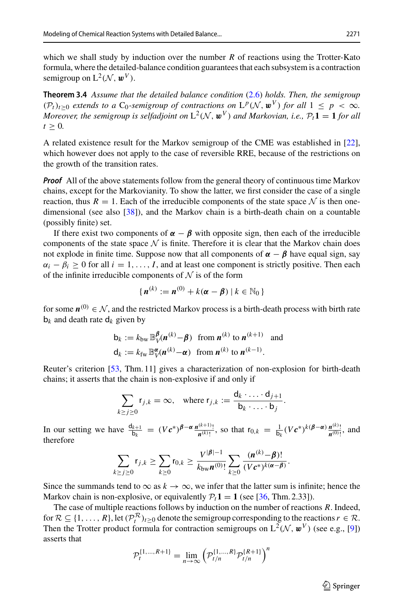which we shall study by induction over the number *R* of reactions using the Trotter-Kato formula, where the detailed-balance condition guarantees that each subsystem is a contraction semigroup on  $L^2(\mathcal{N}, \boldsymbol{w}^V)$ .

**Theorem 3.4** *Assume that the detailed balance condition* [\(2.6\)](#page-6-0) *holds. Then, the semigroup*  $(P_t)_{t>0}$  *extends to a*  $C_0$ -semigroup of contractions on  $L^p(\mathcal{N}, \mathbf{w}^V)$  for all  $1 \leq p < \infty$ *. Moreover, the semigroup is selfadjoint on*  $L^2(\mathcal{N}, \mathbf{w}^V)$  *and Markovian, i.e.,*  $\mathcal{P}_t \mathbf{1} = \mathbf{1}$  *for all*  $t \geq 0$ .

A related existence result for the Markov semigroup of the CME was established in [\[22\]](#page-45-23), which however does not apply to the case of reversible RRE, because of the restrictions on the growth of the transition rates.

*Proof* All of the above statements follow from the general theory of continuous time Markov chains, except for the Markovianity. To show the latter, we first consider the case of a single reaction, thus  $R = 1$ . Each of the irreducible components of the state space  $N$  is then onedimensional (see also [\[38](#page-46-13)]), and the Markov chain is a birth-death chain on a countable (possibly finite) set.

If there exist two components of  $\alpha - \beta$  with opposite sign, then each of the irreducible components of the state space  $N$  is finite. Therefore it is clear that the Markov chain does not explode in finite time. Suppose now that all components of  $\alpha - \beta$  have equal sign, say  $\alpha_i - \beta_i \geq 0$  for all  $i = 1, \ldots, I$ , and at least one component is strictly positive. Then each of the infinite irreducible components of  $N$  is of the form

$$
\{n^{(k)}:=n^{(0)}+k(\boldsymbol{\alpha}-\boldsymbol{\beta})\,|\,k\in\mathbb{N}_0\}
$$

for some  $n^{(0)} \in \mathcal{N}$ , and the restricted Markov process is a birth-death process with birth rate  **and death rate**  $**d**<sub>k</sub>$  **given by** 

$$
\mathbf{b}_k := k_{\text{bw}} \mathbb{B}_{V}^{\beta}(\mathbf{n}^{(k)} - \beta) \text{ from } \mathbf{n}^{(k)} \text{ to } \mathbf{n}^{(k+1)} \text{ and}
$$

$$
\mathbf{d}_k := k_{\text{fw}} \mathbb{B}_{V}^{\alpha}(\mathbf{n}^{(k)} - \alpha) \text{ from } \mathbf{n}^{(k)} \text{ to } \mathbf{n}^{(k-1)}.
$$

Reuter's criterion [\[53](#page-46-23), Thm. 11] gives a characterization of non-explosion for birth-death chains; it asserts that the chain is non-explosive if and only if

$$
\sum_{k \geq j \geq 0} \mathsf{r}_{j,k} = \infty, \quad \text{where } \mathsf{r}_{j,k} := \frac{\mathsf{d}_k \cdot \ldots \cdot \mathsf{d}_{j+1}}{\mathsf{b}_k \cdot \ldots \cdot \mathsf{b}_j}.
$$

In our setting we have  $\frac{d_{k+1}}{b_k} = (Vc^*)^{\beta-\alpha} \frac{n^{(k+1)}}{n^{(k)}}$ , so that  $r_{0,k} = \frac{1}{b_k} (Vc^*)^{k(\beta-\alpha)} \frac{n^{(k)}}{n^{(0)}}$ , and therefore

$$
\sum_{k \ge j \ge 0} \mathsf{r}_{j,k} \ge \sum_{k \ge 0} \mathsf{r}_{0,k} \ge \frac{V^{|\boldsymbol{\beta}| - 1}}{k_{\text{bw}} \mathbf{n}^{(0)}!} \sum_{k \ge 0} \frac{(\mathbf{n}^{(k)} - \boldsymbol{\beta})!}{(V \mathbf{c}^*)^{k(\alpha - \boldsymbol{\beta})}}.
$$

Since the summands tend to  $\infty$  as  $k \to \infty$ , we infer that the latter sum is infinite; hence the Markov chain is non-explosive, or equivalently  $P_t$ **1** = **1** (see [\[36,](#page-46-22) Thm. 2.33]).

The case of multiple reactions follows by induction on the number of reactions *R*. Indeed, for  $\mathcal{R} \subseteq \{1, \ldots, R\}$ , let  $(\mathcal{P}_t^{\mathcal{R}})_{t \geq 0}$  denote the semigroup corresponding to the reactions  $r \in \mathcal{R}$ . Then the Trotter product formula for contraction semigroups on  $L^2(\mathcal{N}, \mathbf{w}^V)$  (see e.g., [\[9\]](#page-45-24)) asserts that

$$
\mathcal{P}_t^{\{1,\dots,R+1\}} = \lim_{n \to \infty} \left( \mathcal{P}_{t/n}^{\{1,\dots,R\}} \mathcal{P}_{t/n}^{\{R+1\}} \right)^n
$$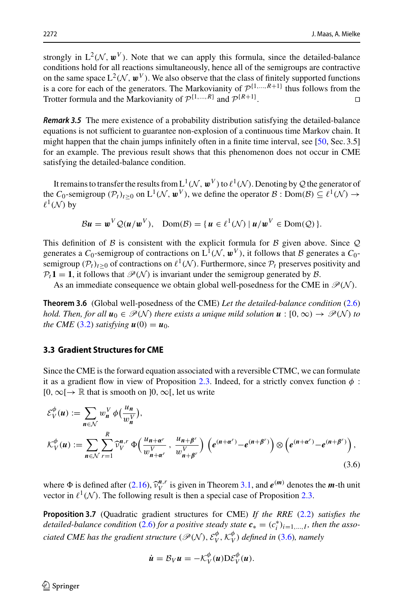strongly in  $L^2(\mathcal{N}, \mathbf{w}^V)$ . Note that we can apply this formula, since the detailed-balance conditions hold for all reactions simultaneously, hence all of the semigroups are contractive on the same space  $L^2(\mathcal{N}, \mathbf{w}^V)$ . We also observe that the class of finitely supported functions is a core for each of the generators. The Markovianity of  $\mathcal{P}^{\{1,\ldots,R+1\}}$  thus follows from the Trotter formula and the Markovianity of  $\mathcal{P}^{\{1,\ldots,R\}}$  and  $\mathcal{P}^{\{R+1\}}$ Trotter formula and the Markovianity of  $\mathcal{P}^{\{1,\ldots,R\}}$  and  $\mathcal{P}^{\{R+1\}}$ . .

*Remark 3.5* The mere existence of a probability distribution satisfying the detailed-balance equations is not sufficient to guarantee non-explosion of a continuous time Markov chain. It might happen that the chain jumps infinitely often in a finite time interval, see [\[50](#page-46-24), Sec. 3.5] for an example. The previous result shows that this phenomenon does not occur in CME satisfying the detailed-balance condition.

It remains to transfer the results from  $L^1(\mathcal{N}, \mathbf{w}^V)$  to  $\ell^1(\mathcal{N})$ . Denoting by  $\mathcal Q$  the generator of the *C*<sub>0</sub>-semigroup ( $P_t$ )<sub>*t*>0</sub> on L<sup>1</sup>( $N$ ,  $\mathbf{w}^V$ ), we define the operator  $B : Dom(B) \subseteq \ell^1(\mathcal{N}) \rightarrow$  $\ell^1(\mathcal{N})$  by

$$
\mathcal{B}\boldsymbol{u}=\boldsymbol{w}^V\mathcal{Q}(\boldsymbol{u}/\boldsymbol{w}^V),\quad \text{Dom}(\mathcal{B})=\{\boldsymbol{u}\in\ell^1(\mathcal{N})\,|\,\boldsymbol{u}/\boldsymbol{w}^V\in\text{Dom}(\mathcal{Q})\}.
$$

This definition of *B* is consistent with the explicit formula for *B* given above. Since *Q* generates a  $C_0$ -semigroup of contractions on  $L^1(\mathcal{N}, \mathbf{w}^V)$ , it follows that *B* generates a  $C_0$ semigroup  $(\mathcal{P}_t)_{t>0}$  of contractions on  $\ell^1(\mathcal{N})$ . Furthermore, since  $\mathcal{P}_t$  preserves positivity and  $P_t$ **1** = **1**, it follows that  $\mathcal{P}(\mathcal{N})$  is invariant under the semigroup generated by *B*.

As an immediate consequence we obtain global well-posedness for the CME in  $\mathcal{P}(\mathcal{N})$ .

**Theorem 3.6** (Global well-posedness of the CME) *Let the detailed-balance condition* [\(2.6\)](#page-6-0) *hold. Then, for all*  $u_0 \in \mathcal{P}(\mathcal{N})$  *there exists a unique mild solution*  $u : [0, \infty) \to \mathcal{P}(\mathcal{N})$  *to the CME* [\(3.2\)](#page-11-2) *satisfying*  $u(0) = u_0$ *.* 

## **3.3 Gradient Structures for CME**

Since the CME is the forward equation associated with a reversible CTMC, we can formulate it as a gradient flow in view of Proposition [2.3.](#page-9-1) Indeed, for a strictly convex function  $\phi$ :  $[0, \infty] \rightarrow \mathbb{R}$  that is smooth on  $[0, \infty]$ , let us write

$$
\mathcal{E}_{V}^{\phi}(u) := \sum_{n \in \mathcal{N}} w_{n}^{V} \phi\left(\frac{u_{n}}{w_{n}^{V}}\right),
$$
\n
$$
\mathcal{K}_{V}^{\phi}(u) := \sum_{n \in \mathcal{N}} \sum_{r=1}^{R} \widehat{\nu}_{V}^{n,r} \Phi\left(\frac{u_{n+\alpha^{r}}}{w_{n+\alpha^{r}}^{V}}, \frac{u_{n+\beta^{r}}}{w_{n+\beta^{r}}^{V}}\right) \left(e^{(n+\alpha^{r})} - e^{(n+\beta^{r})}\right) \otimes \left(e^{(n+\alpha^{r})} - e^{(n+\beta^{r})}\right),
$$
\n(3.6)

where  $\Phi$  is defined after [\(2.16\)](#page-9-2),  $\hat{v}_V^{n,r}$  is given in Theorem [3.1,](#page-11-1) and  $e^{(m)}$  denotes the *m*-th unit vector in  $\ell^1(\Lambda)$ . The following result is then a special case of Proposition 2.3 vector in  $\ell^1(\mathcal{N})$ . The following result is then a special case of Proposition [2.3.](#page-9-1)

**Proposition 3.7** (Quadratic gradient structures for CME) *If the RRE* [\(2.2\)](#page-5-1) *satisfies the detailed-balance condition* [\(2.6\)](#page-6-0) *for a positive steady state*  $c_* = (c_i^*)_{i=1,\dots,I}$ *, then the associated CME has the gradient structure*  $(\mathscr{P}(\mathcal{N}), \mathcal{E}_{V}^{\phi}, \mathcal{K}_{V}^{\phi})$  *defined in* [\(3.6\)](#page-15-0)*, namely* 

<span id="page-15-0"></span>
$$
\dot{\boldsymbol{u}} = \mathcal{B}_V \boldsymbol{u} = -\mathcal{K}_V^{\phi}(\boldsymbol{u}) \mathcal{D} \mathcal{E}_V^{\phi}(\boldsymbol{u}).
$$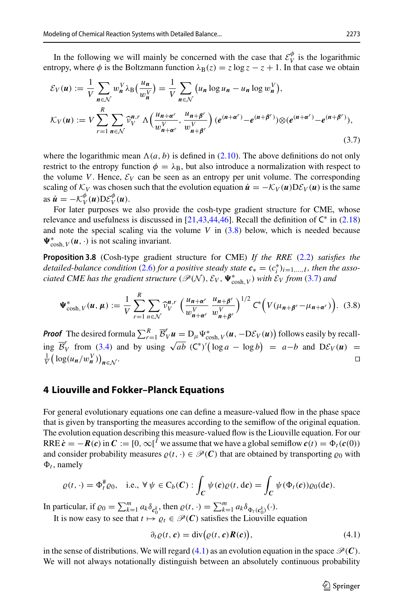In the following we will mainly be concerned with the case that  $\mathcal{E}_{V}^{\phi}$  is the logarithmic entropy, where  $\phi$  is the Boltzmann function  $\lambda_B(z) = z \log z - z + 1$ . In that case we obtain

<span id="page-16-0"></span>
$$
\mathcal{E}_V(u) := \frac{1}{V} \sum_{n \in \mathcal{N}} w_n^V \lambda_B\left(\frac{u_n}{w_n^V}\right) = \frac{1}{V} \sum_{n \in \mathcal{N}} \left(u_n \log u_n - u_n \log w_n^V\right),
$$
  

$$
\mathcal{K}_V(u) := V \sum_{r=1}^R \sum_{n \in \mathcal{N}} \widehat{\nu}_{V}^{n,r} \Lambda\left(\frac{u_{n+\alpha^r}}{w_{n+\alpha^r}^V}, \frac{u_{n+\beta^r}}{w_{n+\beta^r}^V}\right) \left(e^{(n+\alpha^r)} - e^{(n+\beta^r)}\right) \otimes \left(e^{(n+\alpha^r)} - e^{(n+\beta^r)}\right),
$$
\n(3.7)

where the logarithmic mean  $\Lambda(a, b)$  is defined in [\(2.10\)](#page-7-2). The above definitions do not only restrict to the entropy function  $\phi = \lambda_B$ , but also introduce a normalization with respect to the volume *V*. Hence,  $\mathcal{E}_V$  can be seen as an entropy per unit volume. The corresponding scaling of  $K_V$  was chosen such that the evolution equation  $\dot{\mathbf{u}} = -K_V(\mathbf{u})\mathbf{D}\mathcal{E}_V(\mathbf{u})$  is the same as  $\dot{u} = -\mathcal{K}_V^{\phi}(u) D \mathcal{E}_V^{\phi}(u)$ .

<span id="page-16-4"></span>For later purposes we also provide the cosh-type gradient structure for CME, whose relevance and usefulness is discussed in [\[21](#page-45-25)[,43](#page-46-2)[,44](#page-46-3)[,46\]](#page-46-4). Recall the definition of  $C^*$  in [\(2.18\)](#page-10-1) and note the special scaling via the volume *V* in [\(3.8\)](#page-16-2) below, which is needed because  $\Psi_{\cosh,V}^*(u, \cdot)$  is not scaling invariant.

**Proposition 3.8** (Cosh-type gradient structure for CME) *If the RRE* [\(2.2\)](#page-5-1) *satisfies the detailed-balance condition* [\(2.6\)](#page-6-0) *for a positive steady state*  $c_* = (c_i^*)_{i=1,\dots,I}$ , *then the associated CME has the gradient structure* ( $\mathscr{P}(\mathcal{N})$ ,  $\mathcal{E}_V$ ,  $\Psi^*_{\cosh, V}$ ) with  $\mathcal{E}_V$  from [\(3.7\)](#page-16-0) and

<span id="page-16-2"></span>
$$
\Psi_{\cosh,V}^*(u,\mu) := \frac{1}{V} \sum_{r=1}^R \sum_{n \in \mathcal{N}} \widehat{\nu}_V^{n,r} \left( \frac{u_{n+\alpha^r}}{w_{n+\alpha^r}^V} \frac{u_{n+\beta^r}}{w_{n+\beta^r}^V} \right)^{1/2} C^* \left( V(\mu_{n+\beta^r} - \mu_{n+\alpha^r}) \right). \tag{3.8}
$$

*Proof* The desired formula  $\sum_{r=1}^{R} \overline{B}'_V u = D_\mu \Psi_{\cosh,V}^* (u, -D\mathcal{E}_V(u))$  follows easily by recall- $\lim_{x \to a} \overline{B}_V^r$  from [\(3.4\)](#page-12-1) and by using  $\sqrt{ab}$  (C<sup>\*</sup>)'(log *a* − log *b*) = *a*−*b* and D $\mathcal{E}_V(u)$  = 1 (log(*u*, /*w*<sup>V</sup>))  $\frac{1}{V}$ ( $\log(u_n/w_n^V)$ ) *n*∈*N* . □

## <span id="page-16-1"></span>**4 Liouville and Fokker–Planck Equations**

For general evolutionary equations one can define a measure-valued flow in the phase space that is given by transporting the measures according to the semiflow of the original equation. The evolution equation describing this measure-valued flow is the Liouville equation. For our RRE  $\dot{\mathbf{c}} = -\mathbf{R}(\mathbf{c})$  in  $\mathbf{C} := [0, \infty]^I$  we assume that we have a global semiflow  $\mathbf{c}(t) = \Phi_t(\mathbf{c}(0))$ and consider probability measures  $\rho(t, \cdot) \in \mathcal{P}(C)$  that are obtained by transporting  $\rho_0$  with  $\Phi_t$ , namely

$$
\varrho(t,\cdot)=\Phi_t^{\#}\varrho_0,\quad \text{i.e., }\forall\,\psi\in C_b(\boldsymbol{C}) : \int_{\boldsymbol{C}}\psi(\boldsymbol{c})\varrho(t,\mathrm{d}\boldsymbol{c})=\int_{\boldsymbol{C}}\psi(\Phi_t(\boldsymbol{c}))\varrho_0(\mathrm{d}\boldsymbol{c}).
$$

In particular, if  $\varrho_0 = \sum_{k=1}^m a_k \delta_{\mathbf{c}_0^k}$ , then  $\varrho(t, \cdot) = \sum_{k=1}^m a_k \delta_{\Phi_t(\mathbf{c}_0^k)}(\cdot)$ . It is now easy to see that  $t \mapsto \varrho_t \in \mathcal{P}(C)$  satisfies the Liouville equation

<span id="page-16-3"></span>
$$
\partial_t \varrho(t, \mathbf{c}) = \text{div}(\varrho(t, \mathbf{c}) \mathbf{R}(\mathbf{c})), \tag{4.1}
$$

in the sense of distributions. We will regard  $(4.1)$  as an evolution equation in the space  $\mathcal{P}(\mathbf{C})$ . We will not always notationally distinguish between an absolutely continuous probability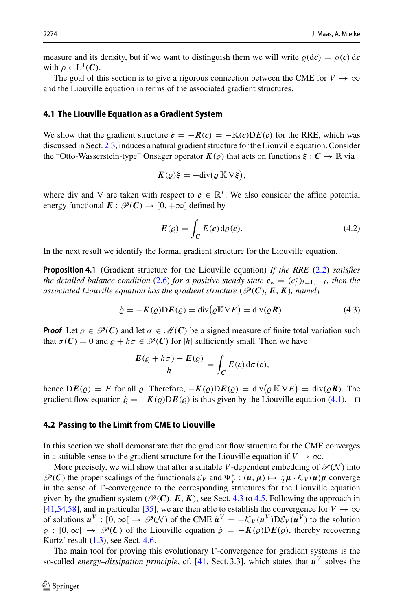measure and its density, but if we want to distinguish them we will write  $\rho$ (*dc*) =  $\rho$ (*c*) d*c* with  $\rho \in L^1(\mathcal{C})$ .

The goal of this section is to give a rigorous connection between the CME for  $V \to \infty$ and the Liouville equation in terms of the associated gradient structures.

### **4.1 The Liouville Equation as a Gradient System**

We show that the gradient structure  $\dot{\mathbf{c}} = -\mathbf{R}(\mathbf{c}) = -\mathbb{K}(\mathbf{c})\mathbf{D}E(\mathbf{c})$  for the RRE, which was discussed in Sect. [2.3,](#page-7-3) induces a natural gradient structure for the Liouville equation. Consider the "Otto-Wasserstein-type" Onsager operator  $K(\rho)$  that acts on functions  $\xi : C \to \mathbb{R}$  via

$$
K(\varrho)\xi=-\mathrm{div}\big(\varrho\,\mathbb{K}\,\nabla\xi\big),
$$

where div and  $\nabla$  are taken with respect to  $\mathbf{c} \in \mathbb{R}^I$ . We also consider the affine potential energy functional  $E : \mathcal{P}(C) \to [0, +\infty]$  defined by

<span id="page-17-2"></span><span id="page-17-0"></span>
$$
E(\varrho) = \int_C E(c) d\varrho(c). \tag{4.2}
$$

In the next result we identify the formal gradient structure for the Liouville equation.

**Proposition 4.1** (Gradient structure for the Liouville equation) *If the RRE* [\(2.2\)](#page-5-1) *satisfies the detailed-balance condition* [\(2.6\)](#page-6-0) *for a positive steady state*  $c_* = (c_i^*)_{i=1,\dots,I}$ *, then the associated Liouville equation has the gradient structure* ( $\mathcal{P}(\mathcal{C})$ ,  $E$ ,  $K$ ), namely

$$
\dot{\varrho} = -K(\varrho)DE(\varrho) = \text{div}(\varrho \mathbb{K} \nabla E) = \text{div}(\varrho \mathbf{R}).\tag{4.3}
$$

*Proof* Let  $\rho \in \mathcal{P}(C)$  and let  $\sigma \in \mathcal{M}(C)$  be a signed measure of finite total variation such that  $\sigma(C) = 0$  and  $\rho + h\sigma \in \mathcal{P}(C)$  for |h| sufficiently small. Then we have

$$
\frac{E(\varrho + h\sigma) - E(\varrho)}{h} = \int_C E(c) d\sigma(c),
$$

hence  $DE(\varrho) = E$  for all  $\varrho$ . Therefore,  $-K(\varrho)DE(\varrho) = \text{div}(\varrho K \nabla E) = \text{div}(\varrho \mathbf{R})$ . The gradient flow equation  $\dot{\rho} = -K(\rho)D E(\rho)$  is thus given by the Liouville equation [\(4.1\)](#page-16-3).  $\Box$ 

### <span id="page-17-1"></span>**4.2 Passing to the Limit from CME to Liouville**

In this section we shall demonstrate that the gradient flow structure for the CME converges in a suitable sense to the gradient structure for the Liouville equation if  $V \to \infty$ .

More precisely, we will show that after a suitable *V*-dependent embedding of  $\mathcal{P}(\mathcal{N})$  into  $\mathscr{P}(C)$  the proper scalings of the functionals  $\mathcal{E}_V$  and  $\Psi_V^* : (u, \mu) \mapsto \frac{1}{2}\mu \cdot \mathcal{K}_V(u)\mu$  converge in the sense of  $\Gamma$ -convergence to the corresponding structures for the Liouville equation given by the gradient system ( $\mathcal{P}(C)$ ,  $E$ ,  $K$ ), see Sect. [4.3](#page-19-0) to [4.5.](#page-25-0) Following the approach in [\[41](#page-46-9)[,54](#page-46-7)[,58](#page-46-8)], and in particular [\[35\]](#page-45-4), we are then able to establish the convergence for  $V \to \infty$ of solutions  $u^V : [0, \infty) \to \mathcal{P}(N)$  of the CME  $\dot{u}^V = -\mathcal{K}_V(u^V) D\mathcal{E}_V(u^V)$  to the solution  $\rho : [0,\infty) \to \mathcal{P}(C)$  of the Liouville equation  $\dot{\rho} = -K(\rho)DE(\rho)$ , thereby recovering Kurtz' result  $(1.3)$ , see Sect. [4.6.](#page-26-0)

The main tool for proving this evolutionary  $\Gamma$ -convergence for gradient systems is the so-called *energy–dissipation principle*, cf. [\[41](#page-46-9), Sect. 3.3], which states that  $u^V$  solves the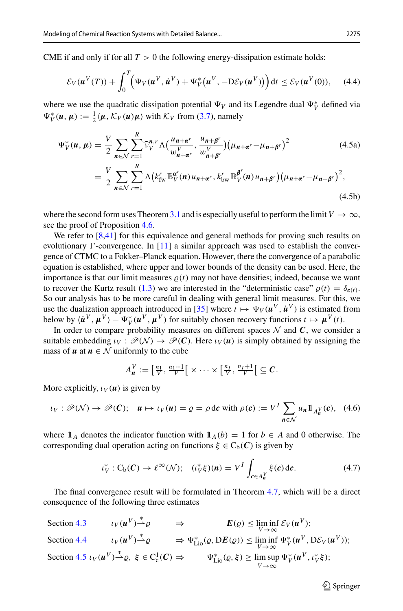CME if and only if for all  $T > 0$  the following energy-dissipation estimate holds:

<span id="page-18-3"></span>
$$
\mathcal{E}_V(\boldsymbol{u}^V(T)) + \int_0^T \Big( \Psi_V(\boldsymbol{u}^V, \dot{\boldsymbol{u}}^V) + \Psi_V^*(\boldsymbol{u}^V, -D\mathcal{E}_V(\boldsymbol{u}^V)) \Big) dt \le \mathcal{E}_V(\boldsymbol{u}^V(0)), \quad (4.4)
$$

where we use the quadratic dissipation potential  $\Psi_V$  and its Legendre dual  $\Psi_V^*$  defined via  $\Psi_V^*(u, \mu) := \frac{1}{2} \langle \mu, \mathcal{K}_V(u) \mu \rangle$  with  $\mathcal{K}_V$  from [\(3.7\)](#page-16-0), namely

$$
\Psi_V^*(u, \mu) = \frac{V}{2} \sum_{n \in \mathcal{N}} \sum_{r=1}^R \widehat{\nu}_V^{n,r} \Lambda \left( \frac{u_{n+\alpha^r}}{w_{n+\alpha^r}^V}, \frac{u_{n+\beta^r}}{w_{n+\beta^r}^V} \right) \left( \mu_{n+\alpha^r} - \mu_{n+\beta^r} \right)^2
$$
\n
$$
= \frac{V}{2} \sum_{n \in \mathcal{N}} \sum_{r=1}^R \Lambda \left( k_{\text{fw}}^r \mathbb{B}_V^{\alpha^r}(n) u_{n+\alpha^r}, k_{\text{bw}}^r \mathbb{B}_V^{\beta^r}(n) u_{n+\beta^r} \right) \left( \mu_{n+\alpha^r} - \mu_{n+\beta^r} \right)^2,
$$
\n(4.5b)

where the second form uses Theorem [3.1](#page-11-1) and is especially useful to perform the limit  $V \to \infty$ , see the proof of Proposition [4.6.](#page-25-1)

We refer to [\[8](#page-45-26)[,41](#page-46-9)] for this equivalence and general methods for proving such results on evolutionary  $\Gamma$ -convergence. In [\[11\]](#page-45-5) a similar approach was used to establish the convergence of CTMC to a Fokker–Planck equation. However, there the convergence of a parabolic equation is established, where upper and lower bounds of the density can be used. Here, the importance is that our limit measures  $\rho(t)$  may not have densities; indeed, because we want to recover the Kurtz result [\(1.3\)](#page-2-1) we are interested in the "deterministic case"  $\rho(t) = \delta_{c(t)}$ . So our analysis has to be more careful in dealing with general limit measures. For this, we use the dualization approach introduced in [\[35\]](#page-45-4) where  $t \mapsto \Psi_V(u^V, \dot{u}^V)$  is estimated from below by  $\langle \dot{u}^V, \mu^V \rangle - \Psi_V^* (u^V, \mu^V)$  for suitably chosen recovery functions  $t \mapsto \mu^V(t)$ .

In order to compare probability measures on different spaces  $\mathcal N$  and  $\mathcal C$ , we consider a suitable embedding  $\iota_V : \mathcal{P}(\mathcal{N}) \to \mathcal{P}(C)$ . Here  $\iota_V(u)$  is simply obtained by assigning the mass of  $u$  at  $n \in \mathcal{N}$  uniformly to the cube

<span id="page-18-2"></span><span id="page-18-1"></span>
$$
A_{\boldsymbol{n}}^V := \left[\frac{n_1}{V}, \frac{n_1+1}{V}\right[ \times \cdots \times \left[\frac{n_I}{V}, \frac{n_I+1}{V}\right] \subseteq \boldsymbol{C}.
$$

More explicitly,  $\iota_V(u)$  is given by

$$
\iota_V : \mathscr{P}(\mathcal{N}) \to \mathscr{P}(C); \quad \mathbf{u} \mapsto \iota_V(\mathbf{u}) = \varrho = \rho \, \mathrm{d}c \text{ with } \rho(c) := V^I \sum_{\mathbf{n} \in \mathcal{N}} u_{\mathbf{n}} \mathbb{1}_{A^V_{\mathbf{n}}}(\mathbf{c}), \tag{4.6}
$$

where  $\mathbb{1}_A$  denotes the indicator function with  $\mathbb{1}_A(b) = 1$  for  $b \in A$  and 0 otherwise. The corresponding dual operation acting on functions  $\xi \in C_b(\mathcal{C})$  is given by

<span id="page-18-0"></span>
$$
\iota_V^* : C_b(C) \to \ell^\infty(\mathcal{N}); \quad (\iota_V^* \xi)(n) = V^I \int_{c \in A_n^V} \xi(c) \, \mathrm{d}c. \tag{4.7}
$$

The final convergence result will be formulated in Theorem [4.7,](#page-26-1) which will be a direct consequence of the following three estimates

Section [4](#page-19-0).3  $\iota_V(u^V) \stackrel{*}{\rightarrow} \varrho \qquad \Rightarrow \qquad E(\varrho) \le \liminf_{V \to \infty} \mathcal{E}_V(u^V);$ Section [4](#page-23-0).4  $\iota_V(\mathbf{u}^V) \stackrel{*}{\rightharpoonup} \varrho \qquad \Rightarrow \Psi_{\text{Li}_0}^*(\varrho, \text{D}E(\varrho)) \le \liminf_{V \to \infty} \Psi_V^*(\mathbf{u}^V, \text{D}E_V(\mathbf{u}^V));$ Section [4](#page-25-0).5  $\iota_V(u^V) \stackrel{*}{\rightharpoonup} \varrho, \xi \in C_c^1(C) \Rightarrow \qquad \Psi_{\text{Li}_0}^*(\varrho, \xi) \ge \limsup_{V \to \infty}$  $Ψ<sub>V</sub><sup>*</sup>(u<sup>V</sup>, t<sub>V</sub><sup>*</sup>ξ);$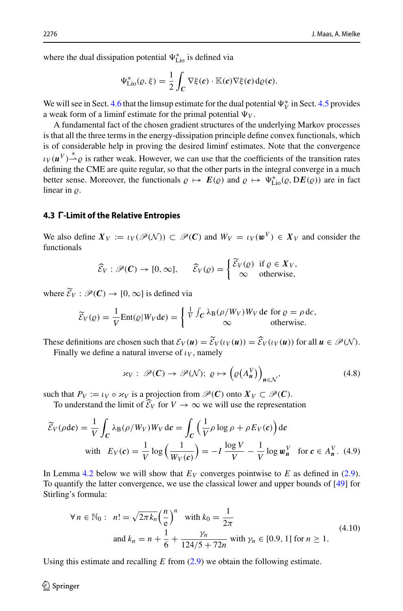where the dual dissipation potential  $\Psi_{\text{Lio}}^{*}$  is defined via

$$
\Psi_{\text{Lio}}^*(\varrho,\xi)=\frac{1}{2}\int_C \nabla \xi(\boldsymbol{c})\cdot \mathbb{K}(\boldsymbol{c})\nabla \xi(\boldsymbol{c})\,\mathrm{d}\varrho(\boldsymbol{c}).
$$

We will see in Sect. [4.6](#page-26-0) that the limsup estimate for the dual potential  $\Psi_V^*$  in Sect. [4.5](#page-25-0) provides a weak form of a liminf estimate for the primal potential  $\Psi_V$ .

A fundamental fact of the chosen gradient structures of the underlying Markov processes is that all the three terms in the energy-dissipation principle define convex functionals, which is of considerable help in proving the desired liminf estimates. Note that the convergence  $\iota_V(u^V) \stackrel{*}{\rightharpoonup} \varrho$  is rather weak. However, we can use that the coefficients of the transition rates defining the CME are quite regular, so that the other parts in the integral converge in a much better sense. Moreover, the functionals  $\rho \mapsto E(\rho)$  and  $\rho \mapsto \Psi_{\text{Li}_0}^*(\rho, DE(\rho))$  are in fact linear in  $\rho$ .

## <span id="page-19-0"></span>**4.3** *0***-Limit of the Relative Entropies**

We also define  $X_V := \iota_V(\mathcal{P}(\mathcal{N})) \subset \mathcal{P}(C)$  and  $W_V = \iota_V(\boldsymbol{w}^V) \in X_V$  and consider the functionals

$$
\widehat{\mathcal{E}}_V : \mathscr{P}(C) \to [0, \infty], \quad \widehat{\mathcal{E}}_V(\varrho) = \begin{cases} \widetilde{\mathcal{E}}_V(\varrho) & \text{if } \varrho \in X_V, \\ \infty & \text{otherwise,} \end{cases}
$$

where  $\mathcal{E}_V : \mathcal{P}(\mathcal{C}) \to [0, \infty]$  is defined via

$$
\widetilde{\mathcal{E}}_V(\varrho) = \frac{1}{V} \text{Ent}(\varrho | W_V \text{d} \mathbf{c}) = \begin{cases} \frac{1}{V} \int_C \lambda_B(\rho / W_V) W_V \text{d} \mathbf{c} \text{ for } \varrho = \rho \text{d} \mathbf{c}, \\ \infty & \text{otherwise.} \end{cases}
$$

These definitions are chosen such that  $\mathcal{E}_V(u) = \mathcal{E}_V(u_V(u)) = \mathcal{E}_V(u_V(u))$  for all  $u \in \mathcal{P}(\mathcal{N})$ .<br>Finally we define a natural inverse of *u* namely.

Finally we define a natural inverse of  $\iota_V$ , namely

<span id="page-19-4"></span><span id="page-19-2"></span>
$$
\varkappa_V: \mathscr{P}(C) \to \mathscr{P}(\mathcal{N}); \ \varrho \mapsto \left(\varrho(A_n^V)\right)_{n \in \mathcal{N}}, \tag{4.8}
$$

such that  $P_V := \iota_V \circ \varkappa_V$  is a projection from  $\mathcal{P}(C)$  onto  $X_V \subset \mathcal{P}(C)$ .

To understand the limit of  $\mathcal{E}_V$  for  $V \to \infty$  we will use the representation

$$
\widetilde{\mathcal{E}}_V(\rho \mathrm{d}\mathbf{c}) = \frac{1}{V} \int_C \lambda_B(\rho/W_V) W_V \, \mathrm{d}\mathbf{c} = \int_C \left(\frac{1}{V} \rho \log \rho + \rho E_V(\mathbf{c})\right) \mathrm{d}\mathbf{c}
$$
\nwith  $E_V(\mathbf{c}) = \frac{1}{V} \log \left(\frac{1}{W_V(\mathbf{c})}\right) = -I \frac{\log V}{V} - \frac{1}{V} \log \mathbf{w}_n^V$  for  $\mathbf{c} \in A_n^V$ . (4.9)

In Lemma [4.2](#page-19-1) below we will show that  $E_V$  converges pointwise to  $E$  as defined in [\(2.9\)](#page-7-1). To quantify the latter convergence, we use the classical lower and upper bounds of [\[49](#page-46-25)] for Stirling's formula:

<span id="page-19-3"></span><span id="page-19-1"></span>
$$
\forall n \in \mathbb{N}_0: \ n! = \sqrt{2\pi k_n} \left(\frac{n}{e}\right)^n \quad \text{with } k_0 = \frac{1}{2\pi}
$$
\n
$$
\text{and } k_n = n + \frac{1}{6} + \frac{\gamma_n}{124/5 + 72n} \text{ with } \gamma_n \in [0.9, 1] \text{ for } n \ge 1.
$$
\n
$$
(4.10)
$$

Using this estimate and recalling *E* from [\(2.9\)](#page-7-1) we obtain the following estimate.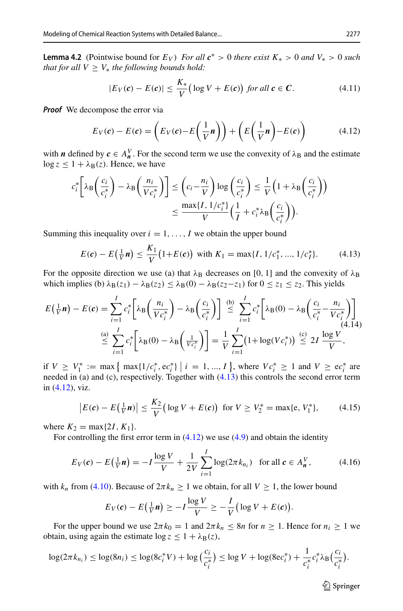**Lemma 4.2** (Pointwise bound for  $E_V$ ) *For all*  $c^* > 0$  *there exist*  $K_* > 0$  *and*  $V_* > 0$  *such that for all*  $V \geq V_*$  *the following bounds hold:* 

<span id="page-20-2"></span>
$$
|E_V(c) - E(c)| \le \frac{K_*}{V} \big( \log V + E(c) \big) \text{ for all } c \in C. \tag{4.11}
$$

*Proof* We decompose the error via

<span id="page-20-1"></span>
$$
E_V(c) - E(c) = \left(E_V(c) - E\left(\frac{1}{V}n\right)\right) + \left(E\left(\frac{1}{V}n\right) - E(c)\right) \tag{4.12}
$$

with *n* defined by  $c \in A_n^V$ . For the second term we use the convexity of  $\lambda_B$  and the estimate  $\log z \leq 1 + \lambda_{\rm B}(z)$ . Hence, we have

$$
c_i^* \left[ \lambda_{\mathcal{B}} \left( \frac{c_i}{c_i^*} \right) - \lambda_{\mathcal{B}} \left( \frac{n_i}{V c_i^*} \right) \right] \leq \left( c_i - \frac{n_i}{V} \right) \log \left( \frac{c_i}{c_i^*} \right) \leq \frac{1}{V} \left( 1 + \lambda_{\mathcal{B}} \left( \frac{c_i}{c_i^*} \right) \right) \leq \frac{\max\{I, 1/c_i^*\}}{V} \left( \frac{1}{I} + c_i^* \lambda_{\mathcal{B}} \left( \frac{c_i}{c_i^*} \right) \right).
$$

Summing this inequality over  $i = 1, \ldots, I$  we obtain the upper bound

<span id="page-20-0"></span>
$$
E(c) - E(\frac{1}{V}n) \le \frac{K_1}{V} (1 + E(c)) \text{ with } K_1 = \max\{I, 1/c_1^*, ..., 1/c_I^*\}. \tag{4.13}
$$

For the opposite direction we use (a) that  $\lambda_B$  decreases on [0, 1] and the convexity of  $\lambda_B$ which implies (b)  $\lambda_B(z_1) - \lambda_B(z_2) \leq \lambda_B(0) - \lambda_B(z_2 - z_1)$  for  $0 \leq z_1 \leq z_2$ . This yields

$$
E\left(\frac{1}{V}n\right) - E(c) = \sum_{i=1}^{I} c_i^* \left[ \lambda \frac{n_i}{Vc_i^*} \right] - \lambda \frac{c_i}{C_i^*} \right] \stackrel{\text{(b)}}{\leq} \sum_{i=1}^{I} c_i^* \left[ \lambda \frac{0}{B(0)} - \lambda \frac{c_i}{C_i^*} - \frac{n_i}{Vc_i^*} \right] \tag{4.14}
$$
\n
$$
\stackrel{\text{(a)}}{\leq} \sum_{i=1}^{I} c_i^* \left[ \lambda \frac{0}{B(0)} - \lambda \frac{1}{B\left(\frac{1}{Vc_i^*}\right)} \right] = \frac{1}{V} \sum_{i=1}^{I} \left( 1 + \log(Vc_i^*) \right) \stackrel{\text{(c)}}{\leq} 2I \frac{\log V}{V},
$$

if *V* ≥ *V*<sub><sup>\*</sup></sup> := max { max{1/*c*<sub>i</sub><sup>\*</sup>, e*c*<sub>i</sub><sup>\*</sup>} | *i* = 1, ..., *I* }, where *Vc*<sub>i</sub><sup>\*</sup> ≥ 1 and *V* ≥ e*c*<sub>i</sub><sup>\*</sup> are</sub> needed in (a) and (c), respectively. Together with [\(4.13\)](#page-20-0) this controls the second error term in [\(4.12\)](#page-20-1), viz.

$$
\left| E(c) - E\left(\frac{1}{V}n\right) \right| \le \frac{K_2}{V} \left( \log V + E(c) \right) \text{ for } V \ge V_2^* = \max\{e, V_1^*\},\tag{4.15}
$$

where  $K_2 = \max\{2I, K_1\}.$ 

 $\overline{\phantom{a}}$ 

For controlling the first error term in  $(4.12)$  we use  $(4.9)$  and obtain the identity

$$
E_V(c) - E(\frac{1}{V}n) = -I\frac{\log V}{V} + \frac{1}{2V}\sum_{i=1}^{I} \log(2\pi k_{n_i}) \text{ for all } c \in A_n^V,
$$
 (4.16)

with  $k_n$  from [\(4.10\)](#page-19-3). Because of  $2\pi k_n \ge 1$  we obtain, for all  $V \ge 1$ , the lower bound

$$
E_V(c) - E\left(\frac{1}{V}n\right) \ge -I\frac{\log V}{V} \ge -\frac{I}{V}\left(\log V + E(c)\right).
$$

For the upper bound we use  $2\pi k_0 = 1$  and  $2\pi k_n \leq 8n$  for  $n \geq 1$ . Hence for  $n_i \geq 1$  we obtain, using again the estimate  $\log z \leq 1 + \lambda_{\rm B}(z)$ ,

$$
\log(2\pi k_{n_i}) \le \log(8n_i) \le \log(8c_i^* V) + \log\left(\frac{c_i}{c_i^*}\right) \le \log V + \log(8ec_i^*) + \frac{1}{c_i^*}c_i^*\lambda_{\text{B}}\left(\frac{c_i}{c_i^*}\right).
$$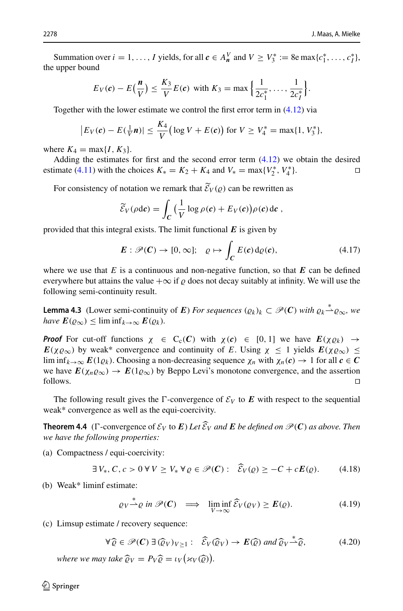Summation over  $i = 1, ..., I$  yields, for all  $c \in A_n^V$  and  $V \ge V_3^* := 8e \max\{c_1^*, ..., c_I^*\}$ , the upper bound

$$
E_V(c) - E(\frac{n}{V}) \le \frac{K_3}{V}E(c)
$$
 with  $K_3 = \max\left\{\frac{1}{2c_1^*}, \ldots, \frac{1}{2c_l^*}\right\}.$ 

Together with the lower estimate we control the first error term in [\(4.12\)](#page-20-1) via

$$
|E_V(c) - E(\frac{1}{V}n)| \le \frac{K_4}{V} (\log V + E(c))
$$
 for  $V \ge V_4^* = \max\{1, V_3^*\},$ 

where  $K_4 = \max\{I, K_3\}.$ 

Adding the estimates for first and the second error term [\(4.12\)](#page-20-1) we obtain the desired estimate [\(4.11\)](#page-20-2) with the choices  $K_* = K_2 + K_4$  and  $V_* = \max\{V_2^*, V_4^*\}.$ 

For consistency of notation we remark that  $\mathcal{E}_V(\varrho)$  can be rewritten as

$$
\widetilde{\mathcal{E}}_V(\rho \mathrm{d}\mathbf{c}) = \int_{\mathbf{C}} \Big(\frac{1}{V} \log \rho(\mathbf{c}) + E_V(\mathbf{c})\Big) \rho(\mathbf{c}) \, \mathrm{d}\mathbf{c},
$$

provided that this integral exists. The limit functional  $E$  is given by

<span id="page-21-2"></span>
$$
E: \mathscr{P}(C) \to [0, \infty]; \quad \varrho \mapsto \int_C E(c) d\varrho(c), \tag{4.17}
$$

where we use that  $E$  is a continuous and non-negative function, so that  $E$  can be defined everywhere but attains the value  $+\infty$  if  $\rho$  does not decay suitably at infinity. We will use the following semi-continuity result.

**Lemma 4.3** (Lower semi-continuity of *E*) *For sequences*  $(\varrho_k)_k \subset \mathcal{P}(\mathbf{C})$  *with*  $\varrho_k \stackrel{*}{\sim} \varrho_{\infty}$ *, we have*  $E(\varrho_\infty) \leq \liminf_{k \to \infty} E(\varrho_k)$ .

*Proof* For cut-off functions  $\chi \in C_c(C)$  with  $\chi(c) \in [0, 1]$  we have  $E(\chi \varrho_k) \to$  $E(\chi \varrho_{\infty})$  by weak\* convergence and continuity of *E*. Using  $\chi \leq 1$  yields  $E(\chi \varrho_{\infty}) \leq$ lim inf $_{k\to\infty} E(1\varrho_k)$ . Choosing a non-decreasing sequence  $\chi_n$  with  $\chi_n(c) \to 1$  for all  $c \in C$ we have  $E(\chi_n \varrho_\infty) \to E(1\varrho_\infty)$  by Beppo Levi's monotone convergence, and the assertion follows.  $\Box$  follows.

The following result gives the  $\Gamma$ -convergence of  $\mathcal{E}_V$  to  $E$  with respect to the sequential weak\* convergence as well as the equi-coercivity.

**Theorem 4.4** ( $\Gamma$ -convergence of  $\mathcal{E}_V$  to  $E$ ) Let  $\mathcal{E}_V$  and  $E$  be defined on  $\mathcal{P}(C)$  as above. Then we have the following numerities. *we have the following properties:*

(a) Compactness / equi-coercivity:

<span id="page-21-0"></span>
$$
\exists V_*, C, c > 0 \,\forall V \ge V_* \,\forall \varrho \in \mathscr{P}(C): \quad \widehat{\mathcal{E}}_V(\varrho) \ge -C + cE(\varrho). \tag{4.18}
$$

(b) Weak\* liminf estimate:

<span id="page-21-3"></span><span id="page-21-1"></span>
$$
\varrho_V \stackrel{*}{\rightharpoonup} \varrho \text{ in } \mathscr{P}(\mathcal{C}) \implies \liminf_{V \to \infty} \widehat{\mathcal{E}}_V(\varrho_V) \ge \mathcal{E}(\varrho). \tag{4.19}
$$

(c) Limsup estimate / recovery sequence:

$$
\forall \widehat{\varrho} \in \mathscr{P}(C) \ \exists \ (\widehat{\varrho}_V)_{V \ge 1} : \ \widehat{\mathcal{E}}_V(\widehat{\varrho}_V) \to E(\widehat{\varrho}) \ \text{and} \ \widehat{\varrho}_V \xrightarrow{\ast} \widehat{\varrho}, \tag{4.20}
$$

*where we may take*  $\widehat{\varrho}_V = P_V \widehat{\varrho} = \iota_V \big( \varkappa_V(\widehat{\varrho}) \big).$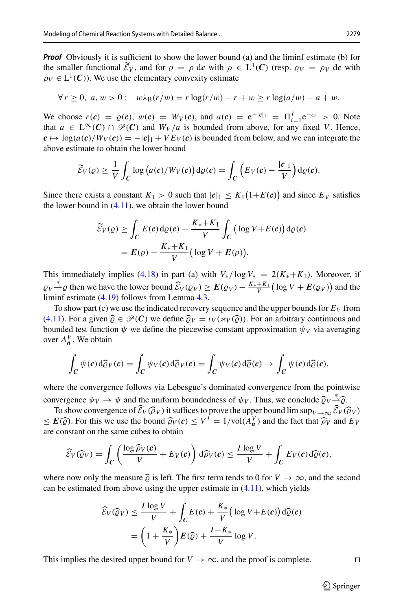*Proof* Obviously it is sufficient to show the lower bound (a) and the liminf estimate (b) for the smaller functional  $\mathcal{E}_V$ , and for  $\rho = \rho$  d*c* with  $\rho \in L^1(\mathcal{C})$  (resp.  $\rho_V = \rho_V$  d*c* with  $\rho_V \in L^1(\mathcal{C})$ . We use the elementary convexity estimate

$$
\forall r \ge 0, \ a, w > 0: \ w\lambda_{\mathcal{B}}(r/w) = r \log(r/w) - r + w \ge r \log(a/w) - a + w.
$$

We choose  $r(c) = \varrho(c)$ ,  $w(c) = W_V(c)$ , and  $a(c) = e^{-|c|_1} = \Pi_{i=1}^I e^{-c_i} > 0$ . Note that *a* ∈  $L^{\infty}(C)$  ∩  $\mathcal{P}(C)$  and  $W_V/a$  is bounded from above, for any fixed *V*. Hence,  $c \mapsto \log(a(c)/W_V(c)) = -|c|_1 + VE_V(c)$  is bounded from below, and we can integrate the above estimate to obtain the lower bound

$$
\widetilde{\mathcal{E}}_V(\varrho) \geq \frac{1}{V} \int_C \log (a(\boldsymbol{c})/W_V(\boldsymbol{c})) \, \mathrm{d}\varrho(\boldsymbol{c}) = \int_C \left( E_V(\boldsymbol{c}) - \frac{|\boldsymbol{c}|_1}{V} \right) \mathrm{d}\varrho(\boldsymbol{c}).
$$

Since there exists a constant  $K_1 > 0$  such that  $|c|_1 \le K_1(1+E(c))$  and since  $E_V$  satisfies the lower bound in  $(4.11)$ , we obtain the lower bound

$$
\widetilde{\mathcal{E}}_V(\varrho) \ge \int_C E(c) d\varrho(c) - \frac{K_* + K_1}{V} \int_C \left( \log V + E(c) \right) d\varrho(c)
$$

$$
= E(\varrho) - \frac{K_* + K_1}{V} \left( \log V + E(\varrho) \right).
$$

This immediately implies [\(4.18\)](#page-21-0) in part (a) with  $V_*/\log V_* = 2(K_*+K_1)$ . Moreover, if  $Q_V \stackrel{*}{\rightarrow} Q$  then we have the lower bound  $\hat{\mathcal{E}}_V(Q_V) \geq \mathbf{E}(Q_V) - \frac{K_* + K_1}{V} (\log V + \mathbf{E}(Q_V))$  and the liminf estimate [\(4.19\)](#page-21-1) follows from Lemma [4.3.](#page-21-2)

To show part (c) we use the indicated recovery sequence and the upper bounds for  $E_V$  from  $(4.11)$ . For a given  $\hat{\rho} \in \mathcal{P}(\mathcal{C})$  we define  $\hat{\rho}_V = \iota_V(\varkappa_V(\hat{\rho}))$ . For an arbitrary continuous and bounded test function  $\psi$  we define the piecewise constant approximation  $\psi_V$  via averaging over  $A_n^V$ . We obtain

$$
\int_C \psi(c) d\widehat{\varrho}_V(c) = \int_C \psi_V(c) d\widehat{\varrho}_V(c) = \int_C \psi_V(c) d\widehat{\varrho}(c) \rightarrow \int_C \psi(c) d\widehat{\varrho}(c),
$$

where the convergence follows via Lebesgue's dominated convergence from the pointwise convergence  $\psi_V \to \psi$  and the uniform boundedness of  $\psi_V$ . Thus, we conclude  $\hat{\varrho}_V \stackrel{*}{\to} \hat{\varrho}$ .<br>To show convergence of  $\hat{\mathcal{E}}_V(\hat{\varrho}_V)$  it suffices to prove the upper bound lim sup

To show convergence of  $\mathcal{E}_V(\widehat{Q}_V)$  it suffices to prove the upper bound  $\limsup_{V\to\infty} \mathcal{E}_V(\widehat{Q}_V)$ <br> $F(\widehat{\Omega})$ . For this we use the bound  $\widehat{\Omega}_V(e) \leq V^I - 1$  (yol( $A^V$ ) and the fact that  $\widehat{\Omega}_V$  and  $F_V$  $\leq E(\widehat{\varrho})$ . For this we use the bound  $\widehat{\rho}_V(\mathbf{c}) \leq V^I = 1/\text{vol}(A_{\mathbf{n}}^V)$  and the fact that  $\widehat{\rho}_V$  and  $E_V$ are constant on the same cubes to obtain

$$
\widehat{\mathcal{E}}_V(\widehat{\varrho}_V)=\int_C\left(\frac{\log \widehat{\rho}_V(\boldsymbol{c})}{V}+E_V(\boldsymbol{c})\right)\mathrm{d}\widehat{\rho}_V(\boldsymbol{c})\leq \frac{I\log V}{V}+\int_C E_V(\boldsymbol{c})\mathrm{d}\widehat{\varrho}(\boldsymbol{c}),
$$

where now only the measure  $\hat{\rho}$  is left. The first term tends to 0 for  $V \to \infty$ , and the second can be estimated from above using the upper estimate in  $(4.11)$ , which yields

$$
\widehat{\mathcal{E}}_V(\widehat{\varrho}_V) \le \frac{I \log V}{V} + \int_C E(c) + \frac{K_*}{V} \left( \log V + E(c) \right) d\widehat{\varrho}(c)
$$

$$
= \left( 1 + \frac{K_*}{V} \right) E(\widehat{\varrho}) + \frac{I + K_*}{V} \log V.
$$

This implies the desired upper bound for  $V \to \infty$ , and the proof is complete.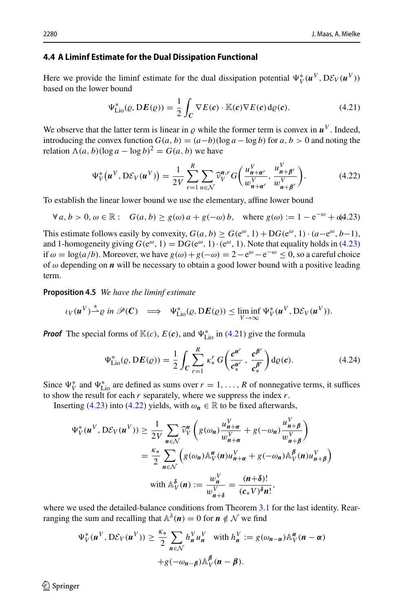## <span id="page-23-0"></span>**4.4 A Liminf Estimate for the Dual Dissipation Functional**

Here we provide the liminf estimate for the dual dissipation potential  $\Psi_V^*(u^V, D\mathcal{E}_V(u^V))$ based on the lower bound

<span id="page-23-2"></span>
$$
\Psi_{\text{Lio}}^*(\varrho, \mathbf{D}E(\varrho)) = \frac{1}{2} \int_C \nabla E(\mathbf{c}) \cdot \mathbb{K}(\mathbf{c}) \nabla E(\mathbf{c}) d\varrho(\mathbf{c}). \tag{4.21}
$$

We observe that the latter term is linear in  $\rho$  while the former term is convex in  $\mathbf{u}^V$ . Indeed, introducing the convex function  $G(a, b) = (a - b)(\log a - \log b)$  for  $a, b > 0$  and noting the relation  $\Lambda(a, b)$ (log  $a - \log b$ )<sup>2</sup> = *G*(*a*, *b*) we have

<span id="page-23-3"></span>
$$
\Psi_V^*(\boldsymbol{u}^V, D\mathcal{E}_V(\boldsymbol{u}^V)) = \frac{1}{2V} \sum_{r=1}^R \sum_{n \in \mathcal{N}} \widehat{\nu}_V^{n,r} G\left(\frac{u_{n+\alpha^r}^V}{w_{n+\alpha^r}^V}, \frac{u_{n+\beta^r}^V}{w_{n+\beta^r}^V}\right).
$$
(4.22)

To establish the linear lower bound we use the elementary, affine lower bound

<span id="page-23-1"></span>
$$
\forall a, b > 0, \omega \in \mathbb{R}: G(a, b) \ge g(\omega) a + g(-\omega) b, \text{ where } g(\omega) := 1 - e^{-\omega} + \omega(4.23)
$$

This estimate follows easily by convexity,  $G(a, b) > G(e^{\omega}, 1) + DG(e^{\omega}, 1) \cdot (a - e^{\omega}, b - 1)$ , and 1-homogeneity giving  $G(e^{\omega}, 1) = DG(e^{\omega}, 1) \cdot (e^{\omega}, 1)$ . Note that equality holds in [\(4.23\)](#page-23-1) if  $\omega = \log(a/b)$ . Moreover, we have  $g(\omega) + g(-\omega) = 2 - e^{\omega} - e^{-\omega} \le 0$ , so a careful choice of  $\omega$  depending on  $\boldsymbol{n}$  will be necessary to obtain a good lower bound with a positive leading term.

<span id="page-23-4"></span>**Proposition 4.5** *We have the liminf estimate*

$$
\iota_V(\boldsymbol{u}^V)^{\underline{*}} \varrho \text{ in } \mathscr{P}(\boldsymbol{C}) \implies \Psi_{\text{Li}_0}^*(\varrho, \mathrm{D}\boldsymbol{E}(\varrho)) \le \liminf_{V \to \infty} \Psi_V^*(\boldsymbol{u}^V, \mathrm{D}\mathcal{E}_V(\boldsymbol{u}^V)).
$$

*Proof* The special forms of  $\mathbb{K}(c)$ ,  $E(c)$ , and  $\Psi_{\text{Lio}}^*$  in [\(4.21\)](#page-23-2) give the formula

$$
\Psi_{\text{Lio}}^{*}(\varrho, DE(\varrho)) = \frac{1}{2} \int_{C} \sum_{r=1}^{R} \kappa_{*}^{r} G\left(\frac{c^{\alpha^{r}}}{c_{*}^{\alpha^{r}}}, \frac{c^{\beta^{r}}}{c_{*}^{\beta^{r}}}\right) d\varrho(c).
$$
 (4.24)

Since  $\Psi_V^*$  and  $\Psi_{\text{Lio}}^*$  are defined as sums over  $r = 1, \ldots, R$  of nonnegative terms, it suffices to show the result for each *r* separately, where we suppress the index *r*.

Inserting [\(4.23\)](#page-23-1) into [\(4.22\)](#page-23-3) yields, with  $\omega_n \in \mathbb{R}$  to be fixed afterwards,

$$
\Psi_V^*(u^V, D\mathcal{E}_V(u^V)) \ge \frac{1}{2V} \sum_{n \in \mathcal{N}} \widehat{\nu}_V^n \left( g(\omega_n) \frac{u_{n+\alpha}^V}{w_{n+\alpha}^V} + g(-\omega_n) \frac{u_{n+\beta}^V}{w_{n+\beta}^V} \right)
$$
  

$$
= \frac{\kappa_*}{2} \sum_{n \in \mathcal{N}} \left( g(\omega_n) \mathbb{A}_V^\alpha(n) u_{n+\alpha}^V + g(-\omega_n) \mathbb{A}_V^\beta(n) u_{n+\beta}^V \right)
$$
  
with 
$$
\mathbb{A}_V^\delta(n) := \frac{w_n^V}{w_{n+\delta}^V} = \frac{(n+\delta)!}{(c_*V)^\delta n!},
$$

where we used the detailed-balance conditions from Theorem [3.1](#page-11-1) for the last identity. Rearranging the sum and recalling that  $\mathbb{A}^{\delta}(n) = 0$  for  $n \notin \mathcal{N}$  we find

$$
\Psi_V^*(\boldsymbol{u}^V, D\mathcal{E}_V(\boldsymbol{u}^V)) \ge \frac{\kappa_*}{2} \sum_{\boldsymbol{n} \in \mathcal{N}} h_{\boldsymbol{n}}^V u_{\boldsymbol{n}}^V \quad \text{with } h_{\boldsymbol{n}}^V := g(\omega_{\boldsymbol{n} - \boldsymbol{\alpha}}) \mathbb{A}_V^{\boldsymbol{\alpha}}(\boldsymbol{n} - \boldsymbol{\alpha})
$$

$$
+ g(-\omega_{\boldsymbol{n} - \boldsymbol{\beta}}) \mathbb{A}_V^{\boldsymbol{\beta}}(\boldsymbol{n} - \boldsymbol{\beta}).
$$

 $\circledcirc$  Springer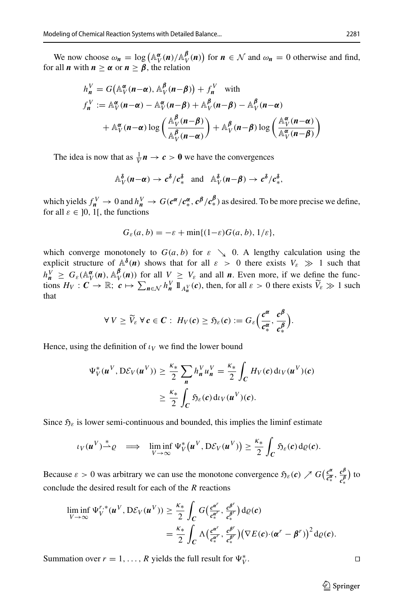We now choose  $\omega_n = \log \left( \mathbb{A}_V^{\alpha}(n) / \mathbb{A}_V^{\beta}(n) \right)$  for  $n \in \mathcal{N}$  and  $\omega_n = 0$  otherwise and find, for all *n* with  $n \ge \alpha$  or  $n \ge \beta$ , the relation

$$
h_n^V = G\left(\mathbb{A}_V^{\alpha}(n-\alpha), \mathbb{A}_V^{\beta}(n-\beta)\right) + f_n^V \text{ with}
$$
  
\n
$$
f_n^V := \mathbb{A}_V^{\alpha}(n-\alpha) - \mathbb{A}_V^{\alpha}(n-\beta) + \mathbb{A}_V^{\beta}(n-\beta) - \mathbb{A}_V^{\beta}(n-\alpha)
$$
  
\n
$$
+ \mathbb{A}_V^{\alpha}(n-\alpha) \log \left(\frac{\mathbb{A}_V^{\beta}(n-\beta)}{\mathbb{A}_V^{\beta}(n-\alpha)}\right) + \mathbb{A}_V^{\beta}(n-\beta) \log \left(\frac{\mathbb{A}_V^{\alpha}(n-\alpha)}{\mathbb{A}_V^{\alpha}(n-\beta)}\right)
$$

The idea is now that as  $\frac{1}{V}n \to c > 0$  we have the convergences

$$
\mathbb{A}_{V}^{\delta}(n-\alpha) \rightarrow c^{\delta}/c^{\delta}_{*} \text{ and } \mathbb{A}_{V}^{\delta}(n-\beta) \rightarrow c^{\delta}/c^{\delta}_{*},
$$

which yields  $f_{n}^{V} \to 0$  and  $h_{n}^{V} \to G(c^{\alpha}/c_{*}^{\alpha}, c^{\beta}/c_{*}^{\beta})$  as desired. To be more precise we define, for all  $\varepsilon \in [0, 1]$ , the functions

$$
G_{\varepsilon}(a,b) = -\varepsilon + \min\{(1-\varepsilon)G(a,b), 1/\varepsilon\},\
$$

which converge monotonely to  $G(a, b)$  for  $\varepsilon \searrow 0$ . A lengthy calculation using the explicit structure of  $\mathbb{A}^{\delta}(n)$  shows that for all  $\varepsilon > 0$  there exists  $V_{\varepsilon} \gg 1$  such that  $h_n^V \geq G_{\varepsilon}(\mathbb{A}_V^{\alpha}(n), \mathbb{A}_V^{\beta}(n))$  for all  $V \geq V_{\varepsilon}$  and all *n*. Even more, if we define the functions  $H_V: C \to \mathbb{R}; c \mapsto \sum_{n \in \mathcal{N}} h_n^V 1 \mathbb{1}_{A_n^V}(c)$ , then, for all  $\varepsilon > 0$  there exists  $\widetilde{V}_\varepsilon \gg 1$  such that

$$
\forall V \geq \widetilde{V}_{\varepsilon} \ \forall \, \boldsymbol{c} \in \boldsymbol{C} : H_V(\boldsymbol{c}) \geq \mathfrak{H}_{\varepsilon}(\boldsymbol{c}) := G_{\varepsilon} \Big( \frac{c^{\alpha}}{c_*^{\alpha}}, \frac{c^{\beta}}{c_*^{\beta}} \Big).
$$

Hence, using the definition of  $\iota_V$  we find the lower bound

$$
\Psi_V^*(\boldsymbol{u}^V, D\mathcal{E}_V(\boldsymbol{u}^V)) \ge \frac{\kappa_*}{2} \sum_{\boldsymbol{n}} h_{\boldsymbol{n}}^V u_{\boldsymbol{n}}^V = \frac{\kappa_*}{2} \int_C H_V(\boldsymbol{c}) \, \mathrm{d} \iota_V(\boldsymbol{u}^V)(\boldsymbol{c})
$$

$$
\ge \frac{\kappa_*}{2} \int_C \mathfrak{H}_{\varepsilon}(\boldsymbol{c}) \, \mathrm{d} \iota_V(\boldsymbol{u}^V)(\boldsymbol{c}).
$$

Since  $\mathfrak{H}_{\varepsilon}$  is lower semi-continuous and bounded, this implies the liminf estimate

$$
\iota_V(\boldsymbol{u}^V)^{\underline{*}}\varrho \quad \Longrightarrow \quad \liminf_{V\to\infty}\Psi_V^{\ast}(\boldsymbol{u}^V,\mathrm{D}\mathcal{E}_V(\boldsymbol{u}^V))\geq \frac{\kappa_{\ast}}{2}\int_C\mathfrak{H}_{\varepsilon}(c)\,\mathrm{d}\varrho(c).
$$

Because  $\varepsilon > 0$  was arbitrary we can use the monotone convergence  $\tilde{\mathfrak{H}}_{\varepsilon}(\mathbf{c}) \nearrow G\left(\frac{\mathbf{c}^{\alpha}}{\mathbf{c}_{*}^{\alpha}}, \frac{\mathbf{c}^{\beta}}{\mathbf{c}_{*}^{\beta}}\right)$  to ∗ conclude the desired result for each of the *R* reactions

$$
\liminf_{V \to \infty} \Psi_V^{r,*}(\boldsymbol{u}^V, D\mathcal{E}_V(\boldsymbol{u}^V)) \geq \frac{\kappa_*}{2} \int_C G\left(\frac{e^{\boldsymbol{\alpha}^r}}{e^{\boldsymbol{\alpha}^r}}, \frac{e^{\boldsymbol{\beta}^r}}{e^{\boldsymbol{\alpha}^r}}\right) d\varrho(\boldsymbol{c})
$$
\n
$$
= \frac{\kappa_*}{2} \int_C \Lambda\left(\frac{e^{\boldsymbol{\alpha}^r}}{e^{\boldsymbol{\alpha}^r}}, \frac{e^{\boldsymbol{\beta}^r}}{e^{\boldsymbol{\alpha}^r}}\right) \left(\nabla E(\boldsymbol{c}) \cdot (\boldsymbol{\alpha}^r - \boldsymbol{\beta}^r)\right)^2 d\varrho(\boldsymbol{c}).
$$

Summation over  $r = 1, \ldots, R$  yields the full result for  $\Psi_V^*$ .

 $\mathbb{V}$  .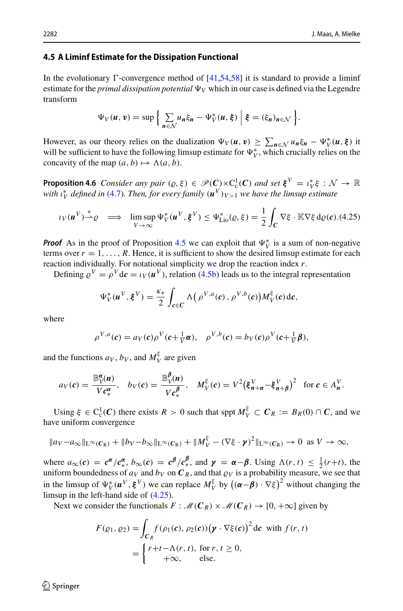### <span id="page-25-0"></span>**4.5 A Liminf Estimate for the Dissipation Functional**

In the evolutionary  $\Gamma$ -convergence method of [\[41](#page-46-9)[,54](#page-46-7)[,58\]](#page-46-8) it is standard to provide a liminf estimate for the *primal dissipation potential*  $\Psi_V$  which in our case is defined via the Legendre transform

$$
\Psi_V(\boldsymbol{u},\boldsymbol{v})=\sup\bigg\{\sum_{n\in\mathcal{N}}u_n\xi_n-\Psi_V^*(\boldsymbol{u},\boldsymbol{\xi})\bigg|\boldsymbol{\xi}=(\xi_n)_{n\in\mathcal{N}}\bigg\}.
$$

However, as our theory relies on the dualization  $\Psi_V(u, v) \ge \sum_{n \in \mathcal{N}} u_n \xi_n - \Psi_V^*(u, \xi)$  it will be sufficient to have the following limsup estimate for  $\Psi_V^*$ , which crucially relies on the concavity of the map  $(a, b) \mapsto \Lambda(a, b)$ .

<span id="page-25-1"></span>**Proposition 4.6** *Consider any pair*  $(\varrho, \xi) \in \mathscr{P}(\mathbf{C}) \times C_c^1(\mathbf{C})$  *and set*  $\xi^V = \iota_V^* \xi : \mathcal{N} \to \mathbb{R}$ *with*  $\iota_V^*$  *defined in* [\(4.7\)](#page-18-0). Then, for every family  $(u^V)_{V>1}$  we have the limsup estimate

<span id="page-25-2"></span>
$$
\iota_V(\boldsymbol{u}^V) \stackrel{*}{\rightharpoonup} \varrho \quad \Longrightarrow \quad \limsup_{V \to \infty} \Psi_V^*(\boldsymbol{u}^V, \boldsymbol{\xi}^V) \le \Psi_{\text{Lio}}^*(\varrho, \xi) = \frac{1}{2} \int_C \nabla \xi \cdot \mathbb{K} \nabla \xi \, d\varrho(\boldsymbol{c}). \tag{4.25}
$$

*Proof* As in the proof of Proposition [4.5](#page-23-4) we can exploit that  $\Psi_V^*$  is a sum of non-negative terms over  $r = 1, \ldots, R$ . Hence, it is sufficient to show the desired limsup estimate for each reaction individually. For notational simplicity we drop the reaction index *r*.

Defining  $\rho^V = \rho^V d\mathbf{c} = \iota_V(\mathbf{u}^V)$ , relation [\(4.5b\)](#page-18-1) leads us to the integral representation

$$
\Psi_V^*(\boldsymbol{u}^V, \boldsymbol{\xi}^V) = \frac{\kappa_*}{2} \int_{\boldsymbol{c} \in \boldsymbol{C}} \Lambda\big(\rho^{V,a}(\boldsymbol{c}), \rho^{V,b}(\boldsymbol{c})\big) M_V^{\xi}(\boldsymbol{c}) d\boldsymbol{c},
$$

where

$$
\rho^{V,a}(\mathbf{c}) = a_V(\mathbf{c})\rho^V(\mathbf{c}+\tfrac{1}{V}\boldsymbol{\alpha}), \quad \rho^{V,b}(\mathbf{c}) = b_V(\mathbf{c})\rho^V(\mathbf{c}+\tfrac{1}{V}\boldsymbol{\beta}),
$$

and the functions  $a_V$ ,  $b_V$ , and  $M_V^{\xi}$  are given

$$
a_V(\boldsymbol{c}) = \frac{\mathbb{B}_V^{\boldsymbol{\alpha}}(\boldsymbol{n})}{V\boldsymbol{c}_*^{\boldsymbol{\alpha}}}, \quad b_V(\boldsymbol{c}) = \frac{\mathbb{B}_V^{\boldsymbol{\beta}}(\boldsymbol{n})}{V\boldsymbol{c}_*^{\boldsymbol{\beta}}}, \quad M_V^{\boldsymbol{\xi}}(\boldsymbol{c}) = V^2 (\boldsymbol{\xi}_{\boldsymbol{n}+\boldsymbol{\alpha}}^V - \boldsymbol{\xi}_{\boldsymbol{n}+\boldsymbol{\beta}}^V)^2 \quad \text{for } \boldsymbol{c} \in A_{\boldsymbol{n}}^V.
$$

Using  $\xi \in C_c^1(C)$  there exists  $R > 0$  such that sppt  $M_V^{\xi} \subset C_R := B_R(0) \cap C$ , and we have uniform convergence

$$
||av-a_{\infty}||_{L^{\infty}(C_{R})}+||bv-b_{\infty}||_{L^{\infty}(C_{R})}+||M_{V}^{\xi}-(\nabla\xi\cdot\boldsymbol{\gamma})^{2}||_{L^{\infty}(C_{R})}\to 0 \text{ as } V\to\infty,
$$

where  $a_{\infty}(c) = c^{\alpha}/c_{*}^{\alpha}$ ,  $b_{\infty}(c) = c^{\beta}/c_{*}^{\beta}$ , and  $\gamma = \alpha - \beta$ . Using  $\Lambda(r, t) \leq \frac{1}{2}(r+t)$ , the uniform boundedness of  $a_V$  and  $b_V$  on  $C_R$ , and that  $\rho_V$  is a probability measure, we see that in the limsup of  $\Psi_V^*(u^V, \xi^V)$  we can replace  $M_V^{\xi}$  by  $((\alpha - \beta) \cdot \nabla \xi)^2$  without changing the limsup in the left-hand side of [\(4.25\)](#page-25-2).

Next we consider the functionals  $F : \mathcal{M}(C_R) \times \mathcal{M}(C_R) \to [0, +\infty]$  given by

$$
F(\varrho_1, \varrho_2) = \int_{C_R} f(\rho_1(\mathbf{c}), \rho_2(\mathbf{c})) (\mathbf{y} \cdot \nabla \xi(\mathbf{c}))^2 d\mathbf{c} \text{ with } f(r, t)
$$
  
= 
$$
\begin{cases} r+t-\Lambda(r, t), \text{ for } r, t \ge 0, \\ +\infty, \text{ else.} \end{cases}
$$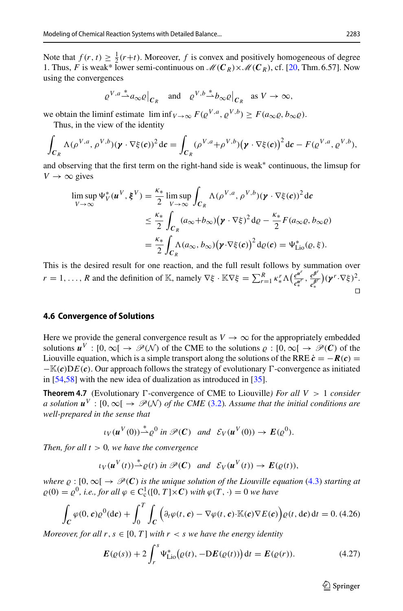Note that  $f(r, t) \geq \frac{1}{2}(r+t)$ . Moreover, *f* is convex and positively homogeneous of degree 1. Thus, *F* is weak\* lower semi-continuous on  $\mathcal{M}(C_R) \times \mathcal{M}(C_R)$ , cf. [\[20](#page-45-27), Thm. 6.57]. Now using the convergences

$$
\left. \varrho^{V,a} \stackrel{*}{\rightharpoonup} a_\infty \varrho \right|_{C_R}
$$
 and  $\left. \varrho^{V,b} \stackrel{*}{\rightharpoonup} b_\infty \varrho \right|_{C_R}$  as  $V \to \infty$ ,

we obtain the liminf estimate  $\liminf_{V \to \infty} F(\varrho^{V,a}, \varrho^{V,b}) \geq F(a_{\infty}\varrho, b_{\infty}\varrho).$ 

Thus, in the view of the identity

$$
\int_{C_R} \Lambda(\rho^{V,a}, \rho^{V,b})(\boldsymbol{\gamma} \cdot \nabla \xi(c))^2 dc = \int_{C_R} (\rho^{V,a} + \rho^{V,b})(\boldsymbol{\gamma} \cdot \nabla \xi(c))^2 dc - F(\varrho^{V,a}, \varrho^{V,b}),
$$

and observing that the first term on the right-hand side is weak∗ continuous, the limsup for  $V \rightarrow \infty$  gives

$$
\limsup_{V \to \infty} \Psi_V^*(\mathbf{u}^V, \mathbf{\xi}^V) = \frac{\kappa_*}{2} \limsup_{V \to \infty} \int_{C_R} \Lambda(\rho^{V, a}, \rho^{V, b})(\mathbf{y} \cdot \nabla \xi(c))^2 dc
$$
  

$$
\leq \frac{\kappa_*}{2} \int_{C_R} (a_{\infty} + b_{\infty})(\mathbf{y} \cdot \nabla \xi)^2 d\rho - \frac{\kappa_*}{2} F(a_{\infty} \varrho, b_{\infty} \varrho)
$$
  

$$
= \frac{\kappa_*}{2} \int_{C_R} \Lambda(a_{\infty}, b_{\infty})(\mathbf{y} \cdot \nabla \xi(c))^2 d\rho(c) = \Psi_{\text{Li}_0}^*(\varrho, \xi).
$$

This is the desired result for one reaction, and the full result follows by summation over  $r = 1, ..., R$  and the definition of K, namely  $\nabla \xi \cdot \mathbb{K} \nabla \xi = \sum_{r=1}^{R} \kappa_{*}^{r} \Lambda \left( \frac{e^{\alpha r}}{e_{*}^{\alpha r}}, \frac{e^{\beta r}}{e_{*}^{\beta r}} \right) (\gamma^{r} \cdot \nabla \xi)^{2}$ . ∗ ∗  $\Box$ 

#### <span id="page-26-0"></span>**4.6 Convergence of Solutions**

Here we provide the general convergence result as  $V \rightarrow \infty$  for the appropriately embedded solutions  $u^V : [0, \infty) \rightarrow \mathcal{P}(\mathcal{N})$  of the CME to the solutions  $\varrho : [0, \infty) \rightarrow \mathcal{P}(\mathcal{C})$  of the Liouville equation, which is a simple transport along the solutions of the RRE  $\dot{c} = -R(c)$  $-\mathbb{K}(c)DE(c)$ . Our approach follows the strategy of evolutionary  $\Gamma$ -convergence as initiated in [\[54](#page-46-7)[,58](#page-46-8)] with the new idea of dualization as introduced in [\[35](#page-45-4)].

**Theorem 4.7** (Evolutionary  $\Gamma$ -convergence of CME to Liouville) For all  $V > 1$  consider *a solution*  $u^V$  : [0, ∞[  $\rightarrow$   $\mathcal{P}(\mathcal{N})$  *of the CME* [\(3.2\)](#page-11-2)*.* Assume that the initial conditions are *well-prepared in the sense that*

<span id="page-26-1"></span>
$$
\iota_V(u^V(0)) \stackrel{*}{\rightharpoonup} \varrho^0
$$
 in  $\mathscr{P}(C)$  and  $\mathscr{E}_V(u^V(0)) \to E(\varrho^0)$ .

*Then, for all t* > 0*, we have the convergence*

$$
\iota_V(\boldsymbol{u}^V(t)) \stackrel{*}{\rightharpoonup} \varrho(t)
$$
 in  $\mathscr{P}(\mathcal{C})$  and  $\mathscr{E}_V(\boldsymbol{u}^V(t)) \rightharpoonup E(\varrho(t)),$ 

*where*  $\rho : [0, \infty) \rightarrow \mathcal{P}(C)$  *is the unique solution of the Liouville equation* [\(4.3\)](#page-17-0) *starting at*  $\varrho(0) = \varrho^0$ , *i.e., for all*  $\varphi \in C^1_c([0, T] \times C)$  *with*  $\varphi(T, \cdot) = 0$  *we have* 

<span id="page-26-3"></span>
$$
\int_C \varphi(0, \mathbf{c}) \varrho^0(\mathrm{d}\mathbf{c}) + \int_0^T \int_C \Big( \partial_t \varphi(t, \mathbf{c}) - \nabla \varphi(t, \mathbf{c}) \cdot \mathbb{K}(\mathbf{c}) \nabla E(\mathbf{c}) \Big) \varrho(t, \mathrm{d}\mathbf{c}) \, \mathrm{d}t = 0. \tag{4.26}
$$

*Moreover, for all r, s*  $\in$  [0, *T*] *with r < s we have the energy identity* 

<span id="page-26-2"></span>
$$
E(\varrho(s)) + 2 \int_r^s \Psi_{\text{Li0}}^*(\varrho(t), -DE(\varrho(t))) dt = E(\varrho(r)).
$$
 (4.27)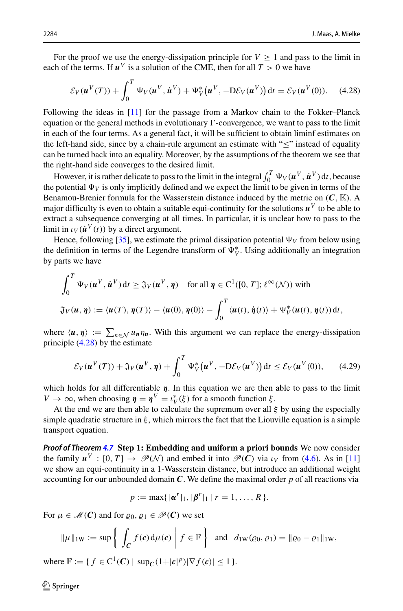For the proof we use the energy-dissipation principle for  $V \ge 1$  and pass to the limit in each of the terms. If  $u^V$  is a solution of the CME, then for all  $T > 0$  we have

<span id="page-27-0"></span>
$$
\mathcal{E}_V(\boldsymbol{u}^V(T)) + \int_0^T \Psi_V(\boldsymbol{u}^V, \dot{\boldsymbol{u}}^V) + \Psi_V^*(\boldsymbol{u}^V, -D\mathcal{E}_V(\boldsymbol{u}^V)) dt = \mathcal{E}_V(\boldsymbol{u}^V(0)). \quad (4.28)
$$

Following the ideas in [\[11\]](#page-45-5) for the passage from a Markov chain to the Fokker–Planck equation or the general methods in evolutionary  $\Gamma$ -convergence, we want to pass to the limit in each of the four terms. As a general fact, it will be sufficient to obtain liminf estimates on the left-hand side, since by a chain-rule argument an estimate with " $\leq$ " instead of equality can be turned back into an equality. Moreover, by the assumptions of the theorem we see that the right-hand side converges to the desired limit.

However, it is rather delicate to pass to the limit in the integral  $\int_0^T \Psi_V(u^V, \dot{u}^V) dt$ , because the potential  $\Psi_V$  is only implicitly defined and we expect the limit to be given in terms of the Benamou-Brenier formula for the Wasserstein distance induced by the metric on (*C*, K). A major difficulty is even to obtain a suitable equi-continuity for the solutions  $u^V$  to be able to extract a subsequence converging at all times. In particular, it is unclear how to pass to the limit in  $\iota_V(\mathbf{\dot{u}}^V(t))$  by a direct argument.

Hence, following [\[35](#page-45-4)], we estimate the primal dissipation potential  $\Psi_V$  from below using the definition in terms of the Legendre transform of  $\Psi_V^*$ . Using additionally an integration by parts we have

$$
\int_0^T \Psi_V(\boldsymbol{u}^V, \dot{\boldsymbol{u}}^V) dt \geq \mathfrak{J}_V(\boldsymbol{u}^V, \boldsymbol{\eta}) \quad \text{for all } \boldsymbol{\eta} \in C^1([0, T]; \ell^{\infty}(\mathcal{N})) \text{ with}
$$
  

$$
\mathfrak{J}_V(\boldsymbol{u}, \boldsymbol{\eta}) := \langle \boldsymbol{u}(T), \boldsymbol{\eta}(T) \rangle - \langle \boldsymbol{u}(0), \boldsymbol{\eta}(0) \rangle - \int_0^T \langle \boldsymbol{u}(t), \dot{\boldsymbol{\eta}}(t) \rangle + \Psi_V^*(\boldsymbol{u}(t), \boldsymbol{\eta}(t)) dt,
$$

where  $\langle u, \eta \rangle := \sum_{n \in \mathcal{N}} u_n \eta_n$ . With this argument we can replace the energy-dissipation principle [\(4.28\)](#page-27-0) by the estimate

<span id="page-27-1"></span>
$$
\mathcal{E}_V(\boldsymbol{u}^V(T)) + \mathfrak{J}_V(\boldsymbol{u}^V, \boldsymbol{\eta}) + \int_0^T \Psi_V^*(\boldsymbol{u}^V, -D\mathcal{E}_V(\boldsymbol{u}^V)) dt \le \mathcal{E}_V(\boldsymbol{u}^V(0)), \qquad (4.29)
$$

which holds for all differentiable *η*. In this equation we are then able to pass to the limit *V*  $\rightarrow \infty$ , when choosing  $\eta = \eta^V = \iota_V^*(\xi)$  for a smooth function  $\xi$ .

At the end we are then able to calculate the supremum over all  $\xi$  by using the especially simple quadratic structure in  $\xi$ , which mirrors the fact that the Liouville equation is a simple transport equation.

*Proof of Theorem [4.7](#page-26-1)* **Step 1: Embedding and uniform a priori bounds** We now consider the family  $u^V : [0, T] \to \mathcal{P}(\mathcal{N})$  and embed it into  $\mathcal{P}(C)$  via  $\iota_V$  from [\(4.6\)](#page-18-2). As in [\[11\]](#page-45-5) we show an equi-continuity in a 1-Wasserstein distance, but introduce an additional weight accounting for our unbounded domain *C*. We define the maximal order *p* of all reactions via

$$
p := \max\{|\pmb{\alpha}^r|_1, |\pmb{\beta}^r|_1 | r = 1, ..., R\}.
$$

For  $\mu \in \mathcal{M}(\mathbf{C})$  and for  $\rho_0$ ,  $\rho_1 \in \mathcal{P}(\mathbf{C})$  we set

$$
\|\mu\|_{\text{IW}} := \sup \left\{ \left| \int_C f(c) d\mu(c) \right| f \in \mathbb{F} \right\} \text{ and } d_{\text{IW}}(\varrho_0, \varrho_1) = \|\varrho_0 - \varrho_1\|_{\text{IW}},
$$

where  $\mathbb{F} := \{ f \in C^1(\mathcal{C}) \mid \sup_{\mathcal{C}} (1+|\mathcal{C}|^p) | \nabla f(\mathcal{C}) | \leq 1 \}.$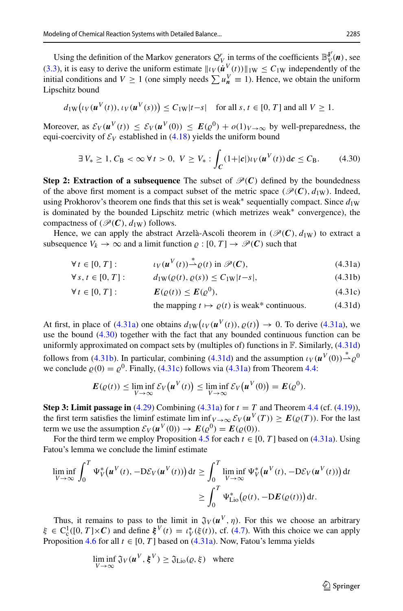Using the definition of the Markov generators  $Q_V^r$  in terms of the coefficients  $\mathbb{B}_V^{\delta^r}(n)$ , see [\(3.3\)](#page-11-3), it is easy to derive the uniform estimate  $||\iota_V(\boldsymbol{u}^V(t))||_{1W} \leq C_{1W}$  independently of the initial conditions and *V*  $\geq 1$  (one simply needs  $\sum u_n^V \equiv 1$ ). Hence, we obtain the uniform Lipschitz bound

$$
d_{1W}(\iota_V(\boldsymbol{u}^V(t)), \iota_V(\boldsymbol{u}^V(s))) \leq C_{1W}|t-s| \quad \text{for all } s, t \in [0, T] \text{ and all } V \geq 1.
$$

Moreover, as  $\mathcal{E}_V(u^V(t)) \leq \mathcal{E}_V(u^V(0)) \leq \mathbf{E}(\varrho^0) + o(1)_{V \to \infty}$  by well-preparedness, the equi-coercivity of  $\mathcal{E}_V$  established in [\(4.18\)](#page-21-0) yields the uniform bound

<span id="page-28-1"></span>
$$
\exists V_* \ge 1, C_{\text{B}} < \infty \,\forall \, t > 0, \ V \ge V_* : \int_C (1+|c|) \iota_V(u^V(t)) \, \mathrm{d}c \le C_{\text{B}}. \tag{4.30}
$$

**Step 2: Extraction of a subsequence** The subset of  $\mathcal{P}(C)$  defined by the boundedness of the above first moment is a compact subset of the metric space ( $\mathcal{P}(\mathbf{C})$ ,  $d_{1W}$ ). Indeed, using Prokhorov's theorem one finds that this set is weak<sup>\*</sup> sequentially compact. Since  $d_{1W}$ is dominated by the bounded Lipschitz metric (which metrizes weak∗ convergence), the compactness of ( $\mathcal{P}(\mathbf{C})$ ,  $d_{1W}$ ) follows.

Hence, we can apply the abstract Arzelà-Ascoli theorem in  $(\mathcal{P}(C), d_{1W})$  to extract a subsequence  $V_k \to \infty$  and a limit function  $\rho : [0, T] \to \mathcal{P}(C)$  such that

$$
\forall t \in [0, T]: \qquad \iota_V(u^V(t)) \stackrel{*}{\rightharpoonup} \varrho(t) \text{ in } \mathscr{P}(C), \tag{4.31a}
$$

$$
\forall s, t \in [0, T]: \qquad d_{1W}(\varrho(t), \varrho(s)) \le C_{1W}|t - s|,
$$
\n(4.31b)

$$
\forall t \in [0, T]: \qquad \qquad \boldsymbol{E}(\varrho(t)) \leq \boldsymbol{E}(\varrho^0), \tag{4.31c}
$$

<span id="page-28-4"></span><span id="page-28-3"></span><span id="page-28-2"></span><span id="page-28-0"></span>the mapping 
$$
t \mapsto \varrho(t)
$$
 is weak<sup>\*</sup> continuous. (4.31d)

At first, in place of [\(4.31a\)](#page-28-0) one obtains  $d_{1W}(tV(u^V(t)), \varrho(t)) \to 0$ . To derive (4.31a), we use the bound [\(4.30\)](#page-28-1) together with the fact that any bounded continuous function can be uniformly approximated on compact sets by (multiples of) functions in  $\mathbb F$ . Similarly, [\(4.31d\)](#page-28-2) follows from [\(4.31b\)](#page-28-3). In particular, combining [\(4.31d\)](#page-28-2) and the assumption  $\iota_V(\mathbf{u}^V(0)) \stackrel{*}{\rightarrow} \varrho^0$ we conclude  $\rho(0) = \rho^0$ . Finally, [\(4.31c\)](#page-28-4) follows via [\(4.31a\)](#page-28-0) from Theorem [4.4:](#page-21-3)

$$
\boldsymbol{E}(\varrho(t)) \leq \liminf_{V \to \infty} \mathcal{E}_V\big(\boldsymbol{u}^V(t)\big) \leq \liminf_{V \to \infty} \mathcal{E}_V\big(\boldsymbol{u}^V(0)\big) = \boldsymbol{E}(\varrho^0).
$$

**Step 3: Limit passage in** [\(4.29\)](#page-27-1) Combining [\(4.31a\)](#page-28-0) for  $t = T$  and Theorem [4.4](#page-21-3) (cf. [\(4.19\)](#page-21-1)), the first term satisfies the liminf estimate lim inf $V \rightarrow \infty$   $\mathcal{E}_V(u^V(T)) \geq E(\varrho(T))$ . For the last term we use the assumption  $\mathcal{E}_V(u^V(0)) \to E(\rho^0) = E(\rho(0)).$ 

For the third term we employ Proposition [4.5](#page-23-4) for each  $t \in [0, T]$  based on [\(4.31a\)](#page-28-0). Using Fatou's lemma we conclude the liminf estimate

$$
\liminf_{V \to \infty} \int_0^T \Psi_V^* \big( \boldsymbol{u}^V(t), -D \mathcal{E}_V(\boldsymbol{u}^V(t)) \big) dt \ge \int_0^T \liminf_{V \to \infty} \Psi_V^* \big( \boldsymbol{u}^V(t), -D \mathcal{E}_V(\boldsymbol{u}^V(t)) \big) dt
$$

$$
\ge \int_0^T \Psi_{\text{Lie}}^* \big( \varrho(t), -D E(\varrho(t)) \big) dt.
$$

Thus, it remains to pass to the limit in  $\mathfrak{J}_V(u^V, \eta)$ . For this we choose an arbitrary  $\xi \in C_c^1([0, T] \times C)$  and define  $\xi^V(t) = \iota_V^*(\xi(t))$ , cf. [\(4.7\)](#page-18-0). With this choice we can apply Proposition [4.6](#page-25-1) for all  $t \in [0, T]$  based on [\(4.31a\)](#page-28-0). Now, Fatou's lemma yields

$$
\liminf_{V \to \infty} \mathfrak{J}_V(u^V, \xi^V) \ge \mathfrak{J}_{\text{Lio}}(\varrho, \xi) \quad \text{where}
$$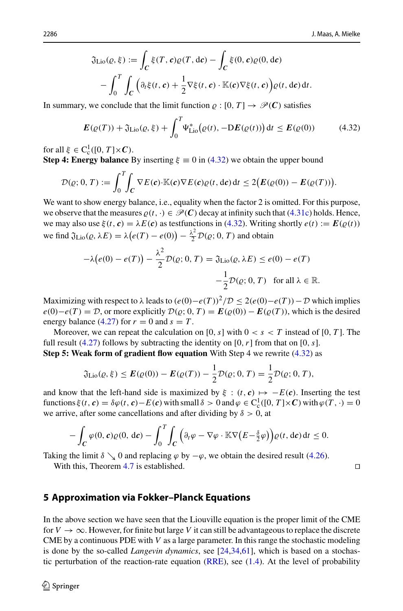$$
\mathfrak{J}_{\text{Lio}}(\varrho,\xi) := \int_C \xi(T,\mathbf{c})\varrho(T,\mathrm{d}\mathbf{c}) - \int_C \xi(0,\mathbf{c})\varrho(0,\mathrm{d}\mathbf{c}) \n- \int_0^T \int_C \left( \partial_t \xi(t,\mathbf{c}) + \frac{1}{2} \nabla \xi(t,\mathbf{c}) \cdot \mathbb{K}(\mathbf{c}) \nabla \xi(t,\mathbf{c}) \right) \varrho(t,\mathrm{d}\mathbf{c}) \mathrm{d}t.
$$

In summary, we conclude that the limit function  $\rho : [0, T] \rightarrow \mathcal{P}(C)$  satisfies

<span id="page-29-1"></span>
$$
E(\varrho(T)) + \mathfrak{J}_{\text{Lio}}(\varrho, \xi) + \int_0^T \Psi_{\text{Lio}}^*(\varrho(t), -DE(\varrho(t))) dt \le E(\varrho(0)) \tag{4.32}
$$

for all  $\xi \in C_c^1([0, T] \times C)$ .

**Step 4: Energy balance** By inserting  $\xi \equiv 0$  in [\(4.32\)](#page-29-1) we obtain the upper bound

$$
\mathcal{D}(\varrho; 0, T) := \int_0^T \int_C \nabla E(\boldsymbol{c}) \cdot \mathbb{K}(\boldsymbol{c}) \nabla E(\boldsymbol{c}) \varrho(t, d\boldsymbol{c}) dt \le 2 \big( E(\varrho(0)) - E(\varrho(T)) \big).
$$

We want to show energy balance, i.e., equality when the factor 2 is omitted. For this purpose, we observe that the measures  $\rho(t, \cdot) \in \mathcal{P}(C)$  decay at infinity such that [\(4.31c\)](#page-28-4) holds. Hence, we may also use  $\xi(t, c) = \lambda E(c)$  as testfunctions in [\(4.32\)](#page-29-1). Writing shortly  $e(t) := E(\varrho(t))$ we find  $\mathfrak{J}_{\text{Lio}}(\varrho, \lambda E) = \lambda (e(T) - e(0)) - \frac{\lambda^2}{2} \mathcal{D}(\varrho; 0, T)$  and obtain

$$
-\lambda(e(0) - e(T)) - \frac{\lambda^2}{2} \mathcal{D}(e; 0, T) = \mathfrak{J}_{\text{Lio}}(e, \lambda E) \le e(0) - e(T)
$$

$$
-\frac{1}{2} \mathcal{D}(e; 0, T) \quad \text{for all } \lambda \in \mathbb{R}.
$$

Maximizing with respect to  $\lambda$  leads to  $(e(0) - e(T))^2/D \leq 2(e(0) - e(T)) - D$  which implies  $e(0) - e(T) = \mathcal{D}$ , or more explicitly  $\mathcal{D}(\varrho; 0, T) = E(\varrho(0)) - E(\varrho(T))$ , which is the desired energy balance  $(4.27)$  for  $r = 0$  and  $s = T$ .

Moreover, we can repeat the calculation on [0,  $s$ ] with  $0 < s < T$  instead of [0,  $T$ ]. The full result  $(4.27)$  follows by subtracting the identity on  $[0, r]$  from that on  $[0, s]$ . **Step 5: Weak form of gradient flow equation** With Step 4 we rewrite [\(4.32\)](#page-29-1) as

$$
\mathfrak{J}_{\text{Lio}}(\varrho,\xi) \leq \pmb{E}(\varrho(0)) - \pmb{E}(\varrho(T)) - \frac{1}{2}\mathcal{D}(\varrho;0,T) = \frac{1}{2}\mathcal{D}(\varrho;0,T),
$$

and know that the left-hand side is maximized by  $\xi : (t, c) \mapsto -E(c)$ . Inserting the test functions  $\xi(t, c) = \delta \varphi(t, c) - E(c)$  with small  $\delta > 0$  and  $\varphi \in C_c^1([0, T] \times C)$  with  $\varphi(T, \cdot) = 0$ we arrive, after some cancellations and after dividing by  $\delta > 0$ , at

$$
-\int_C \varphi(0,\mathbf{c})\varrho(0,\,\mathrm{d}\mathbf{c}) - \int_0^T \int_C \Big(\partial_t \varphi - \nabla \varphi \cdot \mathbb{K} \nabla \big(E - \frac{\delta}{2}\varphi\big)\Big) \varrho(t,\,\mathrm{d}\mathbf{c}) \,\mathrm{d} t \leq 0.
$$

Taking the limit  $\delta \searrow 0$  and replacing  $\varphi$  by  $-\varphi$ , we obtain the desired result [\(4.26\)](#page-26-3).

With this, Theorem [4.7](#page-26-1) is established.

## <span id="page-29-0"></span>**5 Approximation via Fokker–Planck Equations**

In the above section we have seen that the Liouville equation is the proper limit of the CME for  $V \to \infty$ . However, for finite but large V it can still be advantageous to replace the discrete CME by a continuous PDE with *V* as a large parameter. In this range the stochastic modeling is done by the so-called *Langevin dynamics*, see [\[24](#page-45-9)[,34](#page-45-8)[,61](#page-46-11)], which is based on a stochastic perturbation of the reaction-rate equation  $(RRE)$ , see  $(1.4)$ . At the level of probability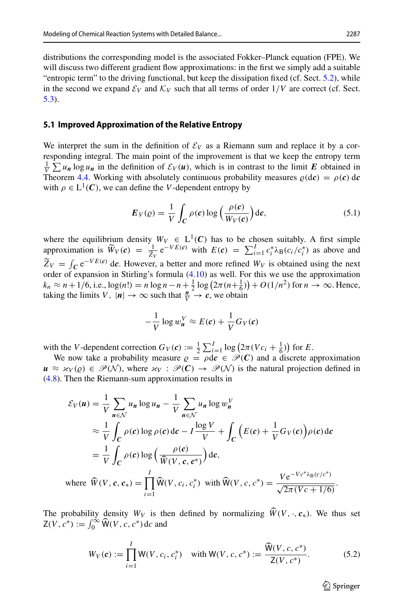distributions the corresponding model is the associated Fokker–Planck equation (FPE). We will discuss two different gradient flow approximations: in the first we simply add a suitable "entropic term" to the driving functional, but keep the dissipation fixed (cf. Sect. [5.2\)](#page-31-0), while in the second we expand  $\mathcal{E}_V$  and  $\mathcal{K}_V$  such that all terms of order  $1/V$  are correct (cf. Sect. [5.3\)](#page-32-0).

## <span id="page-30-2"></span>**5.1 Improved Approximation of the Relative Entropy**

We interpret the sum in the definition of  $\mathcal{E}_V$  as a Riemann sum and replace it by a corresponding integral. The main point of the improvement is that we keep the entropy term  $\frac{1}{V} \sum u_n \log u_n$  in the definition of  $\mathcal{E}_V(u)$ , which is in contrast to the limit *E* obtained in Theorem [4.4.](#page-21-3) Working with absolutely continuous probability measures  $\rho(d\mathbf{c}) = \rho(\mathbf{c}) d\mathbf{c}$ with  $\rho \in L^1(\mathbb{C})$ , we can define the *V*-dependent entropy by

<span id="page-30-0"></span>
$$
E_V(\varrho) = \frac{1}{V} \int_C \rho(c) \log \left( \frac{\rho(c)}{W_V(c)} \right) \mathrm{d}c, \tag{5.1}
$$

where the equilibrium density  $W_V \in L^1(\mathbb{C})$  has to be chosen suitably. A first simple approximation is  $\widetilde{W}_V(c) = \frac{1}{\widetilde{Z}_V} e^{-VE(c)}$  with  $E(c) = \sum_{i=1}^I c_i^* \lambda_B(c_i/c_i^*)$  as above and *ZV*  $\widetilde{Z}_V = \int_C e^{-VE(\mathbf{c})} d\mathbf{c}$ . However, a better and more refined *W<sub>V</sub>* is obtained using the next order of expansion in Stirling's formula [\(4.10\)](#page-19-3) as well. For this we use the approximation  $k_n \approx n + 1/6$ , i.e.,  $\log(n!) = n \log n - n + \frac{1}{2} \log (2\pi (n + \frac{1}{6})) + O(1/n^2)$  for  $n \to \infty$ . Hence, taking the limits *V*,  $|\boldsymbol{n}| \to \infty$  such that  $\frac{\boldsymbol{n}^2}{V} \to \boldsymbol{c}$ , we obtain

$$
-\frac{1}{V}\log w_{n}^{V} \approx E(c) + \frac{1}{V}G_{V}(c)
$$

with the *V*-dependent correction  $G_V(c) := \frac{1}{2} \sum_{i=1}^{I} \log (2\pi (Vc_i + \frac{1}{6}))$  for *E*.

We now take a probability measure  $\rho = \rho d c \in \mathcal{P}(C)$  and a discrete approximation  $u \approx \varkappa_V(\varrho) \in \mathcal{P}(\mathcal{N})$ , where  $\varkappa_V : \mathcal{P}(\mathcal{C}) \to \mathcal{P}(\mathcal{N})$  is the natural projection defined in [\(4.8\)](#page-19-4). Then the Riemann-sum approximation results in

$$
\mathcal{E}_V(u) = \frac{1}{V} \sum_{n \in \mathcal{N}} u_n \log u_n - \frac{1}{V} \sum_{n \in \mathcal{N}} u_n \log w_n^V
$$
  
\n
$$
\approx \frac{1}{V} \int_C \rho(c) \log \rho(c) \, dc - I \frac{\log V}{V} + \int_C \left( E(c) + \frac{1}{V} G_V(c) \right) \rho(c) \, dc
$$
  
\n
$$
= \frac{1}{V} \int_C \rho(c) \log \left( \frac{\rho(c)}{\widehat{W}(V, c, c^*)} \right) \, dc,
$$
  
\nwhere  $\widehat{W}(V, c, c_*) = \prod_{i=1}^I \widehat{W}(V, c_i, c_i^*)$  with  $\widehat{W}(V, c, c^*) = \frac{V e^{-V c^* \lambda_B(c/c^*)}}{\sqrt{2\pi (V c + 1/6)}}.$ 

The probability density  $W_V$  is then defined by normalizing  $\widehat{W}(V, \cdot, c_*)$ . We thus set  $Z(V, c^*) := \int_0^\infty \widehat{W}(V, c, c^*) d c$  and

<span id="page-30-1"></span>
$$
W_V(c) := \prod_{i=1}^{I} W(V, c_i, c_i^*) \quad \text{with } W(V, c, c^*) := \frac{\widehat{W}(V, c, c^*)}{Z(V, c^*)}.
$$
 (5.2)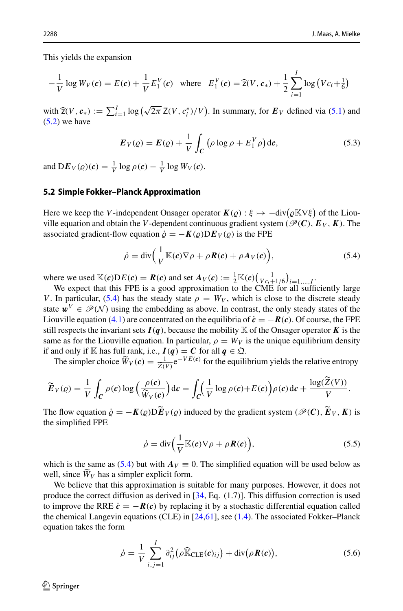This yields the expansion

$$
-\frac{1}{V}\log W_V(\boldsymbol{c}) = E(\boldsymbol{c}) + \frac{1}{V}E_1^V(\boldsymbol{c}) \quad \text{where} \quad E_1^V(\boldsymbol{c}) = \widehat{\mathbf{z}}(V, \boldsymbol{c}_*) + \frac{1}{2}\sum_{i=1}^I \log (Vc_i + \frac{1}{6})
$$

with  $\hat{\mathbf{z}}(V, \mathbf{c}_*) := \sum_{i=1}^I \log \left( \sqrt{2\pi} \mathbf{Z}(V, c_i^*)/V \right)$ . In summary, for  $\mathbf{E}_V$  defined via [\(5.1\)](#page-30-0) and  $(5.2)$  we have

<span id="page-31-3"></span>
$$
\boldsymbol{E}_{V}(\varrho) = \boldsymbol{E}(\varrho) + \frac{1}{V} \int_{C} \left( \rho \log \rho + \boldsymbol{E}_{1}^{V} \rho \right) d\boldsymbol{c}, \tag{5.3}
$$

and  $DE_V(\varrho)(c) = \frac{1}{V} \log \rho(c) - \frac{1}{V} \log W_V(c)$ .

## <span id="page-31-0"></span>**5.2 Simple Fokker–Planck Approximation**

Here we keep the *V*-independent Onsager operator  $K(\varrho) : \xi \mapsto -\text{div}(\varrho \mathbb{K} \nabla \xi)$  of the Liouville equation and obtain the *V*-dependent continuous gradient system ( $\mathcal{P}(\mathbf{C})$ ,  $E_V$ ,  $K$ ). The associated gradient-flow equation  $\dot{\rho} = -K(\rho)DE_V(\rho)$  is the FPE

<span id="page-31-1"></span>
$$
\dot{\rho} = \text{div}\Big(\frac{1}{V}\mathbb{K}(\boldsymbol{c})\nabla\rho + \rho \boldsymbol{R}(\boldsymbol{c}) + \rho A_V(\boldsymbol{c})\Big),\tag{5.4}
$$

where we used  $\mathbb{K}(c)DE(c) = \mathbf{R}(c)$  and set  $A_V(c) := \frac{1}{2}\mathbb{K}(c)\left(\frac{1}{Vc_i+1/6}\right)_{i=1,\dots,I}$ .<br>We expect that this FPE is a good approximation to the CME for all sufficiently large

*V*. In particular, [\(5.4\)](#page-31-1) has the steady state  $\rho = W_V$ , which is close to the discrete steady state  $\mathbf{w}^V \in \mathcal{P}(\mathcal{N})$  using the embedding as above. In contrast, the only steady states of the Liouville equation [\(4.1\)](#page-16-3) are concentrated on the equilibria of  $\dot{c} = -R(c)$ . Of course, the FPE still respects the invariant sets  $I(q)$ , because the mobility K of the Onsager operator K is the same as for the Liouville equation. In particular,  $\rho = W_V$  is the unique equilibrium density if and only if K has full rank, i.e.,  $I(q) = C$  for all  $q \in \mathfrak{Q}$ .

The simpler choice  $\widetilde{W}_V(c) = \frac{1}{\widetilde{Z}(V)} e^{-VE(c)}$  for the equilibrium yields the relative entropy

$$
\widetilde{E}_V(\varrho) = \frac{1}{V} \int_C \rho(c) \log \left( \frac{\rho(c)}{\widetilde{W}_V(c)} \right) \mathrm{d}c = \int_C \left( \frac{1}{V} \log \rho(c) + E(c) \right) \rho(c) \mathrm{d}c + \frac{\log(\widetilde{Z}(V))}{V}.
$$

The flow equation  $\dot{\rho} = -K(\rho)D\tilde{E}_V(\rho)$  induced by the gradient system ( $\mathcal{P}(C)$ ,  $\tilde{E}_V$ , K) is the simplified FPE

<span id="page-31-4"></span>
$$
\dot{\rho} = \text{div}\Big(\frac{1}{V}\mathbb{K}(\boldsymbol{c})\nabla\rho + \rho \boldsymbol{R}(\boldsymbol{c})\Big),\tag{5.5}
$$

which is the same as [\(5.4\)](#page-31-1) but with  $A_V \equiv 0$ . The simplified equation will be used below as well, since  $W_V$  has a simpler explicit form.

We believe that this approximation is suitable for many purposes. However, it does not produce the correct diffusion as derived in [\[34,](#page-45-8) Eq. (1.7)]. This diffusion correction is used to improve the RRE  $\dot{\mathbf{c}} = -\mathbf{R}(\mathbf{c})$  by replacing it by a stochastic differential equation called the chemical Langevin equations (CLE) in  $[24,61]$  $[24,61]$ , see  $(1.4)$ . The associated Fokker–Planck equation takes the form

<span id="page-31-2"></span>
$$
\dot{\rho} = \frac{1}{V} \sum_{i,j=1}^{I} \partial_{ij}^2 (\rho \widehat{\mathbb{K}}_{\text{CLE}}(\mathbf{c})_{ij}) + \text{div}(\rho \mathbf{R}(\mathbf{c})),
$$
\n(5.6)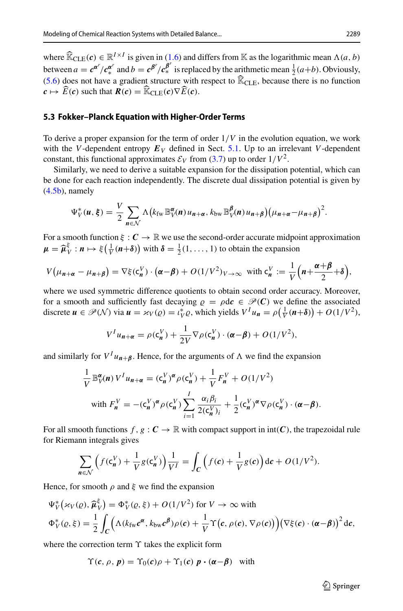where  $\widehat{\mathbb{K}}_{CLE}(\mathbf{c}) \in \mathbb{R}^{I \times I}$  is given in [\(1.6\)](#page-3-2) and differs from  $\mathbb{K}$  as the logarithmic mean  $\Lambda(a, b)$ between  $a = c^{\alpha'} / c_{*}^{\alpha'}$  and  $b = c^{\beta'} / c_{*}^{\beta'}$  is replaced by the arithmetic mean  $\frac{1}{2}(a+b)$ . Obviously, [\(5.6\)](#page-31-2) does not have a gradient structure with respect to  $\widehat{\mathbb{K}}_{\text{CLE}}$ , because there is no function  $c \mapsto \widehat{E}(c)$  such that  $R(c) = \widehat{\mathbb{K}}_{\text{CLE}}(c) \nabla \widehat{E}(c)$ .

## <span id="page-32-0"></span>**5.3 Fokker–Planck Equation with Higher-Order Terms**

To derive a proper expansion for the term of order 1/*V* in the evolution equation, we work with the *V*-dependent entropy  $E_V$  defined in Sect. [5.1.](#page-30-2) Up to an irrelevant *V*-dependent constant, this functional approximates  $\mathcal{E}_V$  from [\(3.7\)](#page-16-0) up to order  $1/V^2$ .

Similarly, we need to derive a suitable expansion for the dissipation potential, which can be done for each reaction independently. The discrete dual dissipation potential is given by  $(4.5b)$ , namely

$$
\Psi_V^*(u, \xi) = \frac{V}{2} \sum_{n \in \mathcal{N}} \Lambda \big( k_{\text{fw}} \mathbb{B}_V^\alpha(n) u_{n+\alpha}, k_{\text{bw}} \mathbb{B}_V^\beta(n) u_{n+\beta} \big) \big( \mu_{n+\alpha} - \mu_{n+\beta} \big)^2.
$$

For a smooth function  $\xi : \mathbf{C} \to \mathbb{R}$  we use the second-order accurate midpoint approximation  $\mu = \hat{\mu}_V^{\xi} : n \mapsto \xi\left(\frac{1}{V}(n+\delta)\right)$  with  $\delta = \frac{1}{2}(1,\ldots,1)$  to obtain the expansion

$$
V(\mu_{n+\alpha}-\mu_{n+\beta})=\nabla\xi(\mathbf{c}_n^V)\cdot(\alpha-\beta)+O(1/V^2)v_{\rightarrow\infty}\ \text{ with } \mathbf{c}_n^V:=\frac{1}{V}\Big(n+\frac{\alpha+\beta}{2}+\delta\Big),
$$

where we used symmetric difference quotients to obtain second order accuracy. Moreover, for a smooth and sufficiently fast decaying  $\rho = \rho d c \in \mathcal{P}(C)$  we define the associated discrete  $u \in \mathcal{P}(\mathcal{N})$  via  $u = \varkappa_V(\varrho) = \iota_V^* \varrho$ , which yields  $V^I u_n = \rho(\frac{1}{V}(n+\delta)) + O(1/V^2)$ ,

$$
V^I u_{n+\alpha} = \rho(\mathbf{c}_n^V) + \frac{1}{2V} \nabla \rho(\mathbf{c}_n^V) \cdot (\alpha - \beta) + O(1/V^2),
$$

and similarly for  $V^I u_{n+\beta}$ . Hence, for the arguments of  $\Lambda$  we find the expansion

$$
\frac{1}{V} \mathbb{B}_{V}^{\alpha}(n) V^{I} u_{n+\alpha} = (c_{n}^{V})^{\alpha} \rho(c_{n}^{V}) + \frac{1}{V} F_{n}^{V} + O(1/V^{2})
$$
  
with 
$$
F_{n}^{V} = -(c_{n}^{V})^{\alpha} \rho(c_{n}^{V}) \sum_{i=1}^{I} \frac{\alpha_{i} \beta_{i}}{2(c_{n}^{V})_{i}} + \frac{1}{2} (c_{n}^{V})^{\alpha} \nabla \rho(c_{n}^{V}) \cdot (\alpha - \beta).
$$

For all smooth functions  $f, g : C \to \mathbb{R}$  with compact support in  $int(C)$ , the trapezoidal rule for Riemann integrals gives

$$
\sum_{n \in \mathcal{N}} \left( f(c_n^V) + \frac{1}{V} g(c_n^V) \right) \frac{1}{V^I} = \int_C \left( f(c) + \frac{1}{V} g(c) \right) \mathrm{d}c + O(1/V^2).
$$

Hence, for smooth  $\rho$  and  $\xi$  we find the expansion

$$
\Psi_V^*(\varkappa_V(\varrho), \widehat{\mu}_V^{\xi}) = \Phi_V^*(\varrho, \xi) + O(1/V^2) \text{ for } V \to \infty \text{ with}
$$
  

$$
\Phi_V^*(\varrho, \xi) = \frac{1}{2} \int_C \Big( \Lambda(k_{\text{fw}} c^{\alpha}, k_{\text{bw}} c^{\beta}) \rho(c) + \frac{1}{V} \Upsilon(c, \rho(c), \nabla \rho(c)) \Big) (\nabla \xi(c) \cdot (\alpha - \beta))^2 dc,
$$

where the correction term  $\Upsilon$  takes the explicit form

$$
\Upsilon(c, \rho, \mathbf{p}) = \Upsilon_0(c)\rho + \Upsilon_1(c)\mathbf{p} \cdot (\mathbf{\alpha} - \mathbf{\beta}) \quad \text{with}
$$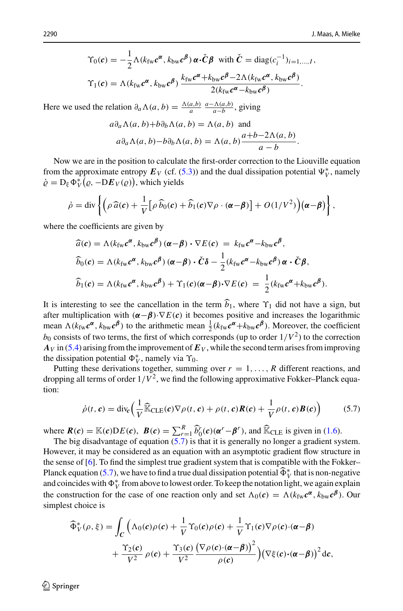$$
\Upsilon_0(\mathbf{c}) = -\frac{1}{2} \Lambda(k_{\rm fw} \mathbf{c}^{\alpha}, k_{\rm bw} \mathbf{c}^{\beta}) \, \alpha \cdot \check{\mathbf{C}} \boldsymbol{\beta} \quad \text{with } \check{\mathbf{C}} = \text{diag}(c_i^{-1})_{i=1,\dots,I},
$$
\n
$$
\Upsilon_1(\mathbf{c}) = \Lambda(k_{\rm fw} \mathbf{c}^{\alpha}, k_{\rm bw} \mathbf{c}^{\beta}) \, \frac{k_{\rm fw} \mathbf{c}^{\alpha} + k_{\rm bw} \mathbf{c}^{\beta} - 2\Lambda(k_{\rm fw} \mathbf{c}^{\alpha}, k_{\rm bw} \mathbf{c}^{\beta})}{2(k_{\rm fw} \mathbf{c}^{\alpha} - k_{\rm bw} \mathbf{c}^{\beta})}.
$$

Here we used the relation  $\partial_a \Lambda(a, b) = \frac{\Lambda(a, b)}{a} \frac{a - \Lambda(a, b)}{a - b}$ , giving

$$
a\partial_a \Lambda(a, b) + b\partial_b \Lambda(a, b) = \Lambda(a, b) \text{ and}
$$
  

$$
a\partial_a \Lambda(a, b) - b\partial_b \Lambda(a, b) = \Lambda(a, b)\frac{a+b-2\Lambda(a, b)}{a-b}.
$$

Now we are in the position to calculate the first-order correction to the Liouville equation from the approximate entropy  $E_V$  (cf. [\(5.3\)](#page-31-3)) and the dual dissipation potential  $\Psi_V^*$ , namely  $\dot{\varrho} = D_{\xi} \Phi_V^* (\varrho, -DE_V(\varrho)),$  which yields

$$
\dot{\rho} = \text{div}\left\{ \left( \rho \, \widehat{a}(c) + \frac{1}{V} \big[ \rho \, \widehat{b}_0(c) + \widehat{b}_1(c) \nabla \rho \cdot (\alpha - \beta) \big] + O(1/V^2) \right) (\alpha - \beta) \right\},\
$$

where the coefficients are given by

$$
\begin{aligned}\n\widehat{a}(c) &= \Lambda(k_{\text{fw}}c^{\alpha}, k_{\text{bw}}c^{\beta}) \left(\alpha - \beta\right) \cdot \nabla E(c) \\
&= k_{\text{fw}}c^{\alpha} - k_{\text{bw}}c^{\beta}, \\
\widehat{b}_0(c) &= \Lambda(k_{\text{fw}}c^{\alpha}, k_{\text{bw}}c^{\beta}) \left(\alpha - \beta\right) \cdot \check{C} \delta - \frac{1}{2}(k_{\text{fw}}c^{\alpha} - k_{\text{bw}}c^{\beta}) \alpha \cdot \check{C} \beta, \\
\widehat{b}_1(c) &= \Lambda(k_{\text{fw}}c^{\alpha}, k_{\text{bw}}c^{\beta}) + \Upsilon_1(c)(\alpha - \beta) \cdot \nabla E(c) \\
&= \frac{1}{2}(k_{\text{fw}}c^{\alpha} + k_{\text{bw}}c^{\beta}).\n\end{aligned}
$$

It is interesting to see the cancellation in the term  $\hat{b}_1$ , where  $\Upsilon_1$  did not have a sign, but after multiplication with  $(\alpha - \beta) \cdot \nabla E(c)$  it becomes positive and increases the logarithmic mean  $\Lambda(k_f_w c^{\alpha}, k_{bw} c^{\beta})$  to the arithmetic mean  $\frac{1}{2}(k_f_w c^{\alpha} + k_{bw} c^{\beta})$ . Moreover, the coefficient  $b_0$  consists of two terms, the first of which corresponds (up to order  $1/V^2$ ) to the correction  $A_V$  in [\(5.4\)](#page-31-1) arising from the improvement of  $E_V$ , while the second term arises from improving the dissipation potential  $\Phi_V^*$ , namely via  $\Upsilon_0$ .

Putting these derivations together, summing over  $r = 1, \ldots, R$  different reactions, and dropping all terms of order  $1/V^2$ , we find the following approximative Fokker–Planck equation:

<span id="page-33-0"></span>
$$
\dot{\rho}(t,\mathbf{c}) = \text{div}_{\mathbf{c}}\left(\frac{1}{V}\widehat{\mathbb{K}}_{\text{CLE}}(\mathbf{c})\nabla\rho(t,\mathbf{c}) + \rho(t,\mathbf{c})\mathbf{R}(\mathbf{c}) + \frac{1}{V}\rho(t,\mathbf{c})\mathbf{B}(\mathbf{c})\right)
$$
(5.7)

where  $\mathbf{R}(c) = \mathbb{K}(c)DE(c)$ ,  $\mathbf{B}(c) = \sum_{r=1}^{R} \hat{b}_0^r(c)(\alpha^r - \beta^r)$ , and  $\hat{\mathbb{K}}_{\text{CLE}}$  is given in [\(1.6\)](#page-3-2).

The big disadvantage of equation [\(5.7\)](#page-33-0) is that it is generally no longer a gradient system. However, it may be considered as an equation with an asymptotic gradient flow structure in the sense of  $[6]$ . To find the simplest true gradient system that is compatible with the Fokker– Planck equation [\(5.7\)](#page-33-0), we have to find a true dual dissipation potential  $\Phi_V^*$  that is non-negative real in the set of the set of the set of the set of the set of the set of the set of the set of the set of the set of t and coincides with  $\Phi_V^*$  from above to lowest order. To keep the notation light, we again explain the construction for the case of one reaction only and set  $\Lambda_0(c) = \Lambda(k_{\rm fw} c^{\alpha}, k_{\rm bw} c^{\beta})$ . Our simplest choice is

$$
\widehat{\Phi}_V^*(\rho, \xi) = \int_C \Big( \Lambda_0(\mathbf{c}) \rho(\mathbf{c}) + \frac{1}{V} \Upsilon_0(\mathbf{c}) \rho(\mathbf{c}) + \frac{1}{V} \Upsilon_1(\mathbf{c}) \nabla \rho(\mathbf{c}) \cdot (\boldsymbol{\alpha} - \boldsymbol{\beta}) \n+ \frac{\Upsilon_2(\mathbf{c})}{V^2} \rho(\mathbf{c}) + \frac{\Upsilon_3(\mathbf{c})}{V^2} \frac{\big(\nabla \rho(\mathbf{c}) \cdot (\boldsymbol{\alpha} - \boldsymbol{\beta})\big)^2}{\rho(\mathbf{c})} \Big) \big(\nabla \xi(\mathbf{c}) \cdot (\boldsymbol{\alpha} - \boldsymbol{\beta})\big)^2 d\mathbf{c},
$$

 $\circledcirc$  Springer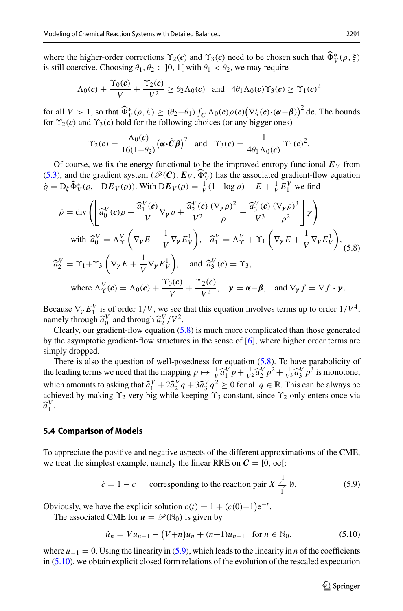where the higher-order corrections  $\Upsilon_2(c)$  and  $\Upsilon_3(c)$  need to be chosen such that  $\Phi_V^*(\rho, \xi)$ is still coercive. Choosing  $\theta_1, \theta_2 \in ]0, 1[$  with  $\theta_1 < \theta_2$ , we may require

$$
\Lambda_0(\boldsymbol{c}) + \frac{\Upsilon_0(\boldsymbol{c})}{V} + \frac{\Upsilon_2(\boldsymbol{c})}{V^2} \ge \theta_2 \Lambda_0(\boldsymbol{c}) \quad \text{and} \quad 4\theta_1 \Lambda_0(\boldsymbol{c}) \Upsilon_3(\boldsymbol{c}) \ge \Upsilon_1(\boldsymbol{c})^2
$$

for all  $V > 1$ , so that  $\widehat{\Phi}_V^*(\rho, \xi) \ge (\theta_2 - \theta_1) \int_C \Lambda_0(c) \rho(c) (\nabla \xi(c) \cdot (\alpha - \beta))^2 d\epsilon$ . The bounds for  $\Upsilon_2(c)$  and  $\Upsilon_3(c)$  hold for the following choices (or any bigger ones)

$$
\Upsilon_2(\boldsymbol{c}) = \frac{\Lambda_0(\boldsymbol{c})}{16(1-\theta_2)} (\boldsymbol{\alpha} \cdot \check{\boldsymbol{C}} \boldsymbol{\beta})^2 \quad \text{and} \quad \Upsilon_3(\boldsymbol{c}) = \frac{1}{4\theta_1 \Lambda_0(\boldsymbol{c})} \Upsilon_1(\boldsymbol{c})^2.
$$

Of course, we fix the energy functional to be the improved entropy functional  $E_V$  from [\(5.3\)](#page-31-3), and the gradient system  $(\mathcal{P}(C), E_V, \Phi_V^*)$  has the associated gradient-flow equation  $\dot{\varrho} = D_{\xi} \widehat{\Phi}_{V}^{*}(\varrho, -DE_{V}(\varrho))$ . With  $DE_{V}(\varrho) = \frac{1}{V}(1 + \log \rho) + E + \frac{1}{V}E_{1}^{V}$  we find

<span id="page-34-0"></span>
$$
\dot{\rho} = \text{div}\left(\left[\hat{a}_0^V(\mathbf{c})\rho + \frac{\hat{a}_1^V(\mathbf{c})}{V}\nabla_{\mathbf{y}}\rho + \frac{\hat{a}_2^V(\mathbf{c})}{V^2}\frac{(\nabla_{\mathbf{y}}\rho)^2}{\rho} + \frac{\hat{a}_3^V(\mathbf{c})}{V^3}\frac{(\nabla_{\mathbf{y}}\rho)^3}{\rho^2}\right]\mathbf{y}\right)
$$
\nwith  $\hat{a}_0^V = \Lambda_Y^V \left(\nabla_{\mathbf{y}} E + \frac{1}{V}\nabla_{\mathbf{y}} E_V^1\right)$ ,  $\hat{a}_1^V = \Lambda_Y^V + \Upsilon_1 \left(\nabla_{\mathbf{y}} E + \frac{1}{V}\nabla_{\mathbf{y}} E_V^1\right)$ ,  
\n $\hat{a}_2^V = \Upsilon_1 + \Upsilon_3 \left(\nabla_{\mathbf{y}} E + \frac{1}{V}\nabla_{\mathbf{y}} E_V^1\right)$ , and  $\hat{a}_3^V(\mathbf{c}) = \Upsilon_3$ ,  
\nwhere  $\Lambda_Y^V(\mathbf{c}) = \Lambda_0(\mathbf{c}) + \frac{\Upsilon_0(\mathbf{c})}{V} + \frac{\Upsilon_2(\mathbf{c})}{V^2}$ ,  $\mathbf{y} = \boldsymbol{\alpha} - \boldsymbol{\beta}$ , and  $\nabla_{\mathbf{y}} f = \nabla f \cdot \mathbf{y}$ .

Because  $\nabla_{\gamma} E_1^V$  is of order  $1/V$ , we see that this equation involves terms up to order  $1/V^4$ , namely through  $\hat{a}_0^V$  and through  $\hat{a}_2^V/V^2$ .<br>Clearly our gradient-flow equation (5)

Clearly, our gradient-flow equation  $(5.8)$  is much more complicated than those generated by the asymptotic gradient-flow structures in the sense of [\[6](#page-45-10)], where higher order terms are simply dropped.

There is also the question of well-posedness for equation  $(5.8)$ . To have parabolicity of the leading terms we need that the mapping  $p \mapsto \frac{1}{V} \widehat{a}_1^V p + \frac{1}{V^2} \widehat{a}_2^V p^2 + \frac{1}{V^3} \widehat{a}_3^V p^3$  is monotone, which amounts to asking that  $\hat{a}_1^V + 2\hat{a}_2^V q + 3\hat{a}_3^V q^2 \ge 0$  for all  $q \in \mathbb{R}$ . This can be always be achieved by making  $\hat{y}$  very big while keeping  $\hat{y}$  constant since  $\hat{y}$  only enters once via achieved by making  $\Upsilon_2$  very big while keeping  $\Upsilon_3$  constant, since  $\Upsilon_2$  only enters once via  $\widehat{a}_1^V$ .

### <span id="page-34-3"></span>**5.4 Comparison of Models**

To appreciate the positive and negative aspects of the different approximations of the CME, we treat the simplest example, namely the linear RRE on  $C = [0, \infty]$ :

<span id="page-34-1"></span>
$$
\dot{c} = 1 - c \qquad \text{corresponding to the reaction pair } X \stackrel{1}{\leftrightharpoons} \emptyset. \tag{5.9}
$$

Obviously, we have the explicit solution  $c(t) = 1 + (c(0)-1)e^{-t}$ .

The associated CME for  $u = \mathcal{P}(\mathbb{N}_0)$  is given by

<span id="page-34-2"></span>
$$
\dot{u}_n = Vu_{n-1} - (V+n)u_n + (n+1)u_{n+1} \quad \text{for } n \in \mathbb{N}_0,
$$
\n(5.10)

where  $u_{-1} = 0$ . Using the linearity in [\(5.9\)](#page-34-1), which leads to the linearity in *n* of the coefficients in [\(5.10\)](#page-34-2), we obtain explicit closed form relations of the evolution of the rescaled expectation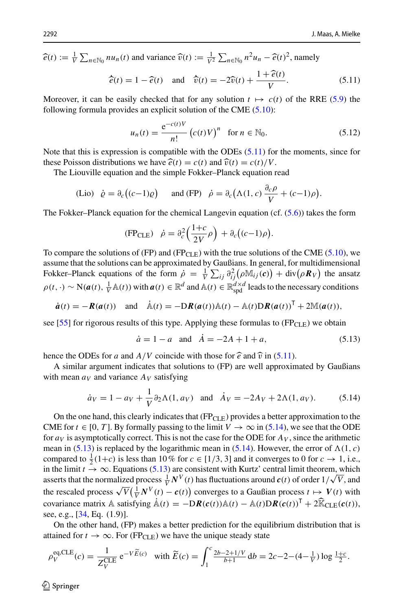$\hat{e}(t) := \frac{1}{V} \sum_{n \in \mathbb{N}_0} n u_n(t)$  and variance  $\hat{v}(t) := \frac{1}{V^2} \sum_{n \in \mathbb{N}_0} n^2 u_n - \hat{e}(t)^2$ , namely

<span id="page-35-0"></span>
$$
\hat{e}(t) = 1 - \hat{e}(t)
$$
 and  $\hat{v}(t) = -2\hat{v}(t) + \frac{1 + \hat{e}(t)}{V}$ . (5.11)

Moreover, it can be easily checked that for any solution  $t \mapsto c(t)$  of the RRE [\(5.9\)](#page-34-1) the following formula provides an explicit solution of the CME [\(5.10\)](#page-34-2):

$$
u_n(t) = \frac{e^{-c(t)V}}{n!} (c(t)V)^n \text{ for } n \in \mathbb{N}_0.
$$
 (5.12)

Note that this is expression is compatible with the ODEs [\(5.11\)](#page-35-0) for the moments, since for these Poisson distributions we have  $\hat{e}(t) = c(t)$  and  $\hat{v}(t) = c(t)/V$ .

The Liouville equation and the simple Fokker–Planck equation read

(Lio) 
$$
\dot{\varrho} = \partial_c ((c-1)\varrho)
$$
 and (FP)  $\dot{\rho} = \partial_c (\Lambda(1, c) \frac{\partial_c \rho}{V} + (c-1)\rho).$ 

The Fokker–Planck equation for the chemical Langevin equation (cf.  $(5.6)$ ) takes the form

$$
(\text{FP}_{\text{CLE}}) \quad \dot{\rho} = \partial_c^2 \left( \frac{1+c}{2V} \rho \right) + \partial_c \big( (c-1) \rho \big).
$$

To compare the solutions of (FP) and (FP<sub>CLE</sub>) with the true solutions of the CME [\(5.10\)](#page-34-2), we assume that the solutions can be approximated by Gaußians. In general, for multidimensional Fokker–Planck equations of the form  $\dot{\rho} = \frac{1}{V} \sum_{ij} \frac{\partial^2_{ij}(\rho \mathbb{M}_{ij}(c))}{\partial t^2} + \text{div}(\rho \mathbf{R}_V)$  the ansatz  $\rho(t, \cdot)$  ∼ N( $\boldsymbol{a}(t)$ ,  $\frac{1}{V}$  A(*t*)) with  $\boldsymbol{a}(t) \in \mathbb{R}^d$  and A(*t*) ∈  $\mathbb{R}^{d \times d}_{\text{spd}}$  leads to the necessary conditions

$$
\dot{\boldsymbol{a}}(t) = -\boldsymbol{R}(\boldsymbol{a}(t))
$$
 and  $\dot{\mathbb{A}}(t) = -D\boldsymbol{R}(\boldsymbol{a}(t))\mathbb{A}(t) - \mathbb{A}(t)D\boldsymbol{R}(\boldsymbol{a}(t))^{\mathsf{T}} + 2\mathbb{M}(\boldsymbol{a}(t)),$ 

see [\[55](#page-46-26)] for rigorous results of this type. Applying these formulas to  $(FP_{CLE})$  we obtain

<span id="page-35-2"></span><span id="page-35-1"></span>
$$
\dot{a} = 1 - a
$$
 and  $\dot{A} = -2A + 1 + a$ , (5.13)

hence the ODEs for *a* and  $A/V$  coincide with those for  $\hat{e}$  and  $\hat{v}$  in [\(5.11\)](#page-35-0).

A similar argument indicates that solutions to (FP) are well approximated by Gaußians with mean  $a_V$  and variance  $A_V$  satisfying

$$
\dot{a}_V = 1 - a_V + \frac{1}{V} \partial_2 \Lambda(1, a_V)
$$
 and  $\dot{A}_V = -2A_V + 2\Lambda(1, a_V).$  (5.14)

On the one hand, this clearly indicates that  $(FP_{CLE})$  provides a better approximation to the CME for  $t \in [0, T]$ . By formally passing to the limit  $V \to \infty$  in [\(5.14\)](#page-35-1), we see that the ODE for  $a_V$  is asymptotically correct. This is not the case for the ODE for  $A_V$ , since the arithmetic mean in [\(5.13\)](#page-35-2) is replaced by the logarithmic mean in [\(5.14\)](#page-35-1). However, the error of  $\Lambda(1, c)$ compared to  $\frac{1}{2}(1+c)$  is less than 10% for  $c \in [1/3, 3]$  and it converges to 0 for  $c \to 1$ , i.e., in the limit  $t \to \infty$ . Equations [\(5.13\)](#page-35-2) are consistent with Kurtz' central limit theorem, which asserts that the normalized process  $\frac{1}{V}N^V(t)$  has fluctuations around  $c(t)$  of order  $1/\sqrt{V}$ , and the rescaled process  $\sqrt{V}(\frac{1}{V}N^V(t) - c(t))$  converges to a Gaußian process  $t \mapsto V(t)$  with covariance matrix A satisfying  $\dot{A}(t) = -DR(c(t))A(t) - A(t)DR(c(t))^{\mathsf{T}} + 2\hat{R}_{\text{CLE}}(c(t)),$ see, e.g., [\[34](#page-45-8), Eq. (1.9)].

On the other hand, (FP) makes a better prediction for the equilibrium distribution that is attained for  $t \to \infty$ . For (FP<sub>CLE</sub>) we have the unique steady state

$$
\rho_V^{\text{eq,CLE}}(c) = \frac{1}{Z_V^{\text{CLE}}} e^{-V\widetilde{E}(c)} \quad \text{with } \widetilde{E}(c) = \int_1^c \frac{2b - 2 + 1/V}{b + 1} \, \mathrm{d}b = 2c - 2 - (4 - \frac{1}{V}) \log \frac{1 + c}{2}.
$$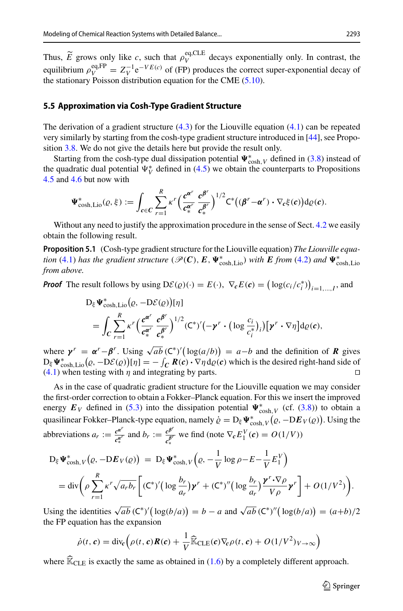Thus,  $\widetilde{E}$  grows only like *c*, such that  $\rho_V^{\text{eq,CLE}}$  decays exponentially only. In contrast, the equilibrium  $\rho_V^{eq,FP} = Z_V^{-1} e^{-VE(c)}$  of (FP) produces the correct super-exponential decay of the stationary Poisson distribution equation for the CME [\(5.10\)](#page-34-2).

## **5.5 Approximation via Cosh-Type Gradient Structure**

The derivation of a gradient structure  $(4.3)$  for the Liouville equation  $(4.1)$  can be repeated very similarly by starting from the cosh-type gradient structure introduced in [\[44](#page-46-3)], see Proposition [3.8.](#page-16-4) We do not give the details here but provide the result only.

Starting from the cosh-type dual dissipation potential  $\Psi_{\cosh,V}^*$  defined in [\(3.8\)](#page-16-2) instead of the quadratic dual potential  $\Psi_V^*$  defined in [\(4.5\)](#page-18-3) we obtain the counterparts to Propositions [4.5](#page-23-4) and [4.6](#page-25-1) but now with

$$
\Psi^*_{\cosh, \text{Lio}}(\varrho, \xi) := \int_{c \in C} \sum_{r=1}^R \kappa^r \Big( \frac{c^{\alpha^r}}{c_*^{\alpha^r}} \frac{c^{\beta^r}}{c_*^{\beta^r}} \Big)^{1/2} \mathsf{C}^* \big( (\beta^r - \alpha^r) \cdot \nabla_c \xi(c) \big) \mathrm{d}\varrho(c).
$$

Without any need to justify the approximation procedure in the sense of Sect. [4.2](#page-17-1) we easily obtain the following result.

**Proposition 5.1** (Cosh-type gradient structure for the Liouville equation) *The Liouville equation* [\(4.1\)](#page-16-3) *has the gradient structure* ( $\mathscr{P}(\mathcal{C})$ ,  $E$ ,  $\Psi_{\cosh, \text{Lio}}^{*}$ ) *with*  $E$  *from* [\(4.2\)](#page-17-2) *and*  $\Psi_{\cosh, \text{Lio}}^{*}$ *from above.*

*Proof* The result follows by using  $D\mathcal{E}(\varrho)(\cdot) = E(\cdot)$ ,  $\nabla_c E(c) = (\log(c_i/c_i^*))_{i=1,\dots,I}$ , and

$$
D_{\xi} \Psi_{\cosh, \text{Lio}}^{*}(\varrho, -D\mathcal{E}(\varrho))[\eta]
$$
  
= 
$$
\int_{C} \sum_{r=1}^{R} \kappa^{r} \Big( \frac{c^{\alpha^{r}}}{c_{*}^{\alpha^{r}}} \frac{c^{\beta^{r}}}{c_{*}^{\beta^{r}}} \Big)^{1/2} (\mathsf{C}^{*})'(-\mathbf{y}^{r} \cdot (\log \frac{c_{i}}{c_{i}^{*}})_{i})[\mathbf{y}^{r} \cdot \nabla \eta] d\varrho(c),
$$

where  $\gamma^r = \alpha^r - \beta^r$ . Using  $\sqrt{ab}$  (C<sup>∗</sup>)'(log(*a*/*b*)) = *a*−*b* and the definition of *R* gives  $D_{\xi} \Psi_{\cosh, \text{Lio}}^{*}(\varrho, -D\mathcal{E}(\varrho))[\eta] = -\int_{\mathcal{C}} R(c) \cdot \nabla \eta \, d\varrho(c)$  which is the desired right-hand side of [\(4.1\)](#page-16-3) when testing with  $\eta$  and integrating by parts.

As in the case of quadratic gradient structure for the Liouville equation we may consider the first-order correction to obtain a Fokker–Planck equation. For this we insert the improved energy  $E_V$  defined in [\(5.3\)](#page-31-3) into the dissipation potential  $\Psi_{\cosh,V}^*$  (cf. [\(3.8\)](#page-16-2)) to obtain a quasilinear Fokker–Planck-type equation, namely  $\dot{\varrho} = D_{\xi} \Psi_{\cosh, V}^{*}(\varrho, -DE_V(\varrho))$ . Using the abbreviations  $a_r := \frac{c^{a^r}}{c^{a^r}}$  and  $b_r := \frac{c^{b^r}}{c^{a^r}}$  we find (note  $\nabla_c E_1^V(c) = O(1/V)$ ) ∗ ∗

$$
D_{\xi} \Psi_{\cosh,V}^{*}(\varrho, -DE_{V}(\varrho)) = D_{\xi} \Psi_{\cosh,V}^{*}(\varrho, -\frac{1}{V} \log \rho - E - \frac{1}{V} E_{1}^{V})
$$
  
= 
$$
\operatorname{div} \left( \rho \sum_{r=1}^{R} \kappa^{r} \sqrt{a_{r} b_{r}} \left[ (\mathsf{C}^{*})^{'} (\log \frac{b_{r}}{a_{r}}) \mathbf{y}^{r} + (\mathsf{C}^{*})^{''} (\log \frac{b_{r}}{a_{r}}) \frac{\mathbf{y}^{r} \cdot \nabla \rho}{V \rho} \mathbf{y}^{r} \right] + O(1/V^{2}).
$$

Using the identities  $\sqrt{ab}$  (C<sup>\*</sup>)'( $\log(b/a)$ ) = *b* − *a* and  $\sqrt{ab}$  (C<sup>\*</sup>)''( $\log(b/a)$ ) =  $(a+b)/2$ the FP equation has the expansion

$$
\dot{\rho}(t,\mathbf{c}) = \text{div}_{\mathbf{c}}\left(\rho(t,\mathbf{c})\mathbf{R}(\mathbf{c}) + \frac{1}{V}\widehat{\mathbb{K}}_{\text{CLE}}(\mathbf{c})\nabla_{\mathbf{c}}\rho(t,\mathbf{c}) + O(1/V^2)_{V\to\infty}\right)
$$

where  $\widehat{\mathbb{K}}_{\text{CLE}}$  is exactly the same as obtained in [\(1.6\)](#page-3-2) by a completely different approach.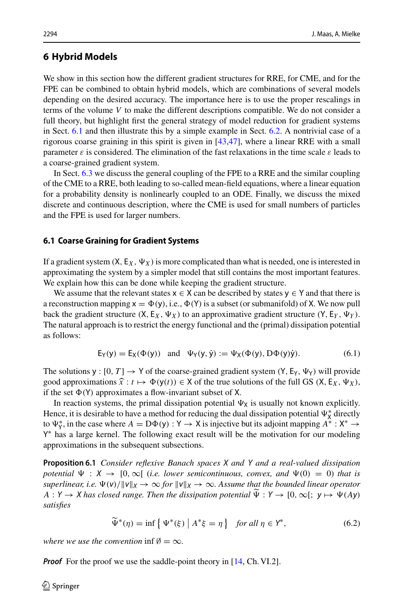## <span id="page-37-0"></span>**6 Hybrid Models**

We show in this section how the different gradient structures for RRE, for CME, and for the FPE can be combined to obtain hybrid models, which are combinations of several models depending on the desired accuracy. The importance here is to use the proper rescalings in terms of the volume *V* to make the different descriptions compatible. We do not consider a full theory, but highlight first the general strategy of model reduction for gradient systems in Sect. [6.1](#page-37-1) and then illustrate this by a simple example in Sect. [6.2.](#page-39-0) A nontrivial case of a rigorous coarse graining in this spirit is given in [\[43](#page-46-2)[,47](#page-46-5)], where a linear RRE with a small parameter  $\varepsilon$  is considered. The elimination of the fast relaxations in the time scale  $\varepsilon$  leads to a coarse-grained gradient system.

In Sect. [6.3](#page-40-0) we discuss the general coupling of the FPE to a RRE and the similar coupling of the CME to a RRE, both leading to so-called mean-field equations, where a linear equation for a probability density is nonlinearly coupled to an ODE. Finally, we discuss the mixed discrete and continuous description, where the CME is used for small numbers of particles and the FPE is used for larger numbers.

### <span id="page-37-1"></span>**6.1 Coarse Graining for Gradient Systems**

If a gradient system  $(X, E_X, \Psi_X)$  is more complicated than what is needed, one is interested in approximating the system by a simpler model that still contains the most important features. We explain how this can be done while keeping the gradient structure.

We assume that the relevant states  $x \in X$  can be described by states  $y \in Y$  and that there is a reconstruction mapping  $x = \Phi(y)$ , i.e.,  $\Phi(Y)$  is a subset (or submanifold) of X. We now pull back the gradient structure  $(X, E_X, \Psi_X)$  to an approximative gradient structure  $(Y, E_Y, \Psi_Y)$ . The natural approach is to restrict the energy functional and the (primal) dissipation potential as follows:

$$
E_Y(y) = E_X(\Phi(y)) \quad \text{and} \quad \Psi_Y(y, \dot{y}) := \Psi_X(\Phi(y), D\Phi(y)\dot{y}). \tag{6.1}
$$

The solutions  $y : [0, T] \rightarrow Y$  of the coarse-grained gradient system  $(Y, E_Y, \Psi_Y)$  will provide good approximations  $\hat{x}: t \mapsto \Phi(y(t)) \in X$  of the true solutions of the full GS  $(X, E_X, \Psi_X)$ , if the set  $\Phi(Y)$  approximates a flow-invariant subset of X.

In reaction systems, the primal dissipation potential  $\Psi_X$  is usually not known explicitly. Hence, it is desirable to have a method for reducing the dual dissipation potential  $\Psi^*_{\mathsf{X}}$  directly to  $\Psi_{Y}^{*}$ , in the case where  $A = D\Phi(y) : Y \to X$  is injective but its adjoint mapping  $A^{*} : X^{*} \to Y$ Y<sup>∗</sup> has a large kernel. The following exact result will be the motivation for our modeling approximations in the subsequent subsections.

**Proposition 6.1** *Consider reflexive Banach spaces X and Y and a real-valued dissipation potential*  $\Psi : X \to [0, \infty[$  (*i.e. lower semicontinuous, convex, and*  $\Psi(0) = 0$ ) *that is* superlinear, i.e.  $\Psi(v)/\|v\|_X \to \infty$  for  $\|v\|_X \to \infty$ . Assume that the bounded linear operator  $A: Y \to X$  has closed range. Then the dissipation potential  $\tilde{\Psi}: Y \to [0, \infty[; y \mapsto \Psi(Ay)]$ *satisfies*

<span id="page-37-2"></span>
$$
\widetilde{\Psi}^*(\eta) = \inf \left\{ \Psi^*(\xi) \mid A^*\xi = \eta \right\} \quad \text{for all } \eta \in \mathcal{Y}^*, \tag{6.2}
$$

*where we use the convention* inf  $\emptyset = \infty$ *.* 

*Proof* For the proof we use the saddle-point theory in [\[14,](#page-45-28) Ch. VI.2].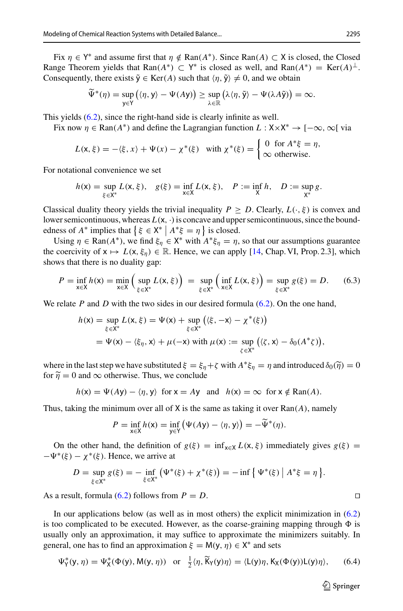Fix  $\eta \in Y^*$  and assume first that  $\eta \notin \text{Ran}(A^*)$ . Since  $\text{Ran}(A) \subset X$  is closed, the Closed Range Theorem yields that Ran( $A^*$ ) ⊂ Y<sup>\*</sup> is closed as well, and Ran( $A^*$ ) = Ker( $A$ )<sup>⊥</sup>. Consequently, there exists  $\tilde{y} \in \text{Ker}(A)$  such that  $\langle \eta, \tilde{y} \rangle \neq 0$ , and we obtain

$$
\widetilde{\Psi}^*(\eta) = \sup_{y \in Y} (\langle \eta, y \rangle - \Psi(Ay)) \geq \sup_{\lambda \in \mathbb{R}} (\lambda \langle \eta, \widetilde{y} \rangle - \Psi(\lambda A\widetilde{y})) = \infty.
$$

This yields [\(6.2\)](#page-37-2), since the right-hand side is clearly infinite as well.

Fix now  $\eta \in \text{Ran}(A^*)$  and define the Lagrangian function  $L : X \times X^* \to [-\infty, \infty]$  via

$$
L(\mathsf{x},\xi) = -\langle \xi, x \rangle + \Psi(x) - \chi^*(\xi) \quad \text{with } \chi^*(\xi) = \begin{cases} 0 & \text{for } A^*\xi = \eta, \\ \infty & \text{otherwise.} \end{cases}
$$

For notational convenience we set

$$
h(\mathsf{x}) = \sup_{\xi \in \mathsf{X}^*} L(\mathsf{x}, \xi), \quad g(\xi) = \inf_{\mathsf{x} \in \mathsf{X}} L(\mathsf{x}, \xi), \quad P := \inf_{\mathsf{X}} h, \quad D := \sup_{\mathsf{X}^*} g.
$$

Classical duality theory yields the trivial inequality  $P \geq D$ . Clearly,  $L(\cdot, \xi)$  is convex and lower semicontinuous, whereas  $L(x, \cdot)$  is concave and upper semicontinuous, since the boundedness of  $A^*$  implies that  $\{\xi \in X^* \mid A^* \xi = \eta\}$  is closed.

Using  $\eta \in \text{Ran}(A^*)$ , we find  $\xi_{\eta} \in X^*$  with  $A^* \xi_{\eta} = \eta$ , so that our assumptions guarantee the coercivity of  $x \mapsto L(x, \xi_n) \in \mathbb{R}$ . Hence, we can apply [\[14,](#page-45-28) Chap. VI, Prop. 2.3], which shows that there is no duality gap:

$$
P = \inf_{x \in X} h(x) = \min_{x \in X} \left( \sup_{\xi \in X^*} L(x, \xi) \right) = \sup_{\xi \in X^*} \left( \inf_{x \in X} L(x, \xi) \right) = \sup_{\xi \in X^*} g(\xi) = D. \tag{6.3}
$$

We relate *P* and *D* with the two sides in our desired formula [\(6.2\)](#page-37-2). On the one hand,

$$
h(\mathbf{x}) = \sup_{\xi \in \mathbf{X}^*} L(\mathbf{x}, \xi) = \Psi(\mathbf{x}) + \sup_{\xi \in \mathbf{X}^*} \left( \langle \xi, -\mathbf{x} \rangle - \chi^*(\xi) \right)
$$
  
=  $\Psi(\mathbf{x}) - \langle \xi_{\eta}, \mathbf{x} \rangle + \mu(-\mathbf{x}) \text{ with } \mu(\mathbf{x}) := \sup_{\zeta \in \mathbf{X}^*} \left( \langle \zeta, \mathbf{x} \rangle - \delta_0(A^* \zeta) \right),$ 

where in the last step we have substituted  $\xi = \xi_n + \zeta$  with  $A^* \xi_n = \eta$  and introduced  $\delta_0(\tilde{\eta}) = 0$ for  $\tilde{\eta} = 0$  and  $\infty$  otherwise. Thus, we conclude

$$
h(x) = \Psi(Ay) - \langle \eta, y \rangle
$$
 for  $x = Ay$  and  $h(x) = \infty$  for  $x \notin \text{Ran}(A)$ .

Thus, taking the minimum over all of X is the same as taking it over Ran(*A*), namely

$$
P = \inf_{\mathsf{x} \in \mathsf{X}} h(\mathsf{x}) = \inf_{\mathsf{y} \in \mathsf{Y}} \big( \Psi(A\mathsf{y}) - \langle \eta, \mathsf{y} \rangle \big) = -\widetilde{\Psi}^*(\eta).
$$

On the other hand, the definition of  $g(\xi) = \inf_{x \in X} L(x, \xi)$  immediately gives  $g(\xi) =$  $-\Psi^*(\xi) - \chi^*(\xi)$ . Hence, we arrive at

$$
D = \sup_{\xi \in X^*} g(\xi) = -\inf_{\xi \in X^*} (\Psi^*(\xi) + \chi^*(\xi)) = -\inf \{ \Psi^*(\xi) \mid A^* \xi = \eta \}.
$$

As a result, formula [\(6.2\)](#page-37-2) follows from  $P = D$ .

In our applications below (as well as in most others) the explicit minimization in [\(6.2\)](#page-37-2) is too complicated to be executed. However, as the coarse-graining mapping through  $\Phi$  is usually only an approximation, it may suffice to approximate the minimizers suitably. In general, one has to find an approximation  $\xi = M(y, \eta) \in X^*$  and sets

$$
\Psi_{\mathsf{Y}}^*(\mathsf{y},\eta) = \Psi_{\mathsf{X}}^*(\Phi(\mathsf{y}),\mathsf{M}(\mathsf{y},\eta)) \quad \text{or} \quad \frac{1}{2}\langle \eta, \widetilde{\mathsf{K}}_{\mathsf{Y}}(\mathsf{y})\eta \rangle = \langle \mathsf{L}(\mathsf{y})\eta, \mathsf{K}_{\mathsf{X}}(\Phi(\mathsf{y}))\mathsf{L}(\mathsf{y})\eta \rangle, \tag{6.4}
$$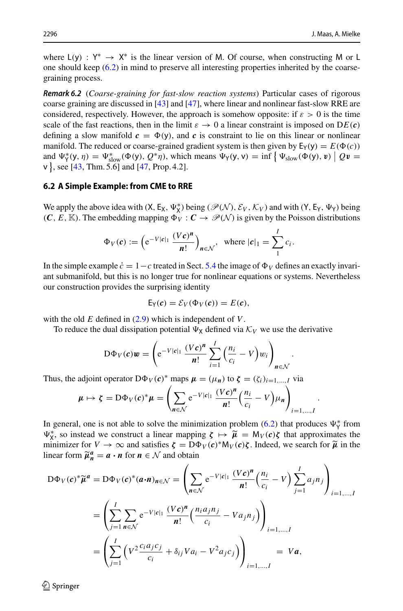where  $L(y)$ :  $Y^* \rightarrow X^*$  is the linear version of M. Of course, when constructing M or L one should keep [\(6.2\)](#page-37-2) in mind to preserve all interesting properties inherited by the coarsegraining process.

*Remark 6.2* (*Coarse-graining for fast-slow reaction systems*) Particular cases of rigorous coarse graining are discussed in [\[43](#page-46-2)] and [\[47\]](#page-46-5), where linear and nonlinear fast-slow RRE are considered, respectively. However, the approach is somehow opposite: if  $\varepsilon > 0$  is the time scale of the fast reactions, then in the limit  $\varepsilon \to 0$  a linear constraint is imposed on  $DE(c)$ defining a slow manifold  $c = \Phi(y)$ , and *c* is constraint to lie on this linear or nonlinear manifold. The reduced or coarse-grained gradient system is then given by  $E_Y(y) = E(\Phi(c))$ and  $\Psi_{\gamma}^{*}(y, \eta) = \Psi_{\text{slow}}^{*}(\Phi(y), Q^{*}\eta)$ , which means  $\Psi_{\gamma}(y, v) = \inf \{ \Psi_{\text{slow}}(\Phi(y), v) \mid Qv =$ v }, see [\[43,](#page-46-2) Thm. 5.6] and [\[47,](#page-46-5) Prop. 4.2].

### <span id="page-39-0"></span>**6.2 A Simple Example: from CME to RRE**

We apply the above idea with  $(X, E_X, \Psi_X^*)$  being  $(\mathcal{P}(\mathcal{N}), \mathcal{E}_V, \mathcal{K}_V)$  and with  $(Y, E_Y, \Psi_Y)$  being  $(C, E, \mathbb{K})$ . The embedding mapping  $\Phi_V : C \to \mathcal{P}(\mathcal{N})$  is given by the Poisson distributions

$$
\Phi_V(c) := \left(e^{-V|c|_1} \frac{(Vc)^n}{n!}\right)_{n \in \mathcal{N}}, \text{ where } |c|_1 = \sum_{i=1}^{I} c_i.
$$

In the simple example  $\dot{c} = 1 - c$  treated in Sect. [5.4](#page-34-3) the image of  $\Phi_V$  defines an exactly invariant submanifold, but this is no longer true for nonlinear equations or systems. Nevertheless our construction provides the surprising identity

$$
E_Y(c) = \mathcal{E}_V(\Phi_V(c)) = E(c),
$$

with the old *E* defined in [\(2.9\)](#page-7-1) which is independent of *V*.

To reduce the dual dissipation potential  $\Psi_X$  defined via  $K_V$  we use the derivative

$$
D\Phi_V(c)w = \left(e^{-V|c|_1}\frac{(Vc)^n}{n!}\sum_{i=1}^l\left(\frac{n_i}{c_i}-V\right)w_i\right)_{n\in\mathcal{N}}
$$

.

.

Thus, the adjoint operator  $D\Phi_V(c)^*$  maps  $\mu = (\mu_n)$  to  $\zeta = (\zeta_i)_{i=1,\dots,I}$  via

$$
\mu \mapsto \zeta = D\Phi_V(c)^* \mu = \left( \sum_{n \in \mathcal{N}} e^{-V|c|_1} \frac{(Vc)^n}{n!} \left( \frac{n_i}{c_i} - V \right) \mu_n \right)_{i=1,\dots,I}
$$

In general, one is not able to solve the minimization problem [\(6.2\)](#page-37-2) that produces  $\Psi^*_{\gamma}$  from  $\Psi_{\mathbf{x}}^*$ , so instead we construct a linear mapping  $\zeta \mapsto \widetilde{\mu} = M_V(c)\zeta$  that approximates the minimizer for  $V \to \infty$  and satisfies  $\zeta = D\Phi_V(c)^* M_V(c)\zeta$ . Indeed, we search for  $\widetilde{u}$  in the minimizer for  $V \to \infty$  and satisfies  $\zeta = D\Phi_V(c)^* M_V(c) \zeta$ . Indeed, we search for  $\tilde{\mu}$  in the linear form  $\widetilde{\mu}_n^a = a \cdot n$  for  $n \in \mathcal{N}$  and obtain

$$
D\Phi_V(c)^*\widetilde{\mu}^a = D\Phi_V(c)^*(a \cdot n)_{n \in \mathcal{N}} = \left(\sum_{n \in \mathcal{N}} e^{-V|c|_1} \frac{(Vc)^n}{n!} \left(\frac{n_i}{c_i} - V\right) \sum_{j=1}^I a_j n_j\right)_{i=1,\dots,I}
$$
  

$$
= \left(\sum_{j=1}^I \sum_{n \in \mathcal{N}} e^{-V|c|_1} \frac{(Vc)^n}{n!} \left(\frac{n_i a_j n_j}{c_i} - V a_j n_j\right)\right)_{i=1,\dots,I}
$$
  

$$
= \left(\sum_{j=1}^I \left(V^2 \frac{c_i a_j c_j}{c_i} + \delta_{ij} V a_i - V^2 a_j c_j\right)\right)_{i=1,\dots,I} = V a,
$$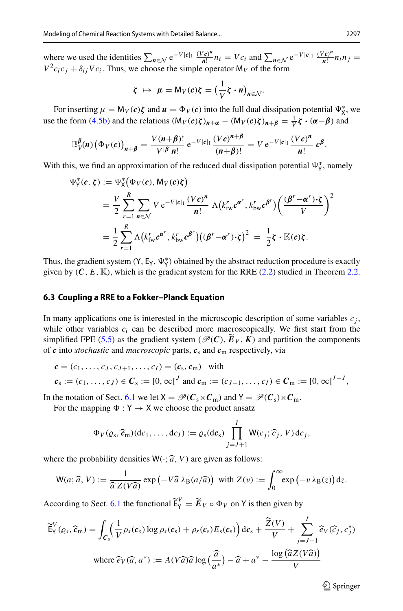where we used the identities  $\sum_{n \in \mathcal{N}} e^{-V|c|_1} \frac{(Vc)^n}{n!} n_i = Vc_i$  and  $\sum_{n \in \mathcal{N}} e^{-V|c|_1} \frac{(Vc)^n}{n!} n_i n_j = Vc_i$  $V^2c_i c_j + \delta_{ij} Vc_i$ . Thus, we choose the simple operator  $M_V$  of the form

$$
\zeta \ \mapsto \ \mu = \mathsf{M}_V(c)\zeta = \left(\frac{1}{V}\zeta \cdot n\right)_{n \in \mathcal{N}}.
$$

For inserting  $\mu = M_V(c)\zeta$  and  $u = \Phi_V(c)$  into the full dual dissipation potential  $\Psi_X^*$ , we use the form [\(4.5b\)](#page-18-1) and the relations  $(M_V(c)\zeta)_{n+\alpha} - (M_V(c)\zeta)_{n+\beta} = \frac{1}{V}\zeta \cdot (\alpha - \beta)$  and

$$
\mathbb{B}_{V}^{\beta}(n)\left(\Phi_{V}(c)\right)_{n+\beta}=\frac{V(n+\beta)!}{V^{|\beta|}n!}\,\mathrm{e}^{-V|c|_{1}}\frac{(Vc)^{n+\beta}}{(n+\beta)!}=V\,\mathrm{e}^{-V|c|_{1}}\frac{(Vc)^{n}}{n!}\,c^{\beta}.
$$

With this, we find an approximation of the reduced dual dissipation potential  $\Psi^*_{\gamma}$ , namely

$$
\Psi_{\Upsilon}^{*}(c, \zeta) := \Psi_{\Upsilon}^{*}(\Phi_{V}(c), M_{V}(c)\zeta)
$$
\n
$$
= \frac{V}{2} \sum_{r=1}^{R} \sum_{n \in \mathcal{N}} V e^{-V|c|_{1}} \frac{(Vc)^{n}}{n!} \Lambda (k_{fw}^{r} c^{\alpha^{r}}, k_{bw}^{r} c^{\beta^{r}}) \left( \frac{(\beta^{r} - \alpha^{r}) \cdot \zeta}{V} \right)^{2}
$$
\n
$$
= \frac{1}{2} \sum_{r=1}^{R} \Lambda (k_{fw}^{r} c^{\alpha^{r}}, k_{bw}^{r} c^{\beta^{r}}) ((\beta^{r} - \alpha^{r}) \cdot \zeta)^{2} = \frac{1}{2} \zeta \cdot \mathbb{K}(c)\zeta.
$$

Thus, the gradient system  $(Y, E_Y, \Psi^*_Y)$  obtained by the abstract reduction procedure is exactly given by  $(C, E, \mathbb{K})$ , which is the gradient system for the RRE [\(2.2\)](#page-5-1) studied in Theorem [2.2.](#page-7-0)

#### <span id="page-40-0"></span>**6.3 Coupling a RRE to a Fokker–Planck Equation**

In many applications one is interested in the microscopic description of some variables  $c_j$ , while other variables  $c_i$  can be described more macroscopically. We first start from the simplified FPE [\(5.5\)](#page-31-4) as the gradient system ( $\mathcal{P}(C)$ ,  $\tilde{E}_V$ ,  $K$ ) and partition the components of  $c$  into *stochastic* and *macroscopic* parts,  $c_s$  and  $c_m$  respectively, via

$$
\mathbf{c} = (c_1, \dots, c_J, c_{J+1}, \dots, c_I) = (\mathbf{c}_s, \mathbf{c}_m) \quad \text{with}
$$
\n
$$
\mathbf{c}_s := (c_1, \dots, c_J) \in \mathbf{C}_s := [0, \infty]^J \text{ and } \mathbf{c}_m := (c_{J+1}, \dots, c_I) \in \mathbf{C}_m := [0, \infty]^{I-J},
$$

In the notation of Sect. [6.1](#page-37-1) we let  $X = \mathcal{P}(C_s \times C_m)$  and  $Y = \mathcal{P}(C_s) \times C_m$ .

For the mapping  $\Phi : Y \to X$  we choose the product ansatz

$$
\Phi_V(\varrho_s, \widehat{\mathbf{c}}_m)(\mathrm{d}c_1, \ldots, \mathrm{d}c_I) := \varrho_s(\mathrm{d}\mathbf{c}_s) \prod_{j=J+1}^I W(c_j; \widehat{c}_j, V) \mathrm{d}c_j,
$$

where the probability densities  $W(\cdot; \hat{a}, V)$  are given as follows:

$$
W(a; \widehat{a}, V) := \frac{1}{\widehat{a} Z(V\widehat{a})} \exp\left(-V\widehat{a} \lambda_{\mathrm{B}}(a/\widehat{a})\right) \text{ with } Z(v) := \int_0^\infty \exp\left(-v \lambda_{\mathrm{B}}(z)\right) \mathrm{d}z.
$$

According to Sect. [6.1](#page-37-1) the functional  $\widetilde{\mathsf{E}}_{\mathsf{Y}}^V = \widetilde{\mathbf{E}}_{\mathsf{V}} \circ \Phi_{\mathsf{V}}$  on Y is then given by

$$
\widetilde{\mathsf{E}}_{\mathsf{Y}}^{V}(\varrho_{s},\widehat{\mathbf{c}}_{\mathsf{m}})=\int_{\mathbf{C}_{\mathsf{s}}}\Big(\frac{1}{V}\rho_{s}(\mathbf{c}_{s})\log\rho_{s}(\mathbf{c}_{s})+\rho_{s}(\mathbf{c}_{s})E_{\mathsf{s}}(\mathbf{c}_{s})\Big)\,\mathrm{d}\mathbf{c}_{\mathsf{s}}+\frac{\widetilde{Z}(V)}{V}+\sum_{j=J+1}^{I}\widehat{e}_{V}(\widehat{c}_{j},\mathbf{c}_{j}^{*})
$$
\nwhere  $\widehat{e}_{V}(\widehat{a},a^{*}):=A(V\widehat{a})\widehat{a}\log\big(\frac{\widehat{a}}{a^{*}}\big)-\widehat{a}+a^{*}-\frac{\log\big(\widehat{a}Z(V\widehat{a})\big)}{V}$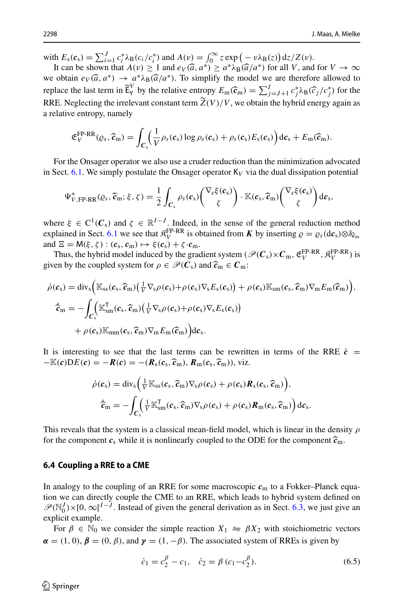with  $E_s(c_s) = \sum_{i=1}^J c_i^* \lambda_B(c_i/c_i^*)$  and  $A(v) = \int_0^\infty z \exp(-v \lambda_B(z)) dz/Z(v)$ .

It can be shown that  $A(v) \ge 1$  and  $e_V(\hat{a}, a^*) \ge a^* \lambda_B(\hat{a}/a^*)$  for all *V*, and for  $V \to \infty$  we obtain  $e_V(\hat{a}, a^*) \to a^* \lambda_B(\hat{a}/a^*)$ . To simplify the model we are therefore allowed to we obtain  $e_V(\hat{a}, a^*) \to a^* \lambda_B(\hat{a}/a^*)$ . To simplify the model we are therefore allowed to replace the lest term in  $\tilde{\epsilon}^V$  by the relative ortropy  $E(\hat{a}) = \sum_{i=1}^l e^{*\lambda_i}$ .  $(\hat{a}, \langle a^* \rangle)$  for the replace the last term in  $\widetilde{\mathsf{E}}_Y^V$  by the relative entropy  $E_m(\widehat{c}_m) = \sum_{j=J+1}^J c_j^* \lambda_B(\widehat{c}_j/c_j^*)$  for the RRE. Neglecting the irrelevant constant term  $\widetilde{Z}(V)/V$ , we obtain the hybrid energy again as a relative entropy, namely

$$
\mathfrak{E}_{V}^{\text{FP-RR}}(e_s,\widehat{\boldsymbol{c}}_m)=\int_{\mathcal{C}_s}\left(\frac{1}{V}\rho_s(\boldsymbol{c}_s)\log\rho_s(\boldsymbol{c}_s)+\rho_s(\boldsymbol{c}_s)E_s(\boldsymbol{c}_s)\right)\mathrm{d}\boldsymbol{c}_s+E_m(\widehat{\boldsymbol{c}}_m).
$$

For the Onsager operator we also use a cruder reduction than the minimization advocated in Sect. [6.1.](#page-37-1) We simply postulate the Onsager operator  $K_V$  via the dual dissipation potential

$$
\Psi_{V,\text{FP-RR}}^*(\varrho_s, \widehat{\mathbf{c}}_m; \xi, \zeta) = \frac{1}{2} \int_{\mathbf{C}_s} \rho_s(\mathbf{c}_s) \begin{pmatrix} \nabla_s \xi(\mathbf{c}_s) \\ \zeta \end{pmatrix} \cdot \mathbb{K}(\mathbf{c}_s, \widehat{\mathbf{c}}_m) \begin{pmatrix} \nabla_s \xi(\mathbf{c}_s) \\ \zeta \end{pmatrix} d\mathbf{c}_s,
$$

where  $\xi \in C^1(\mathcal{C}_s)$  and  $\zeta \in \mathbb{R}^{I-J}$ . Indeed, in the sense of the general reduction method explained in Sect. [6.1](#page-37-1) we see that  $\mathcal{R}_V^{\text{FP-RR}}$  is obtained from *K* by inserting  $\rho = \rho_s(\text{d}c_s) \otimes \delta_{c_m}$ <br>and  $\Xi = M(\xi, \xi) + (\varepsilon, \xi) + \xi(\zeta) + \xi(\zeta)$ and  $\Xi = M(\xi, \zeta) : (c_s, c_m) \mapsto \xi(c_s) + \zeta \cdot c_m$ .

Thus, the hybrid model induced by the gradient system ( $\mathscr{P}(C_s) \times C_m$ ,  $\mathfrak{E}_V^{\text{FP-RR}}$ ,  $\mathfrak{K}_V^{\text{FP-RR}}$ ) is given by the coupled system for  $\rho \in \mathcal{P}(C_s)$  and  $\hat{\tau}_m \in C_m$ :

$$
\dot{\rho}(\mathbf{c}_s) = \text{div}_s \Big( \mathbb{K}_{ss}(\mathbf{c}_s, \widehat{\mathbf{c}}_m) \Big( \frac{1}{V} \nabla_s \rho(\mathbf{c}_s) + \rho(\mathbf{c}_s) \nabla_s E_s(\mathbf{c}_s) \Big) + \rho(\mathbf{c}_s) \mathbb{K}_{sm}(\mathbf{c}_s, \widehat{\mathbf{c}}_m) \nabla_m E_m(\widehat{\mathbf{c}}_m) \Big),
$$
\n
$$
\hat{\mathbf{c}}_m = - \int_{\mathbf{C}_s} \Big( \mathbb{K}_{sm}^{\mathsf{T}}(\mathbf{c}_s, \widehat{\mathbf{c}}_m) \Big( \frac{1}{V} \nabla_s \rho(\mathbf{c}_s) + \rho(\mathbf{c}_s) \nabla_s E_s(\mathbf{c}_s) \Big) + \rho(\mathbf{c}_s) \mathbb{K}_{mm}(\mathbf{c}_s, \widehat{\mathbf{c}}_m) \nabla_m E_m(\widehat{\mathbf{c}}_m) \Big) d\mathbf{c}_s.
$$

It is interesting to see that the last terms can be rewritten in terms of the RRE  $\dot{c}$  =  $-\mathbb{K}(c)\mathbf{D}E(c) = -\mathbf{R}(c) = -(\mathbf{R}_s(c_s, \widehat{c}_m), \mathbf{R}_m(c_s, \widehat{c}_m))$ , viz.

$$
\dot{\rho}(c_{s}) = \text{div}_{s} \Big( \frac{1}{V} \mathbb{K}_{ss}(c_{s}, \widehat{c}_{m}) \nabla_{s} \rho(c_{s}) + \rho(c_{s}) \boldsymbol{R}_{s}(c_{s}, \widehat{c}_{m}) \Big),
$$

$$
\dot{\widehat{c}}_{m} = - \int_{C_{s}} \Big( \frac{1}{V} \mathbb{K}_{sm}^{\mathsf{T}}(c_{s}, \widehat{c}_{m}) \nabla_{s} \rho(c_{s}) + \rho(c_{s}) \boldsymbol{R}_{m}(c_{s}, \widehat{c}_{m}) \Big) d c_{s}.
$$

This reveals that the system is a classical mean-field model, which is linear in the density  $\rho$ for the component  $c_s$  while it is nonlinearly coupled to the ODE for the component  $\hat{c}_m$ .

#### **6.4 Coupling a RRE to a CME**

In analogy to the coupling of an RRE for some macroscopic *c*<sup>m</sup> to a Fokker–Planck equation we can directly couple the CME to an RRE, which leads to hybrid system defined on  $\mathcal{P}(\mathbb{N}_0^J) \times [0, \infty]^{\mathbb{N}-J}$ . Instead of given the general derivation as in Sect. [6.3,](#page-40-0) we just give an explicit example.

For  $\beta \in \mathbb{N}_0$  we consider the simple reaction  $X_1 \Leftrightarrow \beta X_2$  with stoichiometric vectors  $\alpha = (1, 0), \beta = (0, \beta),$  and  $\gamma = (1, -\beta)$ . The associated system of RREs is given by

$$
\dot{c}_1 = c_2^{\beta} - c_1, \quad \dot{c}_2 = \beta \ (c_1 - c_2^{\beta}). \tag{6.5}
$$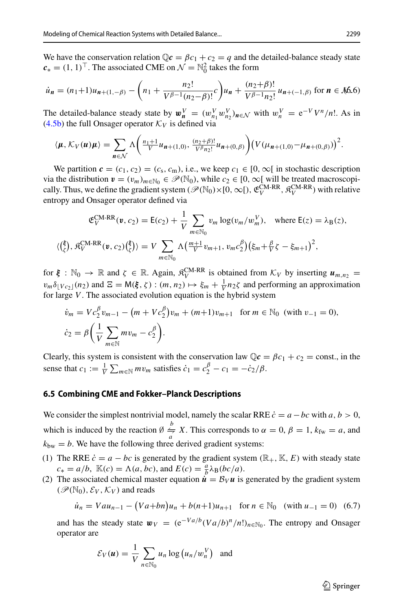We have the conservation relation  $\mathbb{Q}c = \beta c_1 + c_2 = q$  and the detailed-balance steady state  $c_* = (1, 1)^\top$ . The associated CME on  $\mathcal{N} = \mathbb{N}_0^2$  takes the form

$$
\dot{u}_n = (n_1 + 1)u_{n+1, -\beta} - \left(n_1 + \frac{n_2!}{V^{\beta - 1}(n_2 - \beta)!}c\right)u_n + \frac{(n_2 + \beta)!}{V^{\beta - 1}n_2!}u_{n+(-1, \beta)} \text{ for } n \in \mathcal{M}\text{.66}
$$

The detailed-balance steady state by  $w_n^V = (w_{n_1}^V w_{n_2}^V)_{n \in \mathcal{N}}$  with  $w_n^V = e^{-V} V^n / n!$ . As in [\(4.5b\)](#page-18-1) the full Onsager operator  $K_V$  is defined via

$$
\langle \boldsymbol{\mu}, \mathcal{K}_V(\boldsymbol{\mu}) \boldsymbol{\mu} \rangle = \sum_{\boldsymbol{n} \in \mathcal{N}} \Lambda \bigg( \frac{n_1 + 1}{V} u_{\boldsymbol{n} + (1,0)}, \frac{(n_2 + \beta)!}{V^{\beta} n_2!} u_{\boldsymbol{n} + (0,\beta)} \bigg) \big( V(\mu_{\boldsymbol{n} + (1,0)} - \mu_{\boldsymbol{n} + (0,\beta)}) \big)^2.
$$

We partition  $c = (c_1, c_2) = (c_s, c_m)$ , i.e., we keep  $c_1 \in [0, \infty)$  in stochastic description via the distribution  $\mathbf{v} = (v_m)_{m \in \mathbb{N}_0} \in \mathcal{P}(\mathbb{N}_0)$ , while  $c_2 \in [0, \infty)$  will be treated macroscopically. Thus, we define the gradient system ( $\mathscr{P}(\mathbb{N}_0)\times[0,\infty[)$ ,  $\mathfrak{E}_V^{\text{CM-RR}}, \mathfrak{K}_V^{\text{CM-RR}}$ ) with relative entropy and Onsager operator defined via

$$
\mathfrak{E}_{V}^{\text{CM-RR}}(\mathbf{v}, c_{2}) = \mathsf{E}(c_{2}) + \frac{1}{V} \sum_{m \in \mathbb{N}_{0}} v_{m} \log(v_{m}/w_{m}^{V}), \text{ where } \mathsf{E}(z) = \lambda_{\text{B}}(z),
$$
  

$$
\langle (\xi), \mathfrak{K}_{V}^{\text{CM-RR}}(\mathbf{v}, c_{2})(\xi) \rangle = V \sum_{m \in \mathbb{N}_{0}} \Lambda \left( \frac{m+1}{V} v_{m+1}, v_{m} c_{2}^{\beta} \right) \left( \xi_{m} + \frac{\beta}{V} \xi - \xi_{m+1} \right)^{2},
$$

for  $\xi : \mathbb{N}_0 \to \mathbb{R}$  and  $\zeta \in \mathbb{R}$ . Again,  $\mathfrak{K}_V^{\text{CM-RR}}$  is obtained from  $\mathcal{K}_V$  by inserting  $\mathbf{u}_{m,n_2} =$  $v_m \delta_V c_{2\perp}(n_2)$  and  $\Xi = M(\xi, \zeta) : (m, n_2) \mapsto \xi_m + \frac{1}{V} n_2 \zeta$  and performing an approximation for large *V*. The associated evolution equation is the hybrid system

$$
\dot{v}_m = V c_2^{\beta} v_{m-1} - \left( m + V c_2^{\beta} \right) v_m + \left( m + 1 \right) v_{m+1} \quad \text{for } m \in \mathbb{N}_0 \text{ (with } v_{-1} = 0),
$$
\n
$$
\dot{c}_2 = \beta \left( \frac{1}{V} \sum_{m \in \mathbb{N}} m v_m - c_2^{\beta} \right).
$$

Clearly, this system is consistent with the conservation law  $\mathbb{Q}c = \beta c_1 + c_2 = \text{const.}$ , in the sense that  $c_1 := \frac{1}{V} \sum_{m \in \mathbb{N}} m v_m$  satisfies  $\dot{c}_1 = c_2^{\beta} - c_1 = -\dot{c}_2/\beta$ .

## **6.5 Combining CME and Fokker–Planck Descriptions**

We consider the simplest nontrivial model, namely the scalar RRE  $\dot{c} = a - bc$  with  $a, b > 0$ , which is induced by the reaction  $\emptyset \stackrel{b}{\Rightarrow} X$ . This corresponds to  $\alpha = 0$ ,  $\beta = 1$ ,  $k_{fw} = a$ , and  $k_{\text{bw}} = b$ . We have the following three derived gradient systems:

- (1) The RRE  $\dot{c} = a bc$  is generated by the gradient system ( $\mathbb{R}_+$ ,  $\mathbb{K}$ ,  $E$ ) with steady state  $c_* = a/b$ ,  $\mathbb{K}(c) = \Lambda(a, bc)$ , and  $E(c) = \frac{a}{b} \lambda_B(bc/a)$ .
- (2) The associated chemical master equation  $\dot{u} = B_V u$  is generated by the gradient system  $(\mathscr{P}(\mathbb{N}_0), \mathcal{E}_V, \mathcal{K}_V)$  and reads

<span id="page-42-0"></span>
$$
\dot{u}_n = Vau_{n-1} - (Va + bn)u_n + b(n+1)u_{n+1} \quad \text{for } n \in \mathbb{N}_0 \quad \text{(with } u_{-1} = 0) \quad (6.7)
$$

and has the steady state  $w_V = (e^{-Va/b}(Va/b)^n/n!)_{n \in \mathbb{N}_0}$ . The entropy and Onsager operator are

$$
\mathcal{E}_V(u) = \frac{1}{V} \sum_{n \in \mathbb{N}_0} u_n \log (u_n/w_n^V) \text{ and}
$$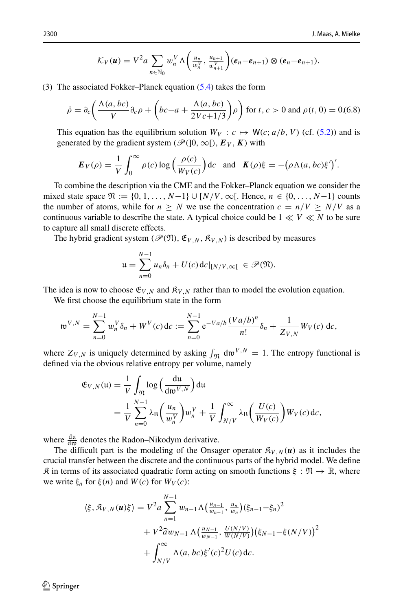$$
\mathcal{K}_V(u) = V^2 a \sum_{n \in \mathbb{N}_0} w_n^V \Lambda \left( \frac{u_n}{w_n^V}, \frac{u_{n+1}}{w_{n+1}^V} \right) (e_n - e_{n+1}) \otimes (e_n - e_{n+1}).
$$

(3) The associated Fokker–Planck equation [\(5.4\)](#page-31-1) takes the form

<span id="page-43-0"></span>
$$
\dot{\rho} = \partial_c \left( \frac{\Lambda(a, bc)}{V} \partial_c \rho + \left( bc - a + \frac{\Lambda(a, bc)}{2Vc + 1/3} \right) \rho \right) \text{ for } t, c > 0 \text{ and } \rho(t, 0) = 0.68)
$$

This equation has the equilibrium solution  $W_V$ :  $c \mapsto W(c; a/b, V)$  (cf. [\(5.2\)](#page-30-1)) and is generated by the gradient system ( $\mathcal{P}([0,\infty])$ ,  $E_V$ ,  $K$ ) with

$$
\boldsymbol{E}_V(\rho) = \frac{1}{V} \int_0^\infty \rho(c) \log \left( \frac{\rho(c)}{W_V(c)} \right) \mathrm{d}c \quad \text{and} \quad \boldsymbol{K}(\rho) \xi = -\left( \rho \Lambda(a, bc) \xi' \right)'.
$$

To combine the description via the CME and the Fokker–Planck equation we consider the mixed state space  $\mathfrak{N} := \{0, 1, ..., N-1\} \cup [N/V, \infty]$ . Hence, *n* ∈ {0, ..., *N*−1} counts the number of atoms, while for  $n \geq N$  we use the concentration  $c = n/V \geq N/V$  as a continuous variable to describe the state. A typical choice could be  $1 \ll V \ll N$  to be sure to capture all small discrete effects.

The hybrid gradient system ( $\mathcal{P}(\mathfrak{N}), \mathfrak{E}_{V, N}, \mathfrak{K}_{V, N}$ ) is described by measures

$$
\mathfrak{u} = \sum_{n=0}^{N-1} u_n \delta_n + U(c) \, \mathrm{d}c \vert_{[N/V,\infty[} \in \mathcal{P}(\mathfrak{N}).
$$

The idea is now to choose  $\mathfrak{E}_{V,N}$  and  $\mathfrak{K}_{V,N}$  rather than to model the evolution equation.

We first choose the equilibrium state in the form

$$
\mathfrak{w}^{V,N} = \sum_{n=0}^{N-1} w_n^V \delta_n + W^V(c) \, \mathrm{d}c := \sum_{n=0}^{N-1} e^{-Va/b} \frac{(Va/b)^n}{n!} \delta_n + \frac{1}{Z_{V,N}} W_V(c) \, \mathrm{d}c,
$$

where  $Z_{V,N}$  is uniquely determined by asking  $\int_{\Re}$  dw<sup>V,N</sup> = 1. The entropy functional is defined via the obvious relative entropy per volume, namely

$$
\mathfrak{E}_{V,N}(\mathfrak{u}) = \frac{1}{V} \int_{\mathfrak{N}} \log \left( \frac{\mathrm{d}\mathfrak{u}}{\mathrm{d}\mathfrak{w}^{V,N}} \right) \mathrm{d}\mathfrak{u}
$$
  
= 
$$
\frac{1}{V} \sum_{n=0}^{N-1} \lambda_{\mathrm{B}} \left( \frac{u_n}{w_n^V} \right) w_n^V + \frac{1}{V} \int_{N/V}^{\infty} \lambda_{\mathrm{B}} \left( \frac{U(c)}{W_V(c)} \right) W_V(c) \mathrm{d}c,
$$

where  $\frac{du}{dw}$  denotes the Radon–Nikodym derivative.

The difficult part is the modeling of the Onsager operator  $\mathcal{R}_{V,N}(u)$  as it includes the crucial transfer between the discrete and the continuous parts of the hybrid model. We define  $\mathfrak K$  in terms of its associated quadratic form acting on smooth functions  $\xi : \mathfrak N \to \mathbb R$ , where we write  $\xi_n$  for  $\xi(n)$  and  $W(c)$  for  $W_V(c)$ :

$$
\langle \xi, \mathfrak{K}_{V,N}(u)\xi \rangle = V^2 a \sum_{n=1}^{N-1} w_{n-1} \Lambda \left( \frac{u_{n-1}}{w_{n-1}}, \frac{u_n}{w_n} \right) (\xi_{n-1} - \xi_n)^2
$$
  
+  $V^2 \hat{a} w_{N-1} \Lambda \left( \frac{u_{N-1}}{w_{N-1}}, \frac{U(N/V)}{W(N/V)} \right) (\xi_{N-1} - \xi(N/V))^2$   
+  $\int_{N/V}^{\infty} \Lambda(a, bc) \xi'(c)^2 U(c) dc.$ 

 $\circledcirc$  Springer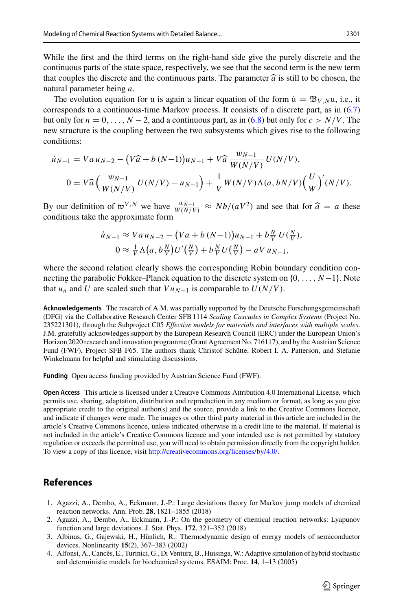While the first and the third terms on the right-hand side give the purely discrete and the continuous parts of the state space, respectively, we see that the second term is the new term that couples the discrete and the continuous parts. The parameter  $\hat{a}$  is still to be chosen, the natural parameter being *a*.

The evolution equation for u is again a linear equation of the form  $\dot{u} = \mathfrak{B}_{V,N}u$ , i.e., it corresponds to a continuous-time Markov process. It consists of a discrete part, as in [\(6.7\)](#page-42-0) but only for  $n = 0, \ldots, N-2$ , and a continuous part, as in [\(6.8\)](#page-43-0) but only for  $c > N/V$ . The new structure is the coupling between the two subsystems which gives rise to the following conditions:

$$
\dot{u}_{N-1} = Va \, u_{N-2} - (V\hat{a} + b (N-1))u_{N-1} + V\hat{a} \, \frac{w_{N-1}}{W(N/V)} \, U(N/V),
$$
\n
$$
0 = V\hat{a} \left( \frac{w_{N-1}}{W(N/V)} \, U(N/V) - u_{N-1} \right) + \frac{1}{V} W(N/V) \Lambda(a, bN/V) \left( \frac{U}{W} \right)'(N/V).
$$

By our definition of  $w^{V,N}$  we have  $\frac{w_{N-1}}{W(N/V)} \approx Nb/(aV^2)$  and see that for  $\hat{a} = a$  these conditions take the approximate form conditions take the approximate form

$$
\dot{u}_{N-1} \approx Va\,u_{N-2} - (Va + b\,(N-1))u_{N-1} + b\,\frac{N}{V}\,U(\frac{N}{V}),
$$
  

$$
0 \approx \frac{1}{V}\,\Lambda\big(a,b\,\frac{N}{V}\big)U'\big(\frac{N}{V}\big) + b\,\frac{N}{V}\,U\big(\frac{N}{V}\big) - a\,V\,u_{N-1},
$$

where the second relation clearly shows the corresponding Robin boundary condition connecting the parabolic Fokker–Planck equation to the discrete system on {0,..., *N*−1}. Note that *u<sub>n</sub>* and *U* are scaled such that  $Vu_{N-1}$  is comparable to  $U(N/V)$ .

**Acknowledgements** The research of A.M. was partially supported by the Deutsche Forschungsgemeinschaft (DFG) via the Collaborative Research Center SFB 1114 *Scaling Cascades in Complex Systems* (Project No. 235221301), through the Subproject C05 *Effective models for materials and interfaces with multiple scales*. J.M. gratefully acknowledges support by the European Research Council (ERC) under the European Union's Horizon 2020 research and innovation programme (Grant Agreement No. 716117), and by the Austrian Science Fund (FWF), Project SFB F65. The authors thank Christof Schütte, Robert I. A. Patterson, and Stefanie Winkelmann for helpful and stimulating discussions.

**Funding** Open access funding provided by Austrian Science Fund (FWF).

**Open Access** This article is licensed under a Creative Commons Attribution 4.0 International License, which permits use, sharing, adaptation, distribution and reproduction in any medium or format, as long as you give appropriate credit to the original author(s) and the source, provide a link to the Creative Commons licence, and indicate if changes were made. The images or other third party material in this article are included in the article's Creative Commons licence, unless indicated otherwise in a credit line to the material. If material is not included in the article's Creative Commons licence and your intended use is not permitted by statutory regulation or exceeds the permitted use, you will need to obtain permission directly from the copyright holder. To view a copy of this licence, visit [http://creativecommons.org/licenses/by/4.0/.](http://creativecommons.org/licenses/by/4.0/)

## **References**

- <span id="page-44-0"></span>1. Agazzi, A., Dembo, A., Eckmann, J.-P.: Large deviations theory for Markov jump models of chemical reaction networks. Ann. Prob. **28**, 1821–1855 (2018)
- <span id="page-44-1"></span>2. Agazzi, A., Dembo, A., Eckmann, J.-P.: On the geometry of chemical reaction networks: Lyapunov function and large deviations. J. Stat. Phys. **172**, 321–352 (2018)
- <span id="page-44-3"></span>3. Albinus, G., Gajewski, H., Hünlich, R.: Thermodynamic design of energy models of semiconductor devices. Nonlinearity **15**(2), 367–383 (2002)
- <span id="page-44-2"></span>4. Alfonsi, A., Cancès, E., Turinici, G., Di Ventura, B., Huisinga,W.: Adaptive simulation of hybrid stochastic and deterministic models for biochemical systems. ESAIM: Proc. **14**, 1–13 (2005)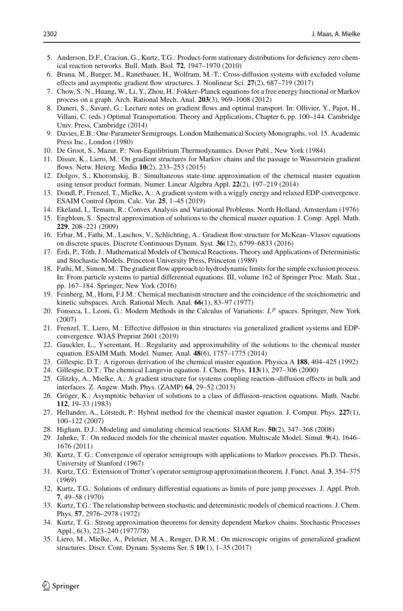- <span id="page-45-22"></span>5. Anderson, D.F., Craciun, G., Kurtz, T.G.: Product-form stationary distributions for deficiency zero chemical reaction networks. Bull. Math. Biol. **72**, 1947–1970 (2010)
- <span id="page-45-10"></span>6. Bruna, M., Burger, M., Ranetbauer, H., Wolfram, M.-T.: Cross-diffusion systems with excluded volume effects and asymptotic gradient flow structures. J. Nonlinear Sci. **27**(2), 687–719 (2017)
- <span id="page-45-20"></span>7. Chow, S.-N., Huang, W., Li, Y., Zhou, H.: Fokker–Planck equations for a free energy functional or Markov process on a graph. Arch. Rational Mech. Anal. **203**(3), 969–1008 (2012)
- <span id="page-45-26"></span>8. Daneri, S., Savaré, G.: Lecture notes on gradient flows and optimal transport. In: Ollivier, Y., Pajot, H., Villani, C. (eds.) Optimal Transportation. Theory and Applications, Chapter 6, pp. 100–144. Cambridge Univ. Press, Cambridge (2014)
- <span id="page-45-24"></span>9. Davies, E.B.: One-Parameter Semigroups. London Mathematical Society Monographs, vol. 15. Academic Press Inc., London (1980)
- <span id="page-45-18"></span>10. De Groot, S., Mazur, P.: Non-Equilibrium Thermodynamics. Dover Publ., New York (1984)
- <span id="page-45-5"></span>11. Disser, K., Liero, M.: On gradient structures for Markov chains and the passage to Wasserstein gradient flows. Netw. Heterg. Media **10**(2), 233–253 (2015)
- <span id="page-45-11"></span>12. Dolgov, S., Khoromskij, B.: Simultaneous state-time approximation of the chemical master equation using tensor product formats. Numer. Linear Algebra Appl. **22**(2), 197–219 (2014)
- <span id="page-45-3"></span>13. Dondl, P., Frenzel, T., Mielke, A.: A gradient system with a wiggly energy and relaxed EDP-convergence. ESAIM Control Optim. Calc. Var. **25**, 1–45 (2019)
- <span id="page-45-28"></span>14. Ekeland, I., Temam, R.: Convex Analysis and Variational Problems. North Holland, Amsterdam (1976)
- <span id="page-45-12"></span>15. Engblom, S.: Spectral approximation of solutions to the chemical master equation. J. Comp. Appl. Math. **229**, 208–221 (2009)
- <span id="page-45-6"></span>16. Erbar, M., Fathi, M., Laschos, V., Schlichting, A.: Gradient flow structure for McKean–Vlasov equations on discrete spaces. Discrete Continuous Dynam. Syst. **36**(12), 6799–6833 (2016)
- <span id="page-45-15"></span>17. Érdi, P., Tóth, J.: Mathematical Models of Chemical Reactions. Theory and Applications of Deterministic and Stochastic Models. Princeton University Press, Princeton (1989)
- <span id="page-45-7"></span>18. Fathi, M., Simon, M.: The gradient flow approach to hydrodynamic limits for the simple exclusion process. In: From particle systems to partial differential equations. III, volume 162 of Springer Proc. Math. Stat., pp. 167–184. Springer, New York (2016)
- <span id="page-45-16"></span>19. Feinberg, M., Horn, F.J.M.: Chemical mechanism structure and the coincidence of the stoichiometric and kinetic subspaces. Arch. Rational Mech. Anal. **66**(1), 83–97 (1977)
- <span id="page-45-27"></span>20. Fonseca, I., Leoni, G.: Modern Methods in the Calculus of Variations: *L <sup>p</sup>* spaces. Springer, New York (2007)
- <span id="page-45-25"></span>21. Frenzel, T., Liero, M.: Effective diffusion in thin structures via generalized gradient systems and EDPconvergence. WIAS Preprint 2601 (2019)
- <span id="page-45-23"></span>22. Gauckler, L., Yserentant, H.: Regularity and approximability of the solutions to the chemical master equation. ESAIM Math. Model. Numer. Anal. **48**(6), 1757–1775 (2014)
- <span id="page-45-0"></span>23. Gillespie, D.T.: A rigorous derivation of the chemical master equation. Physica A **188**, 404–425 (1992)
- <span id="page-45-9"></span>24. Gillespie, D.T.: The chemical Langevin equation. J. Chem. Phys. **113**(1), 297–306 (2000)
- <span id="page-45-19"></span>25. Glitzky, A., Mielke, A.: A gradient structure for systems coupling reaction–diffusion effects in bulk and interfaces. Z. Angew. Math. Phys. (ZAMP) **64**, 29–52 (2013)
- <span id="page-45-17"></span>26. Gröger, K.: Asymptotic behavior of solutions to a class of diffusion–reaction equations. Math. Nachr. **112**, 19–33 (1983)
- <span id="page-45-13"></span>27. Hellander, A., Lötstedt, P.: Hybrid method for the chemical master equation. J. Comput. Phys. **227**(1), 100–122 (2007)
- 28. Higham, D.J.: Modeling and simulating chemical reactions. SIAM Rev. **50**(2), 347–368 (2008)
- <span id="page-45-14"></span>29. Jahnke, T.: On reduced models for the chemical master equation. Multiscale Model. Simul. **9**(4), 1646– 1676 (2011)
- <span id="page-45-1"></span>30. Kurtz, T. G.: Convergence of operator semigroups with applications to Markov processes. Ph.D. Thesis, University of Stanford (1967)
- 31. Kurtz, T.G.: Extension of Trotter's operator semigroup approximation theorem. J. Funct. Anal. **3**, 354–375 (1969)
- <span id="page-45-21"></span>32. Kurtz, T.G.: Solutions of ordinary differential equations as limits of pure jump processes. J. Appl. Prob. **7**, 49–58 (1970)
- <span id="page-45-2"></span>33. Kurtz, T.G.: The relationship between stochastic and deterministic models of chemical reactions. J. Chem. Phys. **57**, 2976–2978 (1972)
- <span id="page-45-8"></span>34. Kurtz, T. G.: Strong approximation theorems for density dependent Markov chains. Stochastic Processes Appl., 6(3), 223–240 (1977/78)
- <span id="page-45-4"></span>35. Liero, M., Mielke, A., Peletier, M.A., Renger, D.R.M.: On microscopic origins of generalized gradient structures. Discr. Cont. Dynam. Systems Ser. S **10**(1), 1–35 (2017)